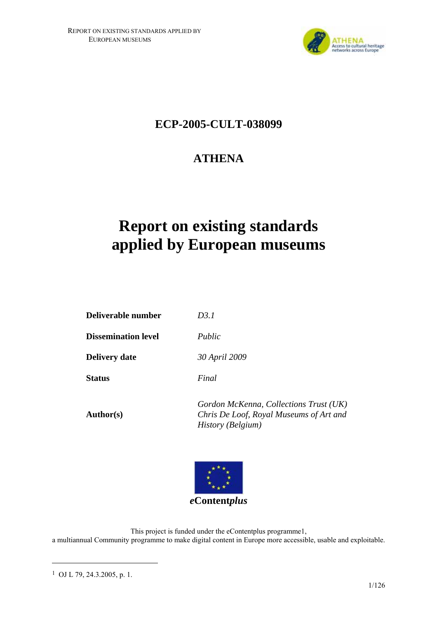

# **ECP-2005-CULT-038099**

# **ATHENA**

# **Report on existing standards applied by European museums**

| Deliverable number         | D3.1                                                                              |
|----------------------------|-----------------------------------------------------------------------------------|
| <b>Dissemination level</b> | Public                                                                            |
| <b>Delivery date</b>       | 30 April 2009                                                                     |
| <b>Status</b>              | Final                                                                             |
| <b>Author(s)</b>           | Gordon McKenna, Collections Trust (UK)<br>Chris De Loof, Royal Museums of Art and |

*Chris De Loof, Royal Museums of Art and History (Belgium)* 



This project is funded under the eContentplus programme1, a multiannual Community programme to make digital content in Europe more accessible, usable and exploitable.

 $\overline{a}$ 

<sup>1</sup> OJ L 79, 24.3.2005, p. 1.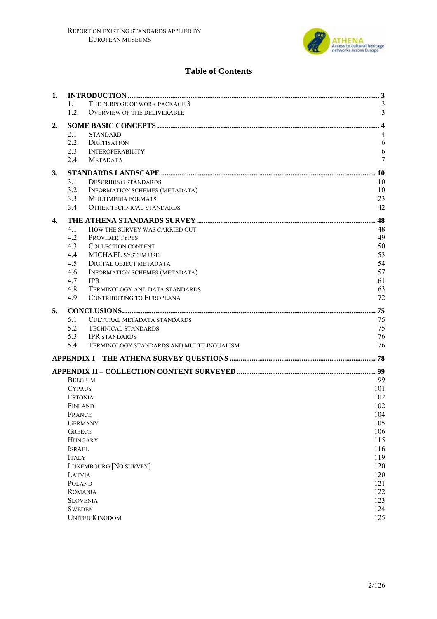

# **Table of Contents**

| 1. |                                        |                                           |            |
|----|----------------------------------------|-------------------------------------------|------------|
|    | 1.1                                    | THE PURPOSE OF WORK PACKAGE 3             |            |
|    | 1.2                                    | <b>OVERVIEW OF THE DELIVERABLE</b>        | 3          |
| 2. |                                        |                                           |            |
|    | 2.1<br><b>STANDARD</b>                 |                                           | 4          |
|    | 2.2<br><b>DIGITISATION</b>             |                                           | 6          |
|    | 2.3<br><b>INTEROPERABILITY</b>         |                                           | 6          |
|    | 2.4<br><b>METADATA</b>                 |                                           | 7          |
| 3. |                                        |                                           |            |
|    | 3.1                                    | <b>DESCRIBING STANDARDS</b>               | 10         |
|    | 3.2                                    | INFORMATION SCHEMES (METADATA)            | 10         |
|    | 3.3                                    | MULTIMEDIA FORMATS                        | 23         |
|    | 3.4                                    | <b>OTHER TECHNICAL STANDARDS</b>          | 42         |
| 4. |                                        |                                           |            |
|    | 4.1                                    | HOW THE SURVEY WAS CARRIED OUT            | 48         |
|    | 4.2<br><b>PROVIDER TYPES</b>           |                                           | 49         |
|    | 4.3                                    | <b>COLLECTION CONTENT</b>                 | 50         |
|    | 4.4                                    | MICHAEL SYSTEM USE                        | 53         |
|    | 4.5                                    | DIGITAL OBJECT METADATA                   | 54         |
|    | 4.6                                    | INFORMATION SCHEMES (METADATA)            | 57         |
|    | 4.7<br><b>IPR</b>                      |                                           | 61         |
|    | 4.8                                    | <b>TERMINOLOGY AND DATA STANDARDS</b>     | 63         |
|    | 4.9                                    | CONTRIBUTING TO EUROPEANA                 | 72         |
| 5. |                                        |                                           |            |
|    | 5.1                                    | <b>CULTURAL METADATA STANDARDS</b>        | 75         |
|    | 5.2                                    | <b>TECHNICAL STANDARDS</b>                | 75         |
|    | 5.3<br><b>IPR STANDARDS</b>            |                                           | 76         |
|    | 5.4                                    | TERMINOLOGY STANDARDS AND MULTILINGUALISM | 76         |
|    |                                        |                                           |            |
|    |                                        |                                           |            |
|    | <b>BELGIUM</b>                         |                                           | 99         |
|    | <b>CYPRUS</b>                          |                                           | 101        |
|    | <b>ESTONIA</b>                         |                                           | 102        |
|    | FINLAND                                |                                           | 102        |
|    | FRANCE                                 |                                           | 104        |
|    | <b>GERMANY</b>                         |                                           | 105        |
|    | <b>GREECE</b>                          |                                           | 106        |
|    | <b>HUNGARY</b>                         |                                           | 115        |
|    | <b>ISRAEL</b>                          |                                           | 116        |
|    | <b>ITALY</b><br>LUXEMBOURG [NO SURVEY] |                                           | 119<br>120 |
|    | LATVIA                                 |                                           | 120        |
|    | <b>POLAND</b>                          |                                           | 121        |
|    | ROMANIA                                |                                           | 122        |
|    | <b>SLOVENIA</b>                        |                                           | 123        |
|    | <b>SWEDEN</b>                          |                                           | 124        |
|    |                                        |                                           |            |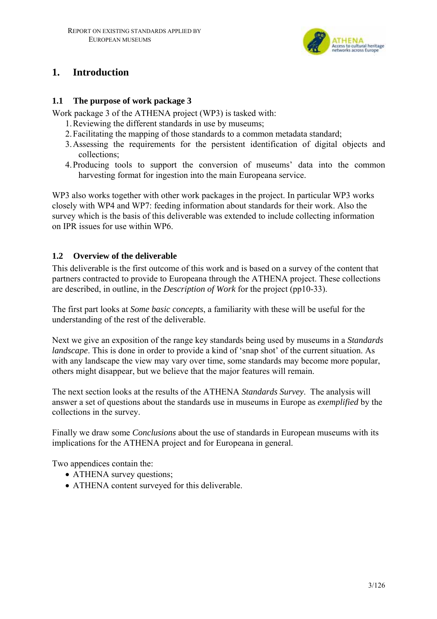

# **1. Introduction**

### **1.1 The purpose of work package 3**

Work package 3 of the ATHENA project (WP3) is tasked with:

- 1.Reviewing the different standards in use by museums;
- 2.Facilitating the mapping of those standards to a common metadata standard;
- 3.Assessing the requirements for the persistent identification of digital objects and collections;
- 4.Producing tools to support the conversion of museums' data into the common harvesting format for ingestion into the main Europeana service.

WP3 also works together with other work packages in the project. In particular WP3 works closely with WP4 and WP7: feeding information about standards for their work. Also the survey which is the basis of this deliverable was extended to include collecting information on IPR issues for use within WP6.

### **1.2 Overview of the deliverable**

This deliverable is the first outcome of this work and is based on a survey of the content that partners contracted to provide to Europeana through the ATHENA project. These collections are described, in outline, in the *Description of Work* for the project (pp10-33).

The first part looks at *Some basic concepts*, a familiarity with these will be useful for the understanding of the rest of the deliverable.

Next we give an exposition of the range key standards being used by museums in a *Standards landscape*. This is done in order to provide a kind of 'snap shot' of the current situation. As with any landscape the view may vary over time, some standards may become more popular, others might disappear, but we believe that the major features will remain.

The next section looks at the results of the ATHENA *Standards Survey*. The analysis will answer a set of questions about the standards use in museums in Europe as *exemplified* by the collections in the survey.

Finally we draw some *Conclusions* about the use of standards in European museums with its implications for the ATHENA project and for Europeana in general.

Two appendices contain the:

- ATHENA survey questions;
- ATHENA content surveyed for this deliverable.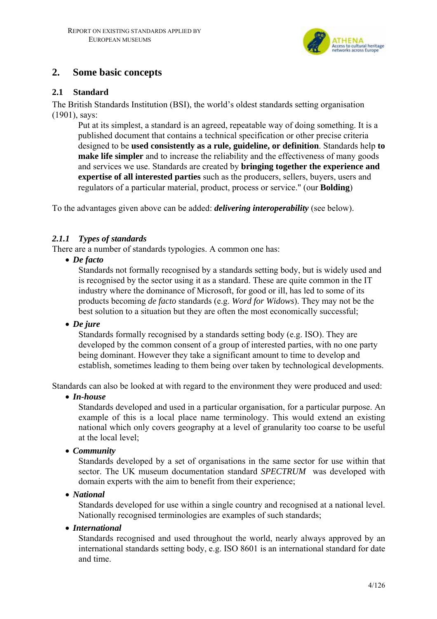

# **2. Some basic concepts**

### **2.1 Standard**

The British Standards Institution (BSI), the world's oldest standards setting organisation (1901), says:

Put at its simplest, a standard is an agreed, repeatable way of doing something. It is a published document that contains a technical specification or other precise criteria designed to be **used consistently as a rule, guideline, or definition**. Standards help **to make life simpler** and to increase the reliability and the effectiveness of many goods and services we use. Standards are created by **bringing together the experience and expertise of all interested parties** such as the producers, sellers, buyers, users and regulators of a particular material, product, process or service." (our **Bolding**)

To the advantages given above can be added: *delivering interoperability* (see below).

### *2.1.1 Types of standards*

There are a number of standards typologies. A common one has:

• *De facto* 

Standards not formally recognised by a standards setting body, but is widely used and is recognised by the sector using it as a standard. These are quite common in the IT industry where the dominance of Microsoft, for good or ill, has led to some of its products becoming *de facto* standards (e.g. *Word for Widows*). They may not be the best solution to a situation but they are often the most economically successful;

• *De jure* 

Standards formally recognised by a standards setting body (e.g. ISO). They are developed by the common consent of a group of interested parties, with no one party being dominant. However they take a significant amount to time to develop and establish, sometimes leading to them being over taken by technological developments.

Standards can also be looked at with regard to the environment they were produced and used:

• *In-house*

Standards developed and used in a particular organisation, for a particular purpose. An example of this is a local place name terminology. This would extend an existing national which only covers geography at a level of granularity too coarse to be useful at the local level;

• *Community*

Standards developed by a set of organisations in the same sector for use within that sector. The UK museum documentation standard *SPECTRUM* was developed with domain experts with the aim to benefit from their experience;

• *National*

Standards developed for use within a single country and recognised at a national level. Nationally recognised terminologies are examples of such standards;

• *International*

Standards recognised and used throughout the world, nearly always approved by an international standards setting body, e.g. ISO 8601 is an international standard for date and time.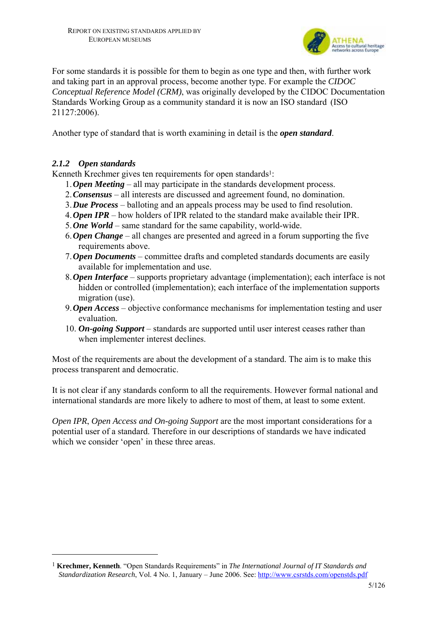

For some standards it is possible for them to begin as one type and then, with further work and taking part in an approval process, become another type. For example the *CIDOC Conceptual Reference Model (CRM)*, was originally developed by the CIDOC Documentation Standards Working Group as a community standard it is now an ISO standard (ISO 21127:2006).

Another type of standard that is worth examining in detail is the *open standard*.

### *2.1.2 Open standards*

 $\overline{a}$ 

Kenneth Krechmer gives ten requirements for open standards<sup>1</sup>:

- 1.*Open Meeting* all may participate in the standards development process.
- 2.*Consensus* all interests are discussed and agreement found, no domination.
- 3.*Due Process* balloting and an appeals process may be used to find resolution.
- 4.*Open IPR* how holders of IPR related to the standard make available their IPR.
- 5.*One World* same standard for the same capability, world-wide.
- 6.*Open Change* all changes are presented and agreed in a forum supporting the five requirements above.
- 7.*Open Documents* committee drafts and completed standards documents are easily available for implementation and use.
- 8.*Open Interface* supports proprietary advantage (implementation); each interface is not hidden or controlled (implementation); each interface of the implementation supports migration (use).
- 9.*Open Access* objective conformance mechanisms for implementation testing and user evaluation.
- 10. *On-going Support* standards are supported until user interest ceases rather than when implementer interest declines.

Most of the requirements are about the development of a standard. The aim is to make this process transparent and democratic.

It is not clear if any standards conform to all the requirements. However formal national and international standards are more likely to adhere to most of them, at least to some extent.

*Open IPR*, *Open Access and On-going Support* are the most important considerations for a potential user of a standard. Therefore in our descriptions of standards we have indicated which we consider 'open' in these three areas.

<sup>1</sup> **Krechmer, Kenneth**. "Open Standards Requirements" in *The International Journal of IT Standards and Standardization Research*, Vol. 4 No. 1, January – June 2006. See: http://www.csrstds.com/openstds.pdf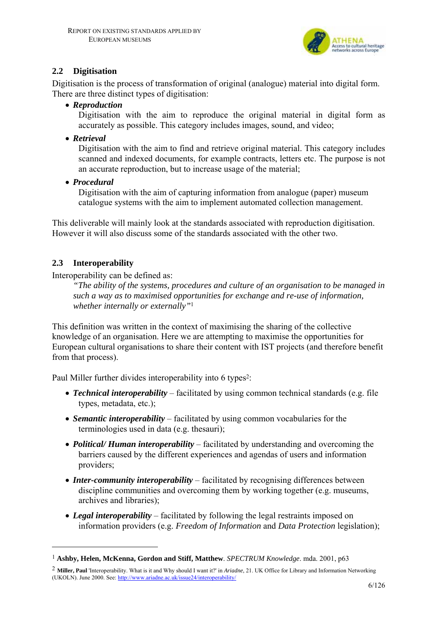

# **2.2 Digitisation**

Digitisation is the process of transformation of original (analogue) material into digital form. There are three distinct types of digitisation:

• *Reproduction*

Digitisation with the aim to reproduce the original material in digital form as accurately as possible. This category includes images, sound, and video;

• *Retrieval*

Digitisation with the aim to find and retrieve original material. This category includes scanned and indexed documents, for example contracts, letters etc. The purpose is not an accurate reproduction, but to increase usage of the material;

• *Procedural*

Digitisation with the aim of capturing information from analogue (paper) museum catalogue systems with the aim to implement automated collection management.

This deliverable will mainly look at the standards associated with reproduction digitisation. However it will also discuss some of the standards associated with the other two.

# **2.3 Interoperability**

 $\overline{a}$ 

Interoperability can be defined as:

*"The ability of the systems, procedures and culture of an organisation to be managed in such a way as to maximised opportunities for exchange and re-use of information, whether internally or externally"*<sup>1</sup>

This definition was written in the context of maximising the sharing of the collective knowledge of an organisation. Here we are attempting to maximise the opportunities for European cultural organisations to share their content with IST projects (and therefore benefit from that process).

Paul Miller further divides interoperability into 6 types<sup>2</sup>:

- *Technical interoperability* facilitated by using common technical standards (e.g. file types, metadata, etc.);
- *Semantic interoperability* facilitated by using common vocabularies for the terminologies used in data (e.g. thesauri);
- *Political/ Human interoperability* facilitated by understanding and overcoming the barriers caused by the different experiences and agendas of users and information providers;
- *Inter-community interoperability* facilitated by recognising differences between discipline communities and overcoming them by working together (e.g. museums, archives and libraries);
- *Legal interoperability* facilitated by following the legal restraints imposed on information providers (e.g. *Freedom of Information* and *Data Protection* legislation);

<sup>1</sup> **Ashby, Helen, McKenna, Gordon and Stiff, Matthew**. *SPECTRUM Knowledge*. mda. 2001, p63

<sup>2</sup> **Miller, Paul** 'Interoperability. What is it and Why should I want it?' in *Ariadne*, 21. UK Office for Library and Information Networking (UKOLN). June 2000. See: http://www.ariadne.ac.uk/issue24/interoperability/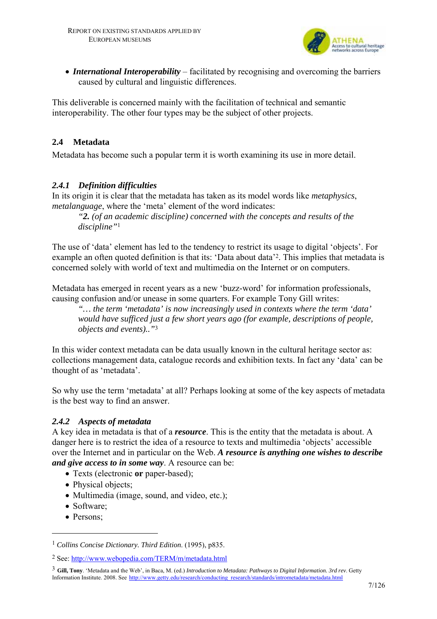

• *International Interoperability* – facilitated by recognising and overcoming the barriers caused by cultural and linguistic differences.

This deliverable is concerned mainly with the facilitation of technical and semantic interoperability. The other four types may be the subject of other projects.

# **2.4 Metadata**

Metadata has become such a popular term it is worth examining its use in more detail.

# *2.4.1 Definition difficulties*

In its origin it is clear that the metadata has taken as its model words like *metaphysics*, *metalanguage*, where the 'meta' element of the word indicates:

*"2. (of an academic discipline) concerned with the concepts and results of the discipline"*<sup>1</sup>

The use of 'data' element has led to the tendency to restrict its usage to digital 'objects'. For example an often quoted definition is that its: 'Data about data'2. This implies that metadata is concerned solely with world of text and multimedia on the Internet or on computers.

Metadata has emerged in recent years as a new 'buzz-word' for information professionals, causing confusion and/or unease in some quarters. For example Tony Gill writes:

*"… the term 'metadata' is now increasingly used in contexts where the term 'data' would have sufficed just a few short years ago (for example, descriptions of people, objects and events).."*<sup>3</sup>

In this wider context metadata can be data usually known in the cultural heritage sector as: collections management data, catalogue records and exhibition texts. In fact any 'data' can be thought of as 'metadata'.

So why use the term 'metadata' at all? Perhaps looking at some of the key aspects of metadata is the best way to find an answer.

# *2.4.2 Aspects of metadata*

A key idea in metadata is that of a *resource*. This is the entity that the metadata is about. A danger here is to restrict the idea of a resource to texts and multimedia 'objects' accessible over the Internet and in particular on the Web. *A resource is anything one wishes to describe and give access to in some way*. A resource can be:

- Texts (electronic **or** paper-based);
- Physical objects;
- Multimedia (image, sound, and video, etc.);
- Software;
- Persons;

 $\overline{a}$ 

<sup>1</sup> *Collins Concise Dictionary. Third Edition*. (1995), p835.

<sup>2</sup> See: http://www.webopedia.com/TERM/m/metadata.html

<sup>3</sup> **Gill, Tony**. 'Metadata and the Web', in Baca, M. (ed.) *Introduction to Metadata: Pathways to Digital Information. 3rd rev*. Getty Information Institute. 2008. See http://www.getty.edu/research/conducting\_research/standards/intrometadata/metadata.html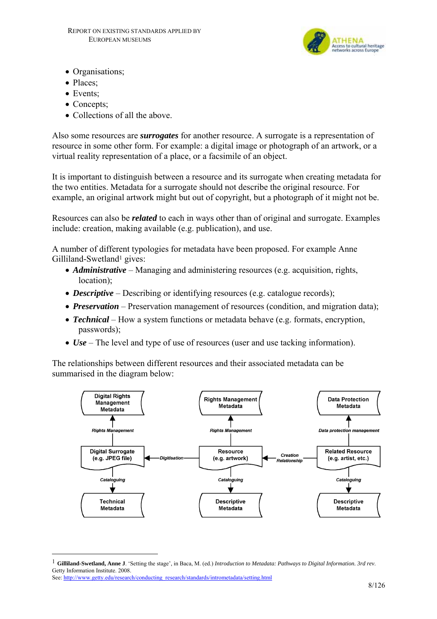

- Organisations:
- Places;
- Events:
- Concepts:
- Collections of all the above.

Also some resources are *surrogates* for another resource. A surrogate is a representation of resource in some other form. For example: a digital image or photograph of an artwork, or a virtual reality representation of a place, or a facsimile of an object.

It is important to distinguish between a resource and its surrogate when creating metadata for the two entities. Metadata for a surrogate should not describe the original resource. For example, an original artwork might but out of copyright, but a photograph of it might not be.

Resources can also be *related* to each in ways other than of original and surrogate. Examples include: creation, making available (e.g. publication), and use.

A number of different typologies for metadata have been proposed. For example Anne Gilliland-Swetland<sup>1</sup> gives:

- *Administrative* Managing and administering resources (e.g. acquisition, rights, location);
- *Descriptive* Describing or identifying resources (e.g. catalogue records);
- *Preservation* Preservation management of resources (condition, and migration data);
- *Technical* How a system functions or metadata behave (e.g. formats, encryption, passwords);
- *Use* The level and type of use of resources (user and use tacking information).

The relationships between different resources and their associated metadata can be summarised in the diagram below:



 $\overline{a}$ 

<sup>1</sup> **Gilliland-Swetland, Anne J**. 'Setting the stage', in Baca, M. (ed.) *Introduction to Metadata: Pathways to Digital Information. 3rd rev*. Getty Information Institute. 2008.

See: http://www.getty.edu/research/conducting\_research/standards/intrometadata/setting.html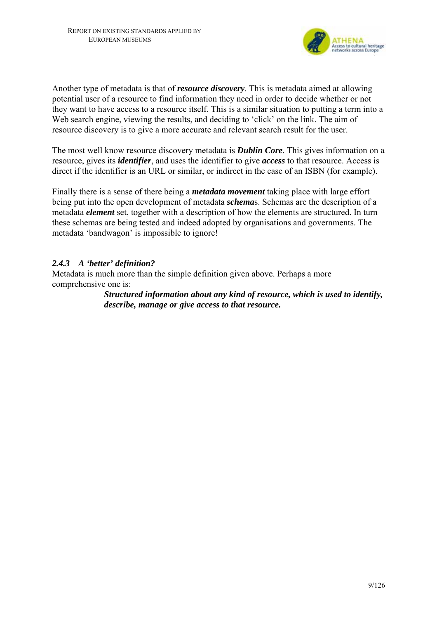

Another type of metadata is that of *resource discovery*. This is metadata aimed at allowing potential user of a resource to find information they need in order to decide whether or not they want to have access to a resource itself. This is a similar situation to putting a term into a Web search engine, viewing the results, and deciding to 'click' on the link. The aim of resource discovery is to give a more accurate and relevant search result for the user.

The most well know resource discovery metadata is *Dublin Core*. This gives information on a resource, gives its *identifier*, and uses the identifier to give *access* to that resource. Access is direct if the identifier is an URL or similar, or indirect in the case of an ISBN (for example).

Finally there is a sense of there being a *metadata movement* taking place with large effort being put into the open development of metadata *schema*s. Schemas are the description of a metadata *element* set, together with a description of how the elements are structured. In turn these schemas are being tested and indeed adopted by organisations and governments. The metadata 'bandwagon' is impossible to ignore!

### *2.4.3 A 'better' definition?*

Metadata is much more than the simple definition given above. Perhaps a more comprehensive one is:

> *Structured information about any kind of resource, which is used to identify, describe, manage or give access to that resource.*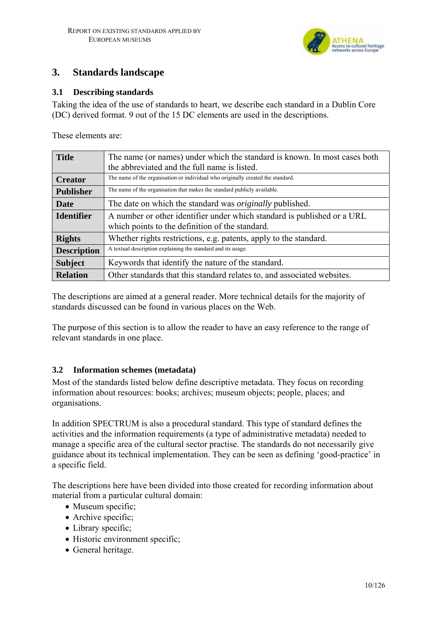

# **3. Standards landscape**

### **3.1 Describing standards**

Taking the idea of the use of standards to heart, we describe each standard in a Dublin Core (DC) derived format. 9 out of the 15 DC elements are used in the descriptions.

These elements are:

| <b>Title</b>       | The name (or names) under which the standard is known. In most cases both                                                  |
|--------------------|----------------------------------------------------------------------------------------------------------------------------|
|                    | the abbreviated and the full name is listed.                                                                               |
| <b>Creator</b>     | The name of the organisation or individual who originally created the standard.                                            |
| <b>Publisher</b>   | The name of the organisation that makes the standard publicly available.                                                   |
| <b>Date</b>        | The date on which the standard was <i>originally</i> published.                                                            |
| <b>Identifier</b>  | A number or other identifier under which standard is published or a URL<br>which points to the definition of the standard. |
| <b>Rights</b>      | Whether rights restrictions, e.g. patents, apply to the standard.                                                          |
| <b>Description</b> | A textual description explaining the standard and its usage.                                                               |
| <b>Subject</b>     | Keywords that identify the nature of the standard.                                                                         |
| <b>Relation</b>    | Other standards that this standard relates to, and associated websites.                                                    |

The descriptions are aimed at a general reader. More technical details for the majority of standards discussed can be found in various places on the Web.

The purpose of this section is to allow the reader to have an easy reference to the range of relevant standards in one place.

### **3.2 Information schemes (metadata)**

Most of the standards listed below define descriptive metadata. They focus on recording information about resources: books; archives; museum objects; people, places; and organisations.

In addition SPECTRUM is also a procedural standard. This type of standard defines the activities and the information requirements (a type of administrative metadata) needed to manage a specific area of the cultural sector practise. The standards do not necessarily give guidance about its technical implementation. They can be seen as defining 'good-practice' in a specific field.

The descriptions here have been divided into those created for recording information about material from a particular cultural domain:

- Museum specific;
- Archive specific;
- Library specific:
- Historic environment specific;
- General heritage.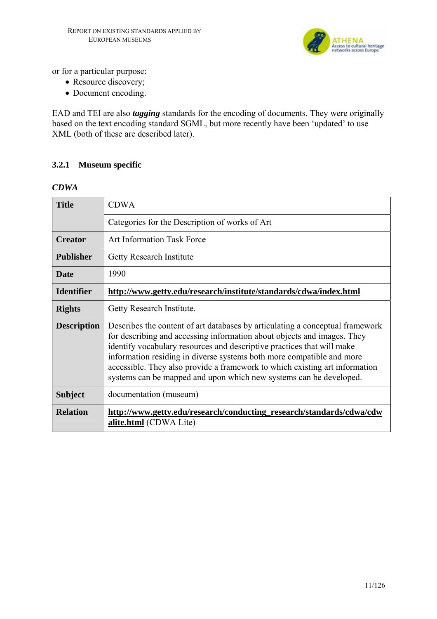

or for a particular purpose:

- Resource discovery;
- Document encoding.

EAD and TEI are also *tagging* standards for the encoding of documents. They were originally based on the text encoding standard SGML, but more recently have been 'updated' to use XML (both of these are described later).

### **3.2.1 Museum specific**

#### *CDWA*

| <b>Title</b>       | <b>CDWA</b>                                                                                                                                                                                                                                                                                                                                                                                                                                                      |
|--------------------|------------------------------------------------------------------------------------------------------------------------------------------------------------------------------------------------------------------------------------------------------------------------------------------------------------------------------------------------------------------------------------------------------------------------------------------------------------------|
|                    | Categories for the Description of works of Art                                                                                                                                                                                                                                                                                                                                                                                                                   |
| <b>Creator</b>     | <b>Art Information Task Force</b>                                                                                                                                                                                                                                                                                                                                                                                                                                |
| <b>Publisher</b>   | <b>Getty Research Institute</b>                                                                                                                                                                                                                                                                                                                                                                                                                                  |
| <b>Date</b>        | 1990                                                                                                                                                                                                                                                                                                                                                                                                                                                             |
| <b>Identifier</b>  | http://www.getty.edu/research/institute/standards/cdwa/index.html                                                                                                                                                                                                                                                                                                                                                                                                |
| <b>Rights</b>      | Getty Research Institute.                                                                                                                                                                                                                                                                                                                                                                                                                                        |
| <b>Description</b> | Describes the content of art databases by articulating a conceptual framework<br>for describing and accessing information about objects and images. They<br>identify vocabulary resources and descriptive practices that will make<br>information residing in diverse systems both more compatible and more<br>accessible. They also provide a framework to which existing art information<br>systems can be mapped and upon which new systems can be developed. |
| <b>Subject</b>     | documentation (museum)                                                                                                                                                                                                                                                                                                                                                                                                                                           |
| <b>Relation</b>    | http://www.getty.edu/research/conducting_research/standards/cdwa/cdw<br>alite.html (CDWA Lite)                                                                                                                                                                                                                                                                                                                                                                   |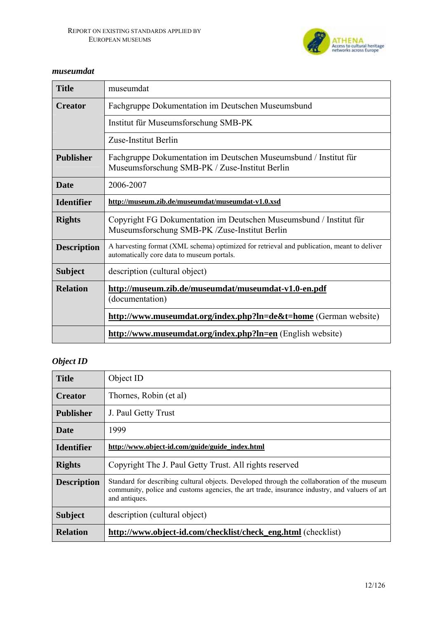

### *museumdat*

| <b>Title</b>       | museumdat                                                                                                                                |
|--------------------|------------------------------------------------------------------------------------------------------------------------------------------|
| <b>Creator</b>     | Fachgruppe Dokumentation im Deutschen Museumsbund                                                                                        |
|                    | Institut für Museumsforschung SMB-PK                                                                                                     |
|                    | Zuse-Institut Berlin                                                                                                                     |
| <b>Publisher</b>   | Fachgruppe Dokumentation im Deutschen Museumsbund / Institut für<br>Museumsforschung SMB-PK / Zuse-Institut Berlin                       |
| <b>Date</b>        | 2006-2007                                                                                                                                |
| <b>Identifier</b>  | http://museum.zib.de/museumdat/museumdat-v1.0.xsd                                                                                        |
| <b>Rights</b>      | Copyright FG Dokumentation im Deutschen Museumsbund / Institut für<br>Museumsforschung SMB-PK /Zuse-Institut Berlin                      |
| <b>Description</b> | A harvesting format (XML schema) optimized for retrieval and publication, meant to deliver<br>automatically core data to museum portals. |
| <b>Subject</b>     | description (cultural object)                                                                                                            |
| <b>Relation</b>    | http://museum.zib.de/museumdat/museumdat-v1.0-en.pdf<br>(documentation)                                                                  |
|                    | http://www.museumdat.org/index.php?ln=de&t=home (German website)                                                                         |
|                    | http://www.museumdat.org/index.php?ln=en (English website)                                                                               |

# *Object ID*

| <b>Title</b>       | Object ID                                                                                                                                                                                                     |
|--------------------|---------------------------------------------------------------------------------------------------------------------------------------------------------------------------------------------------------------|
| <b>Creator</b>     | Thornes, Robin (et al)                                                                                                                                                                                        |
| <b>Publisher</b>   | J. Paul Getty Trust                                                                                                                                                                                           |
| Date               | 1999                                                                                                                                                                                                          |
| <b>Identifier</b>  | http://www.object-id.com/guide/guide_index.html                                                                                                                                                               |
| <b>Rights</b>      | Copyright The J. Paul Getty Trust. All rights reserved                                                                                                                                                        |
| <b>Description</b> | Standard for describing cultural objects. Developed through the collaboration of the museum<br>community, police and customs agencies, the art trade, insurance industry, and valuers of art<br>and antiques. |
| <b>Subject</b>     | description (cultural object)                                                                                                                                                                                 |
| <b>Relation</b>    | http://www.object-id.com/checklist/check_eng.html (checklist)                                                                                                                                                 |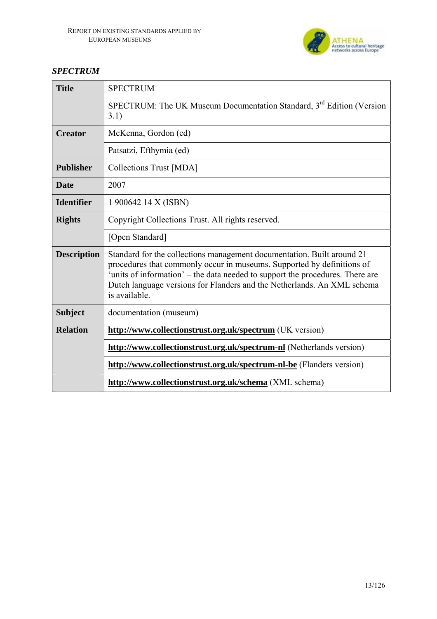

# *SPECTRUM*

| <b>Title</b>       | <b>SPECTRUM</b>                                                                                                                                                                                                                                                                                                               |
|--------------------|-------------------------------------------------------------------------------------------------------------------------------------------------------------------------------------------------------------------------------------------------------------------------------------------------------------------------------|
|                    | SPECTRUM: The UK Museum Documentation Standard, 3rd Edition (Version<br>3.1)                                                                                                                                                                                                                                                  |
| <b>Creator</b>     | McKenna, Gordon (ed)                                                                                                                                                                                                                                                                                                          |
|                    | Patsatzi, Efthymia (ed)                                                                                                                                                                                                                                                                                                       |
| <b>Publisher</b>   | Collections Trust [MDA]                                                                                                                                                                                                                                                                                                       |
| Date               | 2007                                                                                                                                                                                                                                                                                                                          |
| <b>Identifier</b>  | 1 900642 14 X (ISBN)                                                                                                                                                                                                                                                                                                          |
| <b>Rights</b>      | Copyright Collections Trust. All rights reserved.                                                                                                                                                                                                                                                                             |
|                    | [Open Standard]                                                                                                                                                                                                                                                                                                               |
| <b>Description</b> | Standard for the collections management documentation. Built around 21<br>procedures that commonly occur in museums. Supported by definitions of<br>'units of information' – the data needed to support the procedures. There are<br>Dutch language versions for Flanders and the Netherlands. An XML schema<br>is available. |
| <b>Subject</b>     | documentation (museum)                                                                                                                                                                                                                                                                                                        |
| <b>Relation</b>    | http://www.collectionstrust.org.uk/spectrum (UK version)                                                                                                                                                                                                                                                                      |
|                    | http://www.collectionstrust.org.uk/spectrum-nl (Netherlands version)                                                                                                                                                                                                                                                          |
|                    | http://www.collectionstrust.org.uk/spectrum-nl-be (Flanders version)                                                                                                                                                                                                                                                          |
|                    | http://www.collectionstrust.org.uk/schema (XML schema)                                                                                                                                                                                                                                                                        |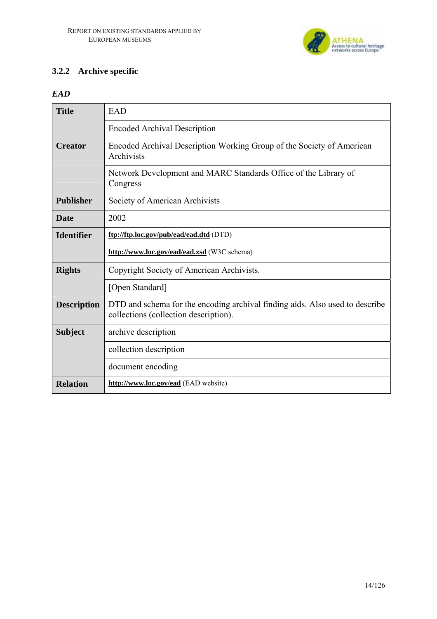

# **3.2.2 Archive specific**

# *EAD*

| <b>Title</b>       | <b>EAD</b>                                                                                                            |
|--------------------|-----------------------------------------------------------------------------------------------------------------------|
|                    | <b>Encoded Archival Description</b>                                                                                   |
| <b>Creator</b>     | Encoded Archival Description Working Group of the Society of American<br>Archivists                                   |
|                    | Network Development and MARC Standards Office of the Library of<br>Congress                                           |
| <b>Publisher</b>   | Society of American Archivists                                                                                        |
| <b>Date</b>        | 2002                                                                                                                  |
| <b>Identifier</b>  | ftp://ftp.loc.gov/pub/ead/ead.dtd (DTD)                                                                               |
|                    | http://www.loc.gov/ead/ead.xsd (W3C schema)                                                                           |
|                    |                                                                                                                       |
| <b>Rights</b>      | Copyright Society of American Archivists.                                                                             |
|                    | [Open Standard]                                                                                                       |
| <b>Description</b> | DTD and schema for the encoding archival finding aids. Also used to describe<br>collections (collection description). |
| <b>Subject</b>     | archive description                                                                                                   |
|                    | collection description                                                                                                |
|                    | document encoding                                                                                                     |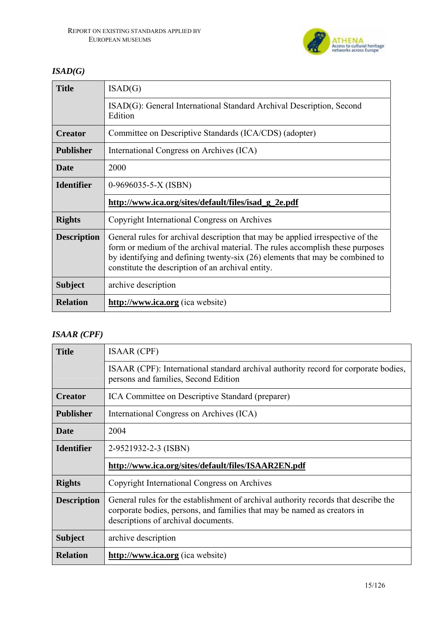

# *ISAD(G)*

| <b>Title</b>       | ISAD(G)                                                                                                                                                                                                                                                                                             |
|--------------------|-----------------------------------------------------------------------------------------------------------------------------------------------------------------------------------------------------------------------------------------------------------------------------------------------------|
|                    | ISAD(G): General International Standard Archival Description, Second<br>Edition                                                                                                                                                                                                                     |
| <b>Creator</b>     | Committee on Descriptive Standards (ICA/CDS) (adopter)                                                                                                                                                                                                                                              |
| <b>Publisher</b>   | International Congress on Archives (ICA)                                                                                                                                                                                                                                                            |
| <b>Date</b>        | 2000                                                                                                                                                                                                                                                                                                |
| <b>Identifier</b>  | $0-9696035-5-X (ISBN)$                                                                                                                                                                                                                                                                              |
|                    | http://www.ica.org/sites/default/files/isad_g_2e.pdf                                                                                                                                                                                                                                                |
| <b>Rights</b>      | Copyright International Congress on Archives                                                                                                                                                                                                                                                        |
| <b>Description</b> | General rules for archival description that may be applied irrespective of the<br>form or medium of the archival material. The rules accomplish these purposes<br>by identifying and defining twenty-six (26) elements that may be combined to<br>constitute the description of an archival entity. |
| <b>Subject</b>     | archive description                                                                                                                                                                                                                                                                                 |
|                    |                                                                                                                                                                                                                                                                                                     |

# *ISAAR (CPF)*

| <b>Title</b>       | <b>ISAAR (CPF)</b>                                                                                                                                                                                     |
|--------------------|--------------------------------------------------------------------------------------------------------------------------------------------------------------------------------------------------------|
|                    | ISAAR (CPF): International standard archival authority record for corporate bodies,<br>persons and families, Second Edition                                                                            |
| <b>Creator</b>     | ICA Committee on Descriptive Standard (preparer)                                                                                                                                                       |
| <b>Publisher</b>   | International Congress on Archives (ICA)                                                                                                                                                               |
| <b>Date</b>        | 2004                                                                                                                                                                                                   |
| <b>Identifier</b>  | 2-9521932-2-3 (ISBN)                                                                                                                                                                                   |
|                    | http://www.ica.org/sites/default/files/ISAAR2EN.pdf                                                                                                                                                    |
| <b>Rights</b>      | Copyright International Congress on Archives                                                                                                                                                           |
| <b>Description</b> | General rules for the establishment of archival authority records that describe the<br>corporate bodies, persons, and families that may be named as creators in<br>descriptions of archival documents. |
| <b>Subject</b>     | archive description                                                                                                                                                                                    |
| <b>Relation</b>    | http://www.ica.org (ica website)                                                                                                                                                                       |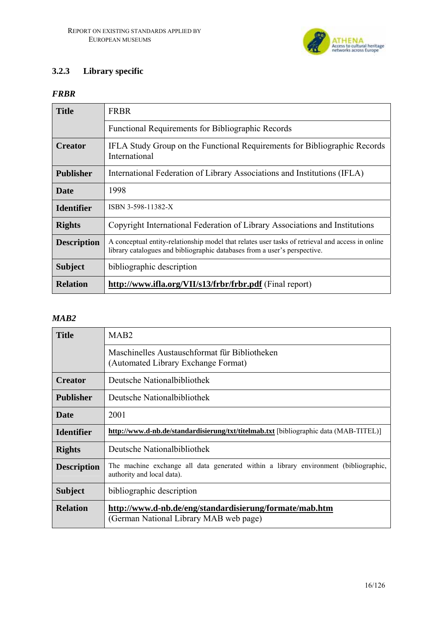

# **3.2.3 Library specific**

# *FRBR*

| <b>Title</b>       | <b>FRBR</b>                                                                                                                                                                   |
|--------------------|-------------------------------------------------------------------------------------------------------------------------------------------------------------------------------|
|                    | <b>Functional Requirements for Bibliographic Records</b>                                                                                                                      |
| <b>Creator</b>     | IFLA Study Group on the Functional Requirements for Bibliographic Records<br>International                                                                                    |
| <b>Publisher</b>   | International Federation of Library Associations and Institutions (IFLA)                                                                                                      |
| <b>Date</b>        | 1998                                                                                                                                                                          |
| <b>Identifier</b>  | ISBN 3-598-11382-X                                                                                                                                                            |
| <b>Rights</b>      | Copyright International Federation of Library Associations and Institutions                                                                                                   |
| <b>Description</b> | A conceptual entity-relationship model that relates user tasks of retrieval and access in online<br>library catalogues and bibliographic databases from a user's perspective. |
| <b>Subject</b>     | bibliographic description                                                                                                                                                     |
| <b>Relation</b>    | http://www.ifla.org/VII/s13/frbr/frbr.pdf (Final report)                                                                                                                      |

#### *MAB2*

| <b>Title</b>       | MAB <sub>2</sub>                                                                                                   |
|--------------------|--------------------------------------------------------------------------------------------------------------------|
|                    | Maschinelles Austauschformat für Bibliotheken<br>(Automated Library Exchange Format)                               |
| <b>Creator</b>     | Deutsche National bibliothek                                                                                       |
| <b>Publisher</b>   | Deutsche National bibliothek                                                                                       |
| Date               | 2001                                                                                                               |
| <b>Identifier</b>  | http://www.d-nb.de/standardisierung/txt/titelmab.txt [bibliographic data (MAB-TITEL)]                              |
| <b>Rights</b>      | Deutsche National bibliothek                                                                                       |
| <b>Description</b> | The machine exchange all data generated within a library environment (bibliographic,<br>authority and local data). |
| <b>Subject</b>     | bibliographic description                                                                                          |
| <b>Relation</b>    | http://www.d-nb.de/eng/standardisierung/formate/mab.htm<br>(German National Library MAB web page)                  |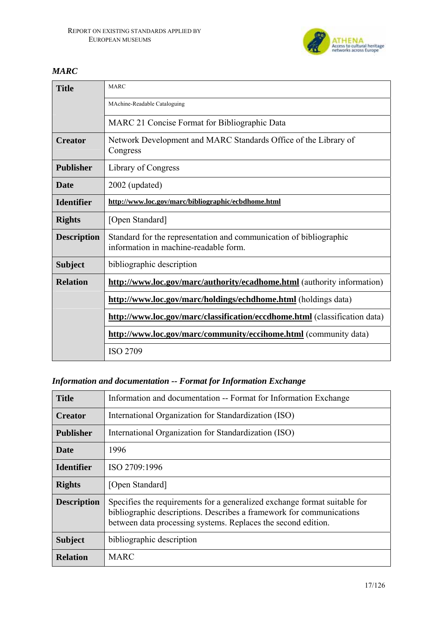

# *MARC*

| <b>Title</b>       | <b>MARC</b>                                                                                                 |
|--------------------|-------------------------------------------------------------------------------------------------------------|
|                    | MAchine-Readable Cataloguing                                                                                |
|                    | MARC 21 Concise Format for Bibliographic Data                                                               |
| <b>Creator</b>     | Network Development and MARC Standards Office of the Library of<br>Congress                                 |
| <b>Publisher</b>   | Library of Congress                                                                                         |
| <b>Date</b>        | 2002 (updated)                                                                                              |
| <b>Identifier</b>  | http://www.loc.gov/marc/bibliographic/ecbdhome.html                                                         |
| <b>Rights</b>      | [Open Standard]                                                                                             |
| <b>Description</b> | Standard for the representation and communication of bibliographic<br>information in machine-readable form. |
| <b>Subject</b>     | bibliographic description                                                                                   |
| <b>Relation</b>    | http://www.loc.gov/marc/authority/ecadhome.html (authority information)                                     |
|                    | http://www.loc.gov/marc/holdings/echdhome.html (holdings data)                                              |
|                    | http://www.loc.gov/marc/classification/eccdhome.html (classification data)                                  |
|                    | http://www.loc.gov/marc/community/eccihome.html (community data)                                            |
|                    | <b>ISO 2709</b>                                                                                             |

# *Information and documentation -- Format for Information Exchange*

| <b>Title</b>       | Information and documentation -- Format for Information Exchange                                                                                                                                                   |
|--------------------|--------------------------------------------------------------------------------------------------------------------------------------------------------------------------------------------------------------------|
| <b>Creator</b>     | International Organization for Standardization (ISO)                                                                                                                                                               |
| <b>Publisher</b>   | International Organization for Standardization (ISO)                                                                                                                                                               |
| <b>Date</b>        | 1996                                                                                                                                                                                                               |
| <b>Identifier</b>  | ISO 2709:1996                                                                                                                                                                                                      |
| <b>Rights</b>      | [Open Standard]                                                                                                                                                                                                    |
| <b>Description</b> | Specifies the requirements for a generalized exchange format suitable for<br>bibliographic descriptions. Describes a framework for communications<br>between data processing systems. Replaces the second edition. |
| <b>Subject</b>     | bibliographic description                                                                                                                                                                                          |
| <b>Relation</b>    | <b>MARC</b>                                                                                                                                                                                                        |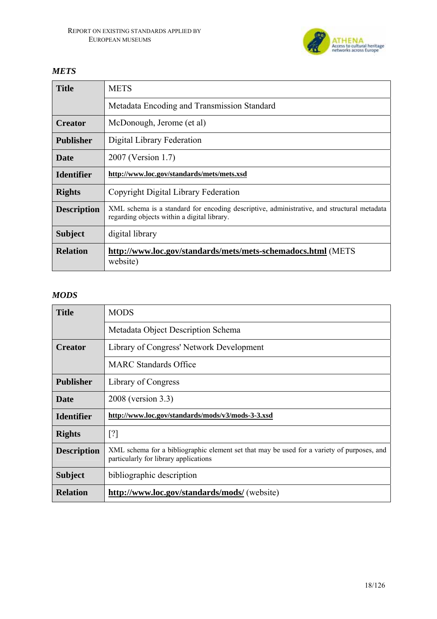

# *METS*

| <b>Title</b>       | <b>METS</b>                                                                                                                               |
|--------------------|-------------------------------------------------------------------------------------------------------------------------------------------|
|                    | Metadata Encoding and Transmission Standard                                                                                               |
| <b>Creator</b>     | McDonough, Jerome (et al)                                                                                                                 |
| <b>Publisher</b>   | Digital Library Federation                                                                                                                |
| <b>Date</b>        | 2007 (Version 1.7)                                                                                                                        |
| <b>Identifier</b>  | http://www.loc.gov/standards/mets/mets.xsd                                                                                                |
| <b>Rights</b>      | Copyright Digital Library Federation                                                                                                      |
| <b>Description</b> | XML schema is a standard for encoding descriptive, administrative, and structural metadata<br>regarding objects within a digital library. |
| <b>Subject</b>     | digital library                                                                                                                           |
| <b>Relation</b>    | http://www.loc.gov/standards/mets/mets-schemadocs.html (METS<br>website)                                                                  |

# *MODS*

| <b>Title</b>       | <b>MODS</b>                                                                                                                         |
|--------------------|-------------------------------------------------------------------------------------------------------------------------------------|
|                    | Metadata Object Description Schema                                                                                                  |
| <b>Creator</b>     | Library of Congress' Network Development                                                                                            |
|                    | <b>MARC</b> Standards Office                                                                                                        |
| <b>Publisher</b>   | Library of Congress                                                                                                                 |
| <b>Date</b>        | 2008 (version 3.3)                                                                                                                  |
| <b>Identifier</b>  | http://www.loc.gov/standards/mods/v3/mods-3-3.xsd                                                                                   |
| <b>Rights</b>      | [?]                                                                                                                                 |
| <b>Description</b> | XML schema for a bibliographic element set that may be used for a variety of purposes, and<br>particularly for library applications |
| <b>Subject</b>     | bibliographic description                                                                                                           |
| <b>Relation</b>    | http://www.loc.gov/standards/mods/ (website)                                                                                        |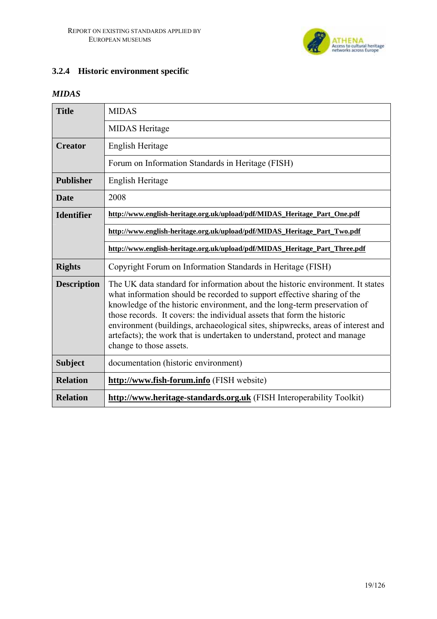

# **3.2.4 Historic environment specific**

### *MIDAS*

| <b>Title</b>       | <b>MIDAS</b>                                                                                                                                                                                                                                                                                                                                                                                                                                                                                               |
|--------------------|------------------------------------------------------------------------------------------------------------------------------------------------------------------------------------------------------------------------------------------------------------------------------------------------------------------------------------------------------------------------------------------------------------------------------------------------------------------------------------------------------------|
|                    | <b>MIDAS</b> Heritage                                                                                                                                                                                                                                                                                                                                                                                                                                                                                      |
| <b>Creator</b>     | English Heritage                                                                                                                                                                                                                                                                                                                                                                                                                                                                                           |
|                    | Forum on Information Standards in Heritage (FISH)                                                                                                                                                                                                                                                                                                                                                                                                                                                          |
| <b>Publisher</b>   | English Heritage                                                                                                                                                                                                                                                                                                                                                                                                                                                                                           |
| <b>Date</b>        | 2008                                                                                                                                                                                                                                                                                                                                                                                                                                                                                                       |
| <b>Identifier</b>  | http://www.english-heritage.org.uk/upload/pdf/MIDAS Heritage Part One.pdf                                                                                                                                                                                                                                                                                                                                                                                                                                  |
|                    | http://www.english-heritage.org.uk/upload/pdf/MIDAS Heritage Part Two.pdf                                                                                                                                                                                                                                                                                                                                                                                                                                  |
|                    | http://www.english-heritage.org.uk/upload/pdf/MIDAS_Heritage_Part_Three.pdf                                                                                                                                                                                                                                                                                                                                                                                                                                |
| <b>Rights</b>      | Copyright Forum on Information Standards in Heritage (FISH)                                                                                                                                                                                                                                                                                                                                                                                                                                                |
| <b>Description</b> | The UK data standard for information about the historic environment. It states<br>what information should be recorded to support effective sharing of the<br>knowledge of the historic environment, and the long-term preservation of<br>those records. It covers: the individual assets that form the historic<br>environment (buildings, archaeological sites, shipwrecks, areas of interest and<br>artefacts); the work that is undertaken to understand, protect and manage<br>change to those assets. |
| <b>Subject</b>     | documentation (historic environment)                                                                                                                                                                                                                                                                                                                                                                                                                                                                       |
| <b>Relation</b>    | http://www.fish-forum.info (FISH website)                                                                                                                                                                                                                                                                                                                                                                                                                                                                  |
| <b>Relation</b>    | http://www.heritage-standards.org.uk (FISH Interoperability Toolkit)                                                                                                                                                                                                                                                                                                                                                                                                                                       |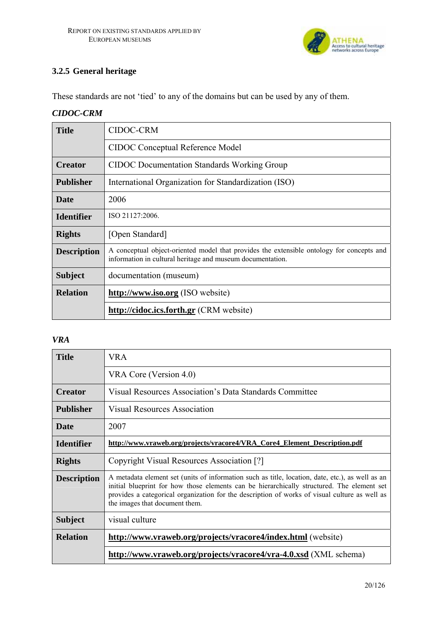

# **3.2.5 General heritage**

These standards are not 'tied' to any of the domains but can be used by any of them.

### *CIDOC-CRM*

| <b>Title</b>       | <b>CIDOC-CRM</b>                                                                                                                                        |
|--------------------|---------------------------------------------------------------------------------------------------------------------------------------------------------|
|                    | <b>CIDOC</b> Conceptual Reference Model                                                                                                                 |
| <b>Creator</b>     | <b>CIDOC</b> Documentation Standards Working Group                                                                                                      |
| <b>Publisher</b>   | International Organization for Standardization (ISO)                                                                                                    |
| <b>Date</b>        | 2006                                                                                                                                                    |
| <b>Identifier</b>  | ISO 21127:2006.                                                                                                                                         |
| <b>Rights</b>      | [Open Standard]                                                                                                                                         |
| <b>Description</b> | A conceptual object-oriented model that provides the extensible ontology for concepts and<br>information in cultural heritage and museum documentation. |
| <b>Subject</b>     | documentation (museum)                                                                                                                                  |
| <b>Relation</b>    | http://www.iso.org (ISO website)                                                                                                                        |
|                    | http://cidoc.ics.forth.gr (CRM website)                                                                                                                 |

### *VRA*

| <b>Title</b>       | <b>VRA</b>                                                                                                                                                                                                                                                                                                                        |
|--------------------|-----------------------------------------------------------------------------------------------------------------------------------------------------------------------------------------------------------------------------------------------------------------------------------------------------------------------------------|
|                    | VRA Core (Version 4.0)                                                                                                                                                                                                                                                                                                            |
| <b>Creator</b>     | Visual Resources Association's Data Standards Committee                                                                                                                                                                                                                                                                           |
| <b>Publisher</b>   | <b>Visual Resources Association</b>                                                                                                                                                                                                                                                                                               |
| <b>Date</b>        | 2007                                                                                                                                                                                                                                                                                                                              |
| <b>Identifier</b>  | http://www.vraweb.org/projects/vracore4/VRA Core4 Element Description.pdf                                                                                                                                                                                                                                                         |
| <b>Rights</b>      | Copyright Visual Resources Association [?]                                                                                                                                                                                                                                                                                        |
| <b>Description</b> | A metadata element set (units of information such as title, location, date, etc.), as well as an<br>initial blueprint for how those elements can be hierarchically structured. The element set<br>provides a categorical organization for the description of works of visual culture as well as<br>the images that document them. |
| <b>Subject</b>     | visual culture                                                                                                                                                                                                                                                                                                                    |
| <b>Relation</b>    | http://www.vraweb.org/projects/vracore4/index.html (website)                                                                                                                                                                                                                                                                      |
|                    | http://www.vraweb.org/projects/vracore4/vra-4.0.xsd (XML schema)                                                                                                                                                                                                                                                                  |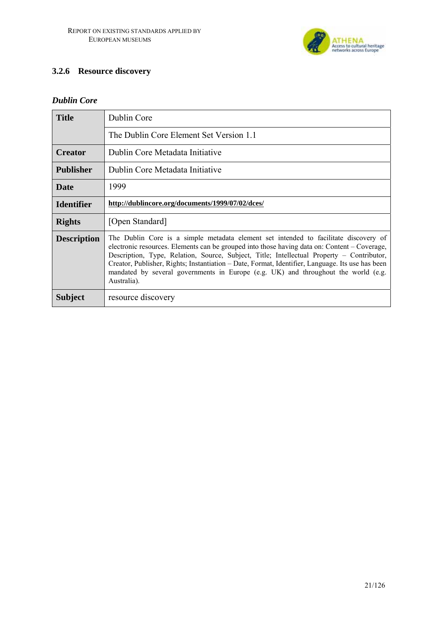

# **3.2.6 Resource discovery**

### *Dublin Core*

| <b>Title</b>       | Dublin Core                                                                                                                                                                                                                                                                                                                                                                                                                                                                                |
|--------------------|--------------------------------------------------------------------------------------------------------------------------------------------------------------------------------------------------------------------------------------------------------------------------------------------------------------------------------------------------------------------------------------------------------------------------------------------------------------------------------------------|
|                    | The Dublin Core Element Set Version 1.1                                                                                                                                                                                                                                                                                                                                                                                                                                                    |
| <b>Creator</b>     | Dublin Core Metadata Initiative                                                                                                                                                                                                                                                                                                                                                                                                                                                            |
| <b>Publisher</b>   | Dublin Core Metadata Initiative                                                                                                                                                                                                                                                                                                                                                                                                                                                            |
| Date               | 1999                                                                                                                                                                                                                                                                                                                                                                                                                                                                                       |
| <b>Identifier</b>  | http://dublincore.org/documents/1999/07/02/dces/                                                                                                                                                                                                                                                                                                                                                                                                                                           |
| <b>Rights</b>      | [Open Standard]                                                                                                                                                                                                                                                                                                                                                                                                                                                                            |
| <b>Description</b> | The Dublin Core is a simple metadata element set intended to facilitate discovery of<br>electronic resources. Elements can be grouped into those having data on: Content – Coverage,<br>Description, Type, Relation, Source, Subject, Title; Intellectual Property – Contributor,<br>Creator, Publisher, Rights; Instantiation – Date, Format, Identifier, Language. Its use has been<br>mandated by several governments in Europe (e.g. UK) and throughout the world (e.g.<br>Australia). |
| <b>Subject</b>     | resource discovery                                                                                                                                                                                                                                                                                                                                                                                                                                                                         |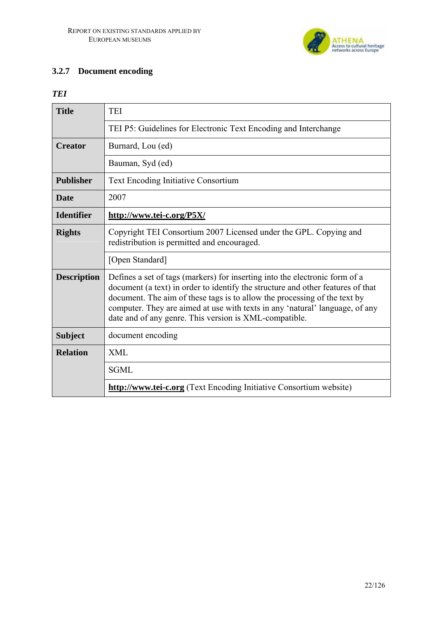

# **3.2.7 Document encoding**

### *TEI*

| <b>Title</b>       | <b>TEI</b>                                                                                                                                                                                                                                                                                                                                                                            |
|--------------------|---------------------------------------------------------------------------------------------------------------------------------------------------------------------------------------------------------------------------------------------------------------------------------------------------------------------------------------------------------------------------------------|
|                    | TEI P5: Guidelines for Electronic Text Encoding and Interchange                                                                                                                                                                                                                                                                                                                       |
| <b>Creator</b>     | Burnard, Lou (ed)                                                                                                                                                                                                                                                                                                                                                                     |
|                    | Bauman, Syd (ed)                                                                                                                                                                                                                                                                                                                                                                      |
| <b>Publisher</b>   | <b>Text Encoding Initiative Consortium</b>                                                                                                                                                                                                                                                                                                                                            |
| <b>Date</b>        | 2007                                                                                                                                                                                                                                                                                                                                                                                  |
| <b>Identifier</b>  | http://www.tei-c.org/P5X/                                                                                                                                                                                                                                                                                                                                                             |
| <b>Rights</b>      | Copyright TEI Consortium 2007 Licensed under the GPL. Copying and<br>redistribution is permitted and encouraged.                                                                                                                                                                                                                                                                      |
|                    | [Open Standard]                                                                                                                                                                                                                                                                                                                                                                       |
| <b>Description</b> | Defines a set of tags (markers) for inserting into the electronic form of a<br>document (a text) in order to identify the structure and other features of that<br>document. The aim of these tags is to allow the processing of the text by<br>computer. They are aimed at use with texts in any 'natural' language, of any<br>date and of any genre. This version is XML-compatible. |
| <b>Subject</b>     | document encoding                                                                                                                                                                                                                                                                                                                                                                     |
| <b>Relation</b>    | <b>XML</b>                                                                                                                                                                                                                                                                                                                                                                            |
|                    | <b>SGML</b>                                                                                                                                                                                                                                                                                                                                                                           |
|                    | <b>http://www.tei-c.org</b> (Text Encoding Initiative Consortium website)                                                                                                                                                                                                                                                                                                             |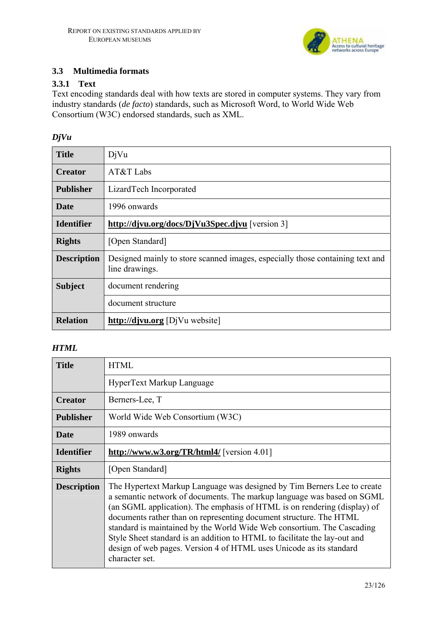

# **3.3 Multimedia formats**

### **3.3.1 Text**

Text encoding standards deal with how texts are stored in computer systems. They vary from industry standards (*de facto*) standards, such as Microsoft Word, to World Wide Web Consortium (W3C) endorsed standards, such as XML.

# *DjVu*

| <b>Title</b>       | DjVu                                                                                            |
|--------------------|-------------------------------------------------------------------------------------------------|
| <b>Creator</b>     | AT&T Labs                                                                                       |
| <b>Publisher</b>   | LizardTech Incorporated                                                                         |
| Date               | 1996 onwards                                                                                    |
| <b>Identifier</b>  | http://djvu.org/docs/DjVu3Spec.djvu [version 3]                                                 |
| <b>Rights</b>      | [Open Standard]                                                                                 |
| <b>Description</b> | Designed mainly to store scanned images, especially those containing text and<br>line drawings. |
| <b>Subject</b>     | document rendering                                                                              |
|                    | document structure                                                                              |
| <b>Relation</b>    | http://djvu.org [DjVu website]                                                                  |

### *HTML*

| <b>Title</b>       | <b>HTML</b>                                                                                                                                                                                                                                                                                                                                                                                                                                                                                                                                         |
|--------------------|-----------------------------------------------------------------------------------------------------------------------------------------------------------------------------------------------------------------------------------------------------------------------------------------------------------------------------------------------------------------------------------------------------------------------------------------------------------------------------------------------------------------------------------------------------|
|                    | HyperText Markup Language                                                                                                                                                                                                                                                                                                                                                                                                                                                                                                                           |
| <b>Creator</b>     | Berners-Lee, T                                                                                                                                                                                                                                                                                                                                                                                                                                                                                                                                      |
| <b>Publisher</b>   | World Wide Web Consortium (W3C)                                                                                                                                                                                                                                                                                                                                                                                                                                                                                                                     |
| <b>Date</b>        | 1989 onwards                                                                                                                                                                                                                                                                                                                                                                                                                                                                                                                                        |
| <b>Identifier</b>  | http://www.w3.org/TR/html4/ [version 4.01]                                                                                                                                                                                                                                                                                                                                                                                                                                                                                                          |
| <b>Rights</b>      | [Open Standard]                                                                                                                                                                                                                                                                                                                                                                                                                                                                                                                                     |
| <b>Description</b> | The Hypertext Markup Language was designed by Tim Berners Lee to create<br>a semantic network of documents. The markup language was based on SGML<br>(an SGML application). The emphasis of HTML is on rendering (display) of<br>documents rather than on representing document structure. The HTML<br>standard is maintained by the World Wide Web consortium. The Cascading<br>Style Sheet standard is an addition to HTML to facilitate the lay-out and<br>design of web pages. Version 4 of HTML uses Unicode as its standard<br>character set. |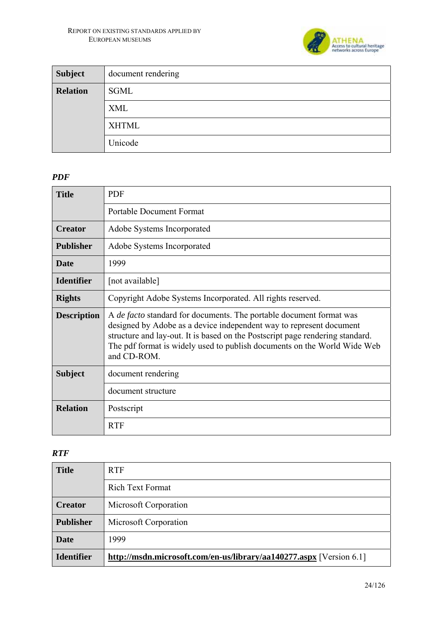

| <b>Subject</b>  | document rendering |
|-----------------|--------------------|
| <b>Relation</b> | SGML               |
|                 | <b>XML</b>         |
|                 | <b>XHTML</b>       |
|                 | Unicode            |

# *PDF*

| <b>Title</b>       | <b>PDF</b>                                                                                                                                                                                                                                                                                                                    |
|--------------------|-------------------------------------------------------------------------------------------------------------------------------------------------------------------------------------------------------------------------------------------------------------------------------------------------------------------------------|
|                    | <b>Portable Document Format</b>                                                                                                                                                                                                                                                                                               |
| <b>Creator</b>     | Adobe Systems Incorporated                                                                                                                                                                                                                                                                                                    |
| <b>Publisher</b>   | Adobe Systems Incorporated                                                                                                                                                                                                                                                                                                    |
| <b>Date</b>        | 1999                                                                                                                                                                                                                                                                                                                          |
| <b>Identifier</b>  | [not available]                                                                                                                                                                                                                                                                                                               |
| <b>Rights</b>      | Copyright Adobe Systems Incorporated. All rights reserved.                                                                                                                                                                                                                                                                    |
| <b>Description</b> | A <i>de facto</i> standard for documents. The portable document format was<br>designed by Adobe as a device independent way to represent document<br>structure and lay-out. It is based on the Postscript page rendering standard.<br>The pdf format is widely used to publish documents on the World Wide Web<br>and CD-ROM. |
| <b>Subject</b>     | document rendering                                                                                                                                                                                                                                                                                                            |
|                    | document structure                                                                                                                                                                                                                                                                                                            |
| <b>Relation</b>    | Postscript                                                                                                                                                                                                                                                                                                                    |
|                    | <b>RTF</b>                                                                                                                                                                                                                                                                                                                    |

#### *RTF*

| <b>Title</b>      | <b>RTF</b>                                                          |
|-------------------|---------------------------------------------------------------------|
|                   | <b>Rich Text Format</b>                                             |
| <b>Creator</b>    | Microsoft Corporation                                               |
| <b>Publisher</b>  | Microsoft Corporation                                               |
| <b>Date</b>       | 1999                                                                |
| <b>Identifier</b> | http://msdn.microsoft.com/en-us/library/aa140277.aspx [Version 6.1] |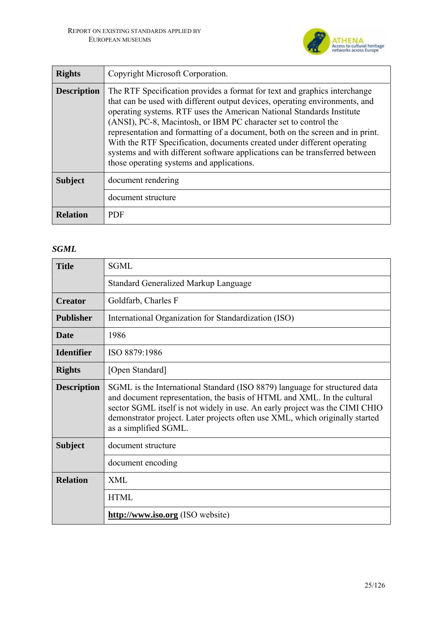

| <b>Rights</b>      | Copyright Microsoft Corporation.                                                                                                                                                                                                                                                                                                                                                                                                                                                                                                                                                             |
|--------------------|----------------------------------------------------------------------------------------------------------------------------------------------------------------------------------------------------------------------------------------------------------------------------------------------------------------------------------------------------------------------------------------------------------------------------------------------------------------------------------------------------------------------------------------------------------------------------------------------|
| <b>Description</b> | The RTF Specification provides a format for text and graphics interchange<br>that can be used with different output devices, operating environments, and<br>operating systems. RTF uses the American National Standards Institute<br>(ANSI), PC-8, Macintosh, or IBM PC character set to control the<br>representation and formatting of a document, both on the screen and in print.<br>With the RTF Specification, documents created under different operating<br>systems and with different software applications can be transferred between<br>those operating systems and applications. |
| <b>Subject</b>     | document rendering                                                                                                                                                                                                                                                                                                                                                                                                                                                                                                                                                                           |
|                    | document structure                                                                                                                                                                                                                                                                                                                                                                                                                                                                                                                                                                           |
| <b>Relation</b>    | <b>PDF</b>                                                                                                                                                                                                                                                                                                                                                                                                                                                                                                                                                                                   |

# *SGML*

| <b>Title</b>       | <b>SGML</b>                                                                                                                                                                                                                                                                                                                                   |
|--------------------|-----------------------------------------------------------------------------------------------------------------------------------------------------------------------------------------------------------------------------------------------------------------------------------------------------------------------------------------------|
|                    | <b>Standard Generalized Markup Language</b>                                                                                                                                                                                                                                                                                                   |
| <b>Creator</b>     | Goldfarb, Charles F                                                                                                                                                                                                                                                                                                                           |
| <b>Publisher</b>   | International Organization for Standardization (ISO)                                                                                                                                                                                                                                                                                          |
| <b>Date</b>        | 1986                                                                                                                                                                                                                                                                                                                                          |
| <b>Identifier</b>  | ISO 8879:1986                                                                                                                                                                                                                                                                                                                                 |
| <b>Rights</b>      | [Open Standard]                                                                                                                                                                                                                                                                                                                               |
| <b>Description</b> | SGML is the International Standard (ISO 8879) language for structured data<br>and document representation, the basis of HTML and XML. In the cultural<br>sector SGML itself is not widely in use. An early project was the CIMI CHIO<br>demonstrator project. Later projects often use XML, which originally started<br>as a simplified SGML. |
| <b>Subject</b>     | document structure                                                                                                                                                                                                                                                                                                                            |
|                    | document encoding                                                                                                                                                                                                                                                                                                                             |
| <b>Relation</b>    | XML                                                                                                                                                                                                                                                                                                                                           |
|                    | <b>HTML</b>                                                                                                                                                                                                                                                                                                                                   |
|                    | http://www.iso.org (ISO website)                                                                                                                                                                                                                                                                                                              |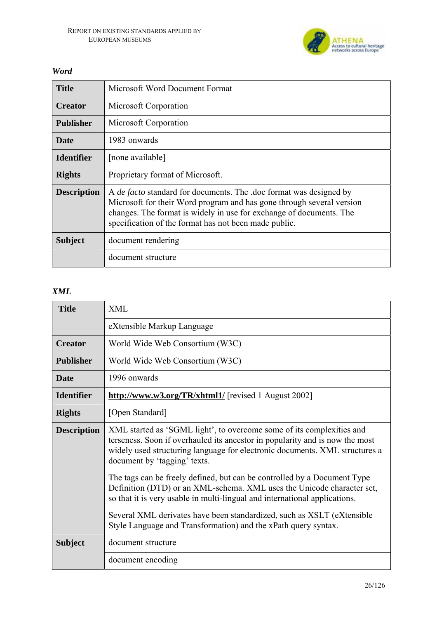

| <b>Title</b>       | Microsoft Word Document Format                                                                                                                                                                                                                                                     |
|--------------------|------------------------------------------------------------------------------------------------------------------------------------------------------------------------------------------------------------------------------------------------------------------------------------|
| <b>Creator</b>     | Microsoft Corporation                                                                                                                                                                                                                                                              |
| <b>Publisher</b>   | Microsoft Corporation                                                                                                                                                                                                                                                              |
| <b>Date</b>        | 1983 onwards                                                                                                                                                                                                                                                                       |
| <b>Identifier</b>  | [none available]                                                                                                                                                                                                                                                                   |
| <b>Rights</b>      | Proprietary format of Microsoft.                                                                                                                                                                                                                                                   |
| <b>Description</b> | A <i>de facto</i> standard for documents. The .doc format was designed by<br>Microsoft for their Word program and has gone through several version<br>changes. The format is widely in use for exchange of documents. The<br>specification of the format has not been made public. |
| <b>Subject</b>     | document rendering                                                                                                                                                                                                                                                                 |
|                    | document structure                                                                                                                                                                                                                                                                 |

### *Word*

### *XML*

| <b>Title</b>       | <b>XML</b>                                                                                                                                                                                                                                                           |
|--------------------|----------------------------------------------------------------------------------------------------------------------------------------------------------------------------------------------------------------------------------------------------------------------|
|                    | eXtensible Markup Language                                                                                                                                                                                                                                           |
| <b>Creator</b>     | World Wide Web Consortium (W3C)                                                                                                                                                                                                                                      |
| <b>Publisher</b>   | World Wide Web Consortium (W3C)                                                                                                                                                                                                                                      |
| <b>Date</b>        | 1996 onwards                                                                                                                                                                                                                                                         |
| <b>Identifier</b>  | http://www.w3.org/TR/xhtml1/ [revised 1 August 2002]                                                                                                                                                                                                                 |
| <b>Rights</b>      | [Open Standard]                                                                                                                                                                                                                                                      |
| <b>Description</b> | XML started as 'SGML light', to overcome some of its complexities and<br>terseness. Soon if overhauled its ancestor in popularity and is now the most<br>widely used structuring language for electronic documents. XML structures a<br>document by 'tagging' texts. |
|                    | The tags can be freely defined, but can be controlled by a Document Type<br>Definition (DTD) or an XML-schema. XML uses the Unicode character set,<br>so that it is very usable in multi-lingual and international applications.                                     |
|                    | Several XML derivates have been standardized, such as XSLT (eXtensible<br>Style Language and Transformation) and the xPath query syntax.                                                                                                                             |
| <b>Subject</b>     | document structure                                                                                                                                                                                                                                                   |
|                    | document encoding                                                                                                                                                                                                                                                    |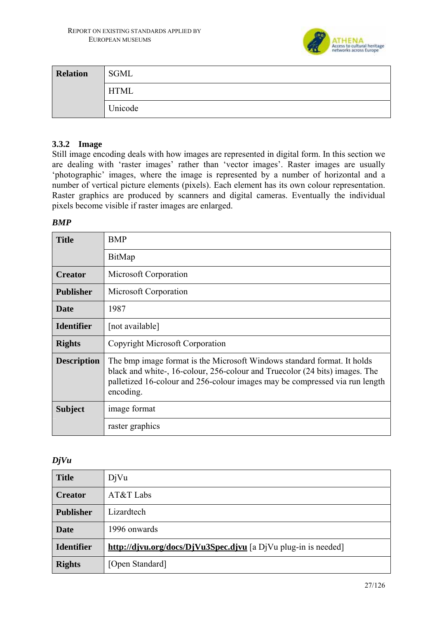

| <b>Relation</b> | SGML        |
|-----------------|-------------|
|                 | <b>HTML</b> |
|                 | Unicode     |

### **3.3.2 Image**

Still image encoding deals with how images are represented in digital form. In this section we are dealing with 'raster images' rather than 'vector images'. Raster images are usually 'photographic' images, where the image is represented by a number of horizontal and a number of vertical picture elements (pixels). Each element has its own colour representation. Raster graphics are produced by scanners and digital cameras. Eventually the individual pixels become visible if raster images are enlarged.

#### *BMP*

| <b>Title</b>       | BMP                                                                                                                                                                                                                                                |
|--------------------|----------------------------------------------------------------------------------------------------------------------------------------------------------------------------------------------------------------------------------------------------|
|                    | BitMap                                                                                                                                                                                                                                             |
| <b>Creator</b>     | Microsoft Corporation                                                                                                                                                                                                                              |
| <b>Publisher</b>   | Microsoft Corporation                                                                                                                                                                                                                              |
| <b>Date</b>        | 1987                                                                                                                                                                                                                                               |
| <b>Identifier</b>  | [not available]                                                                                                                                                                                                                                    |
| <b>Rights</b>      | Copyright Microsoft Corporation                                                                                                                                                                                                                    |
| <b>Description</b> | The bmp image format is the Microsoft Windows standard format. It holds<br>black and white-, 16-colour, 256-colour and Truecolor (24 bits) images. The<br>palletized 16-colour and 256-colour images may be compressed via run length<br>encoding. |
| <b>Subject</b>     | image format                                                                                                                                                                                                                                       |
|                    | raster graphics                                                                                                                                                                                                                                    |

### *DjVu*

| <b>Title</b>      | DiVu                                                           |
|-------------------|----------------------------------------------------------------|
| <b>Creator</b>    | AT&T Labs                                                      |
| <b>Publisher</b>  | Lizardtech                                                     |
| <b>Date</b>       | 1996 onwards                                                   |
| <b>Identifier</b> | http://djvu.org/docs/DjVu3Spec.djvu [a DjVu plug-in is needed] |
| <b>Rights</b>     | [Open Standard]                                                |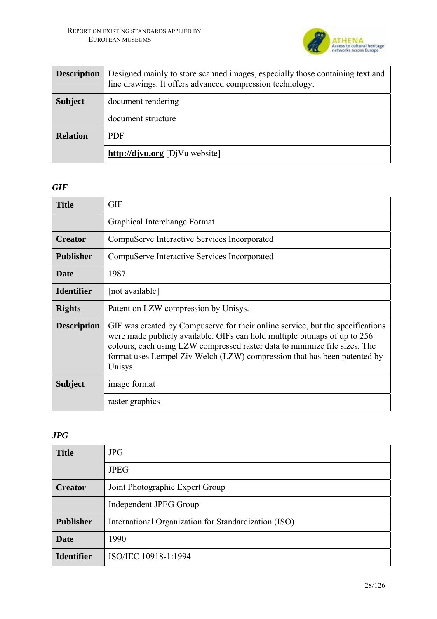

| <b>Description</b> | Designed mainly to store scanned images, especially those containing text and<br>line drawings. It offers advanced compression technology. |
|--------------------|--------------------------------------------------------------------------------------------------------------------------------------------|
| <b>Subject</b>     | document rendering                                                                                                                         |
|                    | document structure                                                                                                                         |
| <b>Relation</b>    | <b>PDF</b>                                                                                                                                 |
|                    | http://djvu.org [DjVu website]                                                                                                             |

#### *GIF*

| <b>Title</b>       | <b>GIF</b>                                                                                                                                                                                                                                                                                                                       |
|--------------------|----------------------------------------------------------------------------------------------------------------------------------------------------------------------------------------------------------------------------------------------------------------------------------------------------------------------------------|
|                    | Graphical Interchange Format                                                                                                                                                                                                                                                                                                     |
| <b>Creator</b>     | CompuServe Interactive Services Incorporated                                                                                                                                                                                                                                                                                     |
| <b>Publisher</b>   | CompuServe Interactive Services Incorporated                                                                                                                                                                                                                                                                                     |
| <b>Date</b>        | 1987                                                                                                                                                                                                                                                                                                                             |
| <b>Identifier</b>  | [not available]                                                                                                                                                                                                                                                                                                                  |
| <b>Rights</b>      | Patent on LZW compression by Unisys.                                                                                                                                                                                                                                                                                             |
| <b>Description</b> | GIF was created by Compuserve for their online service, but the specifications<br>were made publicly available. GIFs can hold multiple bitmaps of up to 256<br>colours, each using LZW compressed raster data to minimize file sizes. The<br>format uses Lempel Ziv Welch (LZW) compression that has been patented by<br>Unisys. |
| <b>Subject</b>     | image format                                                                                                                                                                                                                                                                                                                     |
|                    | raster graphics                                                                                                                                                                                                                                                                                                                  |

# *JPG*

| <b>Title</b>      | <b>JPG</b>                                           |
|-------------------|------------------------------------------------------|
|                   | <b>JPEG</b>                                          |
| <b>Creator</b>    | Joint Photographic Expert Group                      |
|                   | Independent JPEG Group                               |
| <b>Publisher</b>  | International Organization for Standardization (ISO) |
| <b>Date</b>       | 1990                                                 |
| <b>Identifier</b> | ISO/IEC 10918-1:1994                                 |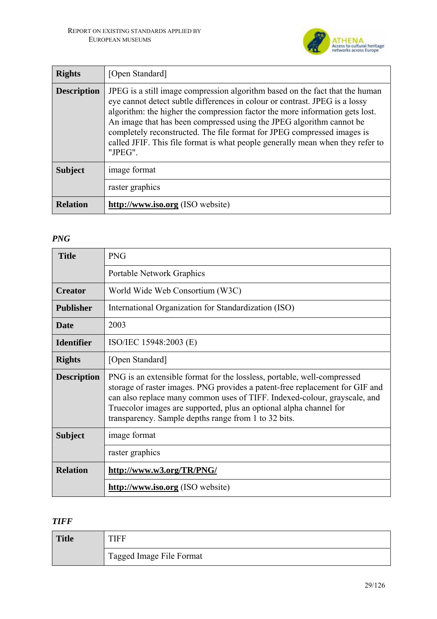

| <b>Rights</b>      | [Open Standard]                                                                                                                                                                                                                                                                                                                                                                                                                                                                             |
|--------------------|---------------------------------------------------------------------------------------------------------------------------------------------------------------------------------------------------------------------------------------------------------------------------------------------------------------------------------------------------------------------------------------------------------------------------------------------------------------------------------------------|
| <b>Description</b> | JPEG is a still image compression algorithm based on the fact that the human<br>eye cannot detect subtle differences in colour or contrast. JPEG is a lossy<br>algorithm: the higher the compression factor the more information gets lost.<br>An image that has been compressed using the JPEG algorithm cannot be<br>completely reconstructed. The file format for JPEG compressed images is<br>called JFIF. This file format is what people generally mean when they refer to<br>"JPEG". |
| <b>Subject</b>     | image format                                                                                                                                                                                                                                                                                                                                                                                                                                                                                |
|                    | raster graphics                                                                                                                                                                                                                                                                                                                                                                                                                                                                             |
| <b>Relation</b>    | http://www.iso.org (ISO website)                                                                                                                                                                                                                                                                                                                                                                                                                                                            |

### *PNG*

| <b>Title</b>       | <b>PNG</b>                                                                                                                                                                                                                                                                                                                                                         |
|--------------------|--------------------------------------------------------------------------------------------------------------------------------------------------------------------------------------------------------------------------------------------------------------------------------------------------------------------------------------------------------------------|
|                    | <b>Portable Network Graphics</b>                                                                                                                                                                                                                                                                                                                                   |
| <b>Creator</b>     | World Wide Web Consortium (W3C)                                                                                                                                                                                                                                                                                                                                    |
| <b>Publisher</b>   | International Organization for Standardization (ISO)                                                                                                                                                                                                                                                                                                               |
| <b>Date</b>        | 2003                                                                                                                                                                                                                                                                                                                                                               |
| <b>Identifier</b>  | ISO/IEC 15948:2003 (E)                                                                                                                                                                                                                                                                                                                                             |
| <b>Rights</b>      | [Open Standard]                                                                                                                                                                                                                                                                                                                                                    |
| <b>Description</b> | PNG is an extensible format for the lossless, portable, well-compressed<br>storage of raster images. PNG provides a patent-free replacement for GIF and<br>can also replace many common uses of TIFF. Indexed-colour, grayscale, and<br>Truecolor images are supported, plus an optional alpha channel for<br>transparency. Sample depths range from 1 to 32 bits. |
| <b>Subject</b>     | image format                                                                                                                                                                                                                                                                                                                                                       |
|                    | raster graphics                                                                                                                                                                                                                                                                                                                                                    |
| <b>Relation</b>    | http://www.w3.org/TR/PNG/                                                                                                                                                                                                                                                                                                                                          |
|                    | http://www.iso.org (ISO website)                                                                                                                                                                                                                                                                                                                                   |

# *TIFF*

| <b>Title</b> |                          |
|--------------|--------------------------|
|              | Tagged Image File Format |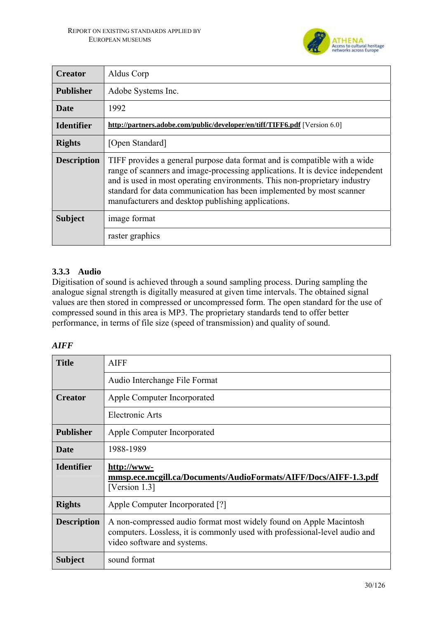

| <b>Creator</b>     | Aldus Corp                                                                                                                                                                                                                                                                                                                                                            |
|--------------------|-----------------------------------------------------------------------------------------------------------------------------------------------------------------------------------------------------------------------------------------------------------------------------------------------------------------------------------------------------------------------|
| <b>Publisher</b>   | Adobe Systems Inc.                                                                                                                                                                                                                                                                                                                                                    |
| <b>Date</b>        | 1992                                                                                                                                                                                                                                                                                                                                                                  |
| <b>Identifier</b>  | http://partners.adobe.com/public/developer/en/tiff/TIFF6.pdf [Version 6.0]                                                                                                                                                                                                                                                                                            |
| <b>Rights</b>      | [Open Standard]                                                                                                                                                                                                                                                                                                                                                       |
| <b>Description</b> | TIFF provides a general purpose data format and is compatible with a wide<br>range of scanners and image-processing applications. It is device independent<br>and is used in most operating environments. This non-proprietary industry<br>standard for data communication has been implemented by most scanner<br>manufacturers and desktop publishing applications. |
| <b>Subject</b>     | image format                                                                                                                                                                                                                                                                                                                                                          |
|                    | raster graphics                                                                                                                                                                                                                                                                                                                                                       |

# **3.3.3 Audio**

Digitisation of sound is achieved through a sound sampling process. During sampling the analogue signal strength is digitally measured at given time intervals. The obtained signal values are then stored in compressed or uncompressed form. The open standard for the use of compressed sound in this area is MP3. The proprietary standards tend to offer better performance, in terms of file size (speed of transmission) and quality of sound.

### *AIFF*

| <b>Title</b>       | <b>AIFF</b>                                                                                                                                                                     |
|--------------------|---------------------------------------------------------------------------------------------------------------------------------------------------------------------------------|
|                    | Audio Interchange File Format                                                                                                                                                   |
| <b>Creator</b>     | Apple Computer Incorporated                                                                                                                                                     |
|                    | <b>Electronic Arts</b>                                                                                                                                                          |
| <b>Publisher</b>   | Apple Computer Incorporated                                                                                                                                                     |
| Date               | 1988-1989                                                                                                                                                                       |
|                    |                                                                                                                                                                                 |
| <b>Identifier</b>  | http://www-<br>mmsp.ece.mcgill.ca/Documents/AudioFormats/AIFF/Docs/AIFF-1.3.pdf<br>[Version 1.3]                                                                                |
| <b>Rights</b>      | Apple Computer Incorporated [?]                                                                                                                                                 |
| <b>Description</b> | A non-compressed audio format most widely found on Apple Macintosh<br>computers. Lossless, it is commonly used with professional-level audio and<br>video software and systems. |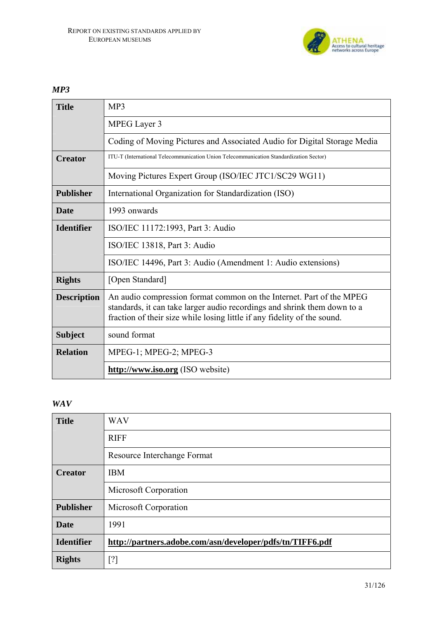

*MP3* 

| <b>Title</b>       | MP3                                                                                                                                                                                                                          |
|--------------------|------------------------------------------------------------------------------------------------------------------------------------------------------------------------------------------------------------------------------|
|                    | MPEG Layer 3                                                                                                                                                                                                                 |
|                    | Coding of Moving Pictures and Associated Audio for Digital Storage Media                                                                                                                                                     |
| <b>Creator</b>     | ITU-T (International Telecommunication Union Telecommunication Standardization Sector)                                                                                                                                       |
|                    | Moving Pictures Expert Group (ISO/IEC JTC1/SC29 WG11)                                                                                                                                                                        |
| <b>Publisher</b>   | International Organization for Standardization (ISO)                                                                                                                                                                         |
| Date               | 1993 onwards                                                                                                                                                                                                                 |
| <b>Identifier</b>  | ISO/IEC 11172:1993, Part 3: Audio                                                                                                                                                                                            |
|                    | ISO/IEC 13818, Part 3: Audio                                                                                                                                                                                                 |
|                    | ISO/IEC 14496, Part 3: Audio (Amendment 1: Audio extensions)                                                                                                                                                                 |
| <b>Rights</b>      | [Open Standard]                                                                                                                                                                                                              |
| <b>Description</b> | An audio compression format common on the Internet. Part of the MPEG<br>standards, it can take larger audio recordings and shrink them down to a<br>fraction of their size while losing little if any fidelity of the sound. |
| <b>Subject</b>     | sound format                                                                                                                                                                                                                 |
| <b>Relation</b>    | MPEG-1; MPEG-2; MPEG-3                                                                                                                                                                                                       |
|                    | http://www.iso.org (ISO website)                                                                                                                                                                                             |

#### *WAV*

| <b>Title</b>      | <b>WAV</b>                                                                                                                                                                         |
|-------------------|------------------------------------------------------------------------------------------------------------------------------------------------------------------------------------|
|                   | <b>RIFF</b>                                                                                                                                                                        |
|                   | Resource Interchange Format                                                                                                                                                        |
| <b>Creator</b>    | <b>IBM</b>                                                                                                                                                                         |
|                   | Microsoft Corporation                                                                                                                                                              |
| <b>Publisher</b>  | Microsoft Corporation                                                                                                                                                              |
| <b>Date</b>       | 1991                                                                                                                                                                               |
| <b>Identifier</b> | http://partners.adobe.com/asn/developer/pdfs/tn/TIFF6.pdf                                                                                                                          |
| <b>Rights</b>     | $[?] % \begin{subfigure}[t]{0.45\textwidth} \includegraphics[width=\textwidth]{figures/fig_10.pdf} \caption{The figure shows the results of the proposed method.} \label{fig:2} %$ |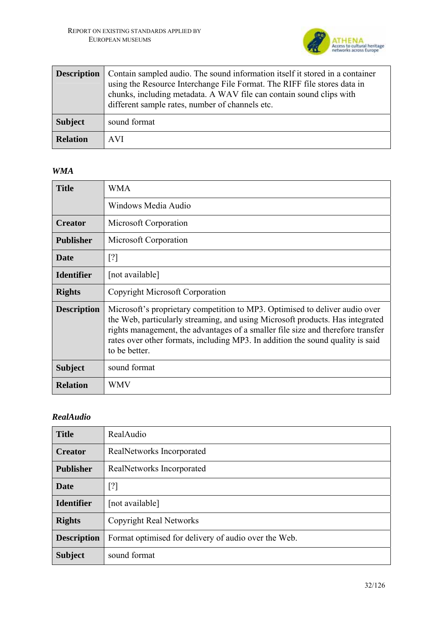

| <b>Description</b> | Contain sampled audio. The sound information itself it stored in a container<br>using the Resource Interchange File Format. The RIFF file stores data in<br>chunks, including metadata. A WAV file can contain sound clips with<br>different sample rates, number of channels etc. |
|--------------------|------------------------------------------------------------------------------------------------------------------------------------------------------------------------------------------------------------------------------------------------------------------------------------|
| <b>Subject</b>     | sound format                                                                                                                                                                                                                                                                       |
| <b>Relation</b>    | <b>AVI</b>                                                                                                                                                                                                                                                                         |

#### *WMA*

| <b>Title</b>       | <b>WMA</b>                                                                                                                                                                                                                                                                                                                                         |
|--------------------|----------------------------------------------------------------------------------------------------------------------------------------------------------------------------------------------------------------------------------------------------------------------------------------------------------------------------------------------------|
|                    | Windows Media Audio                                                                                                                                                                                                                                                                                                                                |
| <b>Creator</b>     | Microsoft Corporation                                                                                                                                                                                                                                                                                                                              |
| <b>Publisher</b>   | Microsoft Corporation                                                                                                                                                                                                                                                                                                                              |
| <b>Date</b>        | $\lceil$ ?]                                                                                                                                                                                                                                                                                                                                        |
| <b>Identifier</b>  | [not available]                                                                                                                                                                                                                                                                                                                                    |
| <b>Rights</b>      | Copyright Microsoft Corporation                                                                                                                                                                                                                                                                                                                    |
| <b>Description</b> | Microsoft's proprietary competition to MP3. Optimised to deliver audio over<br>the Web, particularly streaming, and using Microsoft products. Has integrated<br>rights management, the advantages of a smaller file size and therefore transfer<br>rates over other formats, including MP3. In addition the sound quality is said<br>to be better. |
| <b>Subject</b>     | sound format                                                                                                                                                                                                                                                                                                                                       |
| <b>Relation</b>    | WMV                                                                                                                                                                                                                                                                                                                                                |

# *RealAudio*

| <b>Title</b>       | RealAudio                                            |
|--------------------|------------------------------------------------------|
| <b>Creator</b>     | RealNetworks Incorporated                            |
| <b>Publisher</b>   | RealNetworks Incorporated                            |
| <b>Date</b>        | [?]                                                  |
| <b>Identifier</b>  | [not available]                                      |
| <b>Rights</b>      | <b>Copyright Real Networks</b>                       |
| <b>Description</b> | Format optimised for delivery of audio over the Web. |
| <b>Subject</b>     | sound format                                         |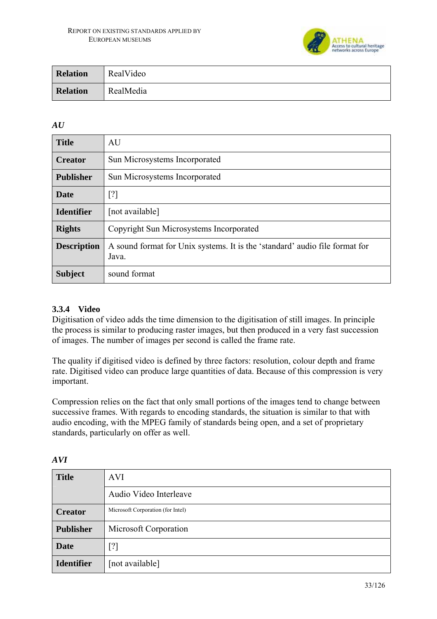

| <b>Relation</b> | RealVideo |
|-----------------|-----------|
| <b>Relation</b> | RealMedia |

### *AU*

| <b>Title</b>       | AU                                                                                   |
|--------------------|--------------------------------------------------------------------------------------|
| <b>Creator</b>     | Sun Microsystems Incorporated                                                        |
| <b>Publisher</b>   | Sun Microsystems Incorporated                                                        |
| <b>Date</b>        | $\lceil$ ?]                                                                          |
| <b>Identifier</b>  | [not available]                                                                      |
| <b>Rights</b>      | Copyright Sun Microsystems Incorporated                                              |
| <b>Description</b> | A sound format for Unix systems. It is the 'standard' audio file format for<br>Java. |
| <b>Subject</b>     | sound format                                                                         |

### **3.3.4 Video**

Digitisation of video adds the time dimension to the digitisation of still images. In principle the process is similar to producing raster images, but then produced in a very fast succession of images. The number of images per second is called the frame rate.

The quality if digitised video is defined by three factors: resolution, colour depth and frame rate. Digitised video can produce large quantities of data. Because of this compression is very important.

Compression relies on the fact that only small portions of the images tend to change between successive frames. With regards to encoding standards, the situation is similar to that with audio encoding, with the MPEG family of standards being open, and a set of proprietary standards, particularly on offer as well.

| <b>Title</b>      | <b>AVI</b>                        |
|-------------------|-----------------------------------|
|                   | Audio Video Interleave            |
| <b>Creator</b>    | Microsoft Corporation (for Intel) |
| <b>Publisher</b>  | Microsoft Corporation             |
| <b>Date</b>       | $\lceil$ ?]                       |
| <b>Identifier</b> | [not available]                   |

*AVI*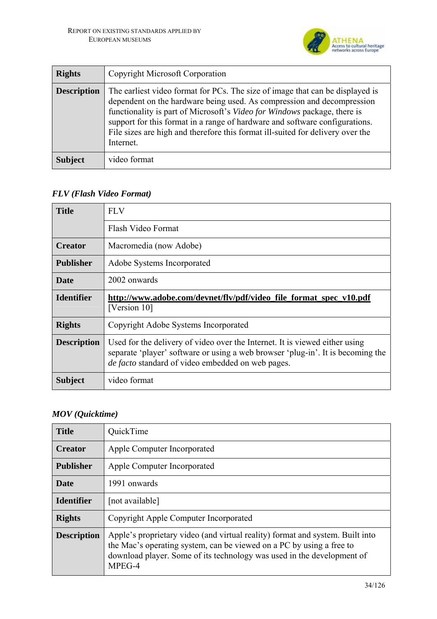

| <b>Rights</b>      | <b>Copyright Microsoft Corporation</b>                                                                                                                                                                                                                                                                                                                                                                            |
|--------------------|-------------------------------------------------------------------------------------------------------------------------------------------------------------------------------------------------------------------------------------------------------------------------------------------------------------------------------------------------------------------------------------------------------------------|
| <b>Description</b> | The earliest video format for PCs. The size of image that can be displayed is<br>dependent on the hardware being used. As compression and decompression<br>functionality is part of Microsoft's Video for Windows package, there is<br>support for this format in a range of hardware and software configurations.<br>File sizes are high and therefore this format ill-suited for delivery over the<br>Internet. |
| <b>Subject</b>     | video format                                                                                                                                                                                                                                                                                                                                                                                                      |

*FLV (Flash Video Format)* 

| <b>Title</b>       | <b>FLV</b>                                                                                                                                                                                                                 |
|--------------------|----------------------------------------------------------------------------------------------------------------------------------------------------------------------------------------------------------------------------|
|                    | Flash Video Format                                                                                                                                                                                                         |
| <b>Creator</b>     | Macromedia (now Adobe)                                                                                                                                                                                                     |
| <b>Publisher</b>   | Adobe Systems Incorporated                                                                                                                                                                                                 |
| <b>Date</b>        | 2002 onwards                                                                                                                                                                                                               |
| <b>Identifier</b>  | http://www.adobe.com/devnet/flv/pdf/video_file_format_spec_v10.pdf<br>[Version 10]                                                                                                                                         |
| <b>Rights</b>      | Copyright Adobe Systems Incorporated                                                                                                                                                                                       |
| <b>Description</b> | Used for the delivery of video over the Internet. It is viewed either using<br>separate 'player' software or using a web browser 'plug-in'. It is becoming the<br><i>de facto</i> standard of video embedded on web pages. |
| <b>Subject</b>     | video format                                                                                                                                                                                                               |

# *MOV (Quicktime)*

| <b>Title</b>       | QuickTime                                                                                                                                                                                                                                 |
|--------------------|-------------------------------------------------------------------------------------------------------------------------------------------------------------------------------------------------------------------------------------------|
| <b>Creator</b>     | Apple Computer Incorporated                                                                                                                                                                                                               |
| <b>Publisher</b>   | Apple Computer Incorporated                                                                                                                                                                                                               |
| <b>Date</b>        | 1991 onwards                                                                                                                                                                                                                              |
| <b>Identifier</b>  | [not available]                                                                                                                                                                                                                           |
| <b>Rights</b>      | Copyright Apple Computer Incorporated                                                                                                                                                                                                     |
| <b>Description</b> | Apple's proprietary video (and virtual reality) format and system. Built into<br>the Mac's operating system, can be viewed on a PC by using a free to<br>download player. Some of its technology was used in the development of<br>MPEG-4 |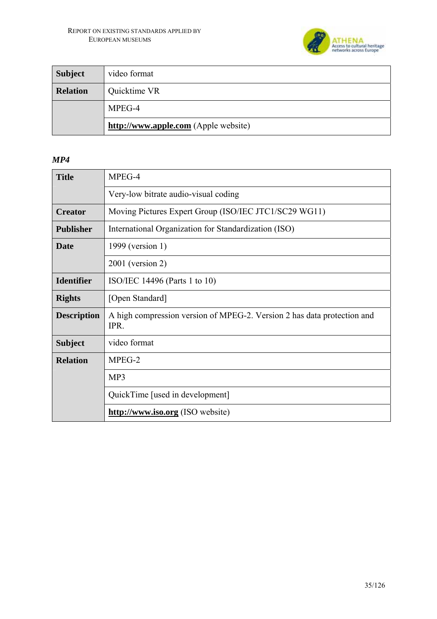

| <b>Subject</b>  | video format                         |
|-----------------|--------------------------------------|
| <b>Relation</b> | Quicktime VR                         |
|                 | MPEG-4                               |
|                 | http://www.apple.com (Apple website) |

### *MP4*

| <b>Title</b>       | MPEG-4                                                                          |
|--------------------|---------------------------------------------------------------------------------|
|                    | Very-low bitrate audio-visual coding                                            |
| <b>Creator</b>     | Moving Pictures Expert Group (ISO/IEC JTC1/SC29 WG11)                           |
| <b>Publisher</b>   | International Organization for Standardization (ISO)                            |
| Date               | 1999 (version 1)                                                                |
|                    | $2001$ (version 2)                                                              |
| <b>Identifier</b>  | ISO/IEC 14496 (Parts 1 to 10)                                                   |
| <b>Rights</b>      | [Open Standard]                                                                 |
| <b>Description</b> | A high compression version of MPEG-2. Version 2 has data protection and<br>IPR. |
| <b>Subject</b>     | video format                                                                    |
| <b>Relation</b>    | MPEG-2                                                                          |
|                    | MP3                                                                             |
|                    | QuickTime [used in development]                                                 |
|                    | http://www.iso.org (ISO website)                                                |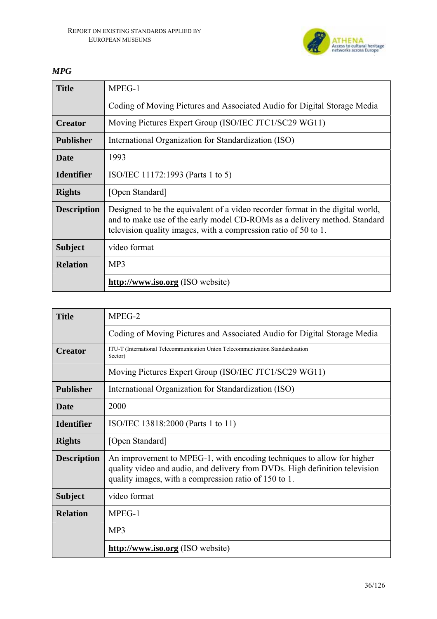

# *MPG*

| <b>Title</b>       | $MPEG-1$                                                                                                                                                                                                                       |
|--------------------|--------------------------------------------------------------------------------------------------------------------------------------------------------------------------------------------------------------------------------|
|                    | Coding of Moving Pictures and Associated Audio for Digital Storage Media                                                                                                                                                       |
| <b>Creator</b>     | Moving Pictures Expert Group (ISO/IEC JTC1/SC29 WG11)                                                                                                                                                                          |
| <b>Publisher</b>   | International Organization for Standardization (ISO)                                                                                                                                                                           |
| Date               | 1993                                                                                                                                                                                                                           |
| <b>Identifier</b>  | ISO/IEC 11172:1993 (Parts 1 to 5)                                                                                                                                                                                              |
| <b>Rights</b>      | [Open Standard]                                                                                                                                                                                                                |
| <b>Description</b> | Designed to be the equivalent of a video recorder format in the digital world,<br>and to make use of the early model CD-ROMs as a delivery method. Standard<br>television quality images, with a compression ratio of 50 to 1. |
| <b>Subject</b>     | video format                                                                                                                                                                                                                   |
| <b>Relation</b>    | MP3                                                                                                                                                                                                                            |
|                    | http://www.iso.org (ISO website)                                                                                                                                                                                               |

| <b>Title</b>       | MPEG-2                                                                                                                                                                                                         |
|--------------------|----------------------------------------------------------------------------------------------------------------------------------------------------------------------------------------------------------------|
|                    | Coding of Moving Pictures and Associated Audio for Digital Storage Media                                                                                                                                       |
| <b>Creator</b>     | ITU-T (International Telecommunication Union Telecommunication Standardization<br>Sector)                                                                                                                      |
|                    | Moving Pictures Expert Group (ISO/IEC JTC1/SC29 WG11)                                                                                                                                                          |
| <b>Publisher</b>   | International Organization for Standardization (ISO)                                                                                                                                                           |
| <b>Date</b>        | 2000                                                                                                                                                                                                           |
| <b>Identifier</b>  | ISO/IEC 13818:2000 (Parts 1 to 11)                                                                                                                                                                             |
| <b>Rights</b>      | [Open Standard]                                                                                                                                                                                                |
| <b>Description</b> | An improvement to MPEG-1, with encoding techniques to allow for higher<br>quality video and audio, and delivery from DVDs. High definition television<br>quality images, with a compression ratio of 150 to 1. |
| <b>Subject</b>     | video format                                                                                                                                                                                                   |
| <b>Relation</b>    | $MPEG-1$                                                                                                                                                                                                       |
|                    | MP3                                                                                                                                                                                                            |
|                    | http://www.iso.org (ISO website)                                                                                                                                                                               |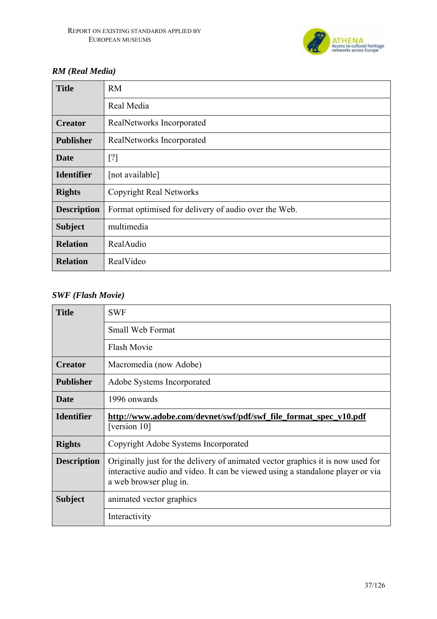

# *RM (Real Media)*

| <b>Title</b>       | <b>RM</b>                                            |
|--------------------|------------------------------------------------------|
|                    | Real Media                                           |
| <b>Creator</b>     | RealNetworks Incorporated                            |
| <b>Publisher</b>   | RealNetworks Incorporated                            |
| <b>Date</b>        | [?]                                                  |
| <b>Identifier</b>  | [not available]                                      |
| <b>Rights</b>      | <b>Copyright Real Networks</b>                       |
| <b>Description</b> | Format optimised for delivery of audio over the Web. |
| <b>Subject</b>     | multimedia                                           |
| <b>Relation</b>    | RealAudio                                            |
| <b>Relation</b>    | RealVideo                                            |

## *SWF (Flash Movie)*

| <b>Title</b>       | <b>SWF</b>                                                                                                                                                                                  |
|--------------------|---------------------------------------------------------------------------------------------------------------------------------------------------------------------------------------------|
|                    | Small Web Format                                                                                                                                                                            |
|                    | <b>Flash Movie</b>                                                                                                                                                                          |
| <b>Creator</b>     | Macromedia (now Adobe)                                                                                                                                                                      |
| <b>Publisher</b>   | Adobe Systems Incorporated                                                                                                                                                                  |
| <b>Date</b>        | 1996 onwards                                                                                                                                                                                |
| <b>Identifier</b>  | http://www.adobe.com/devnet/swf/pdf/swf_file_format_spec_v10.pdf<br>[version 10]                                                                                                            |
| <b>Rights</b>      | Copyright Adobe Systems Incorporated                                                                                                                                                        |
| <b>Description</b> | Originally just for the delivery of animated vector graphics it is now used for<br>interactive audio and video. It can be viewed using a standalone player or via<br>a web browser plug in. |
| <b>Subject</b>     | animated vector graphics                                                                                                                                                                    |
|                    | Interactivity                                                                                                                                                                               |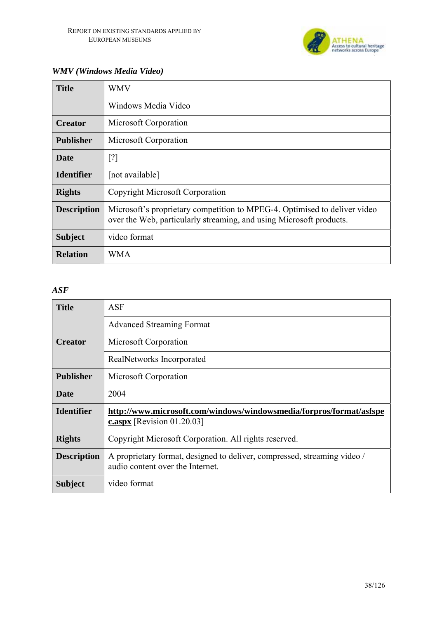

## *WMV (Windows Media Video)*

| <b>Title</b>       | WMV                                                                                                                                              |
|--------------------|--------------------------------------------------------------------------------------------------------------------------------------------------|
|                    | Windows Media Video                                                                                                                              |
| <b>Creator</b>     | Microsoft Corporation                                                                                                                            |
| <b>Publisher</b>   | Microsoft Corporation                                                                                                                            |
| <b>Date</b>        | [?]                                                                                                                                              |
| <b>Identifier</b>  | [not available]                                                                                                                                  |
| <b>Rights</b>      | <b>Copyright Microsoft Corporation</b>                                                                                                           |
| <b>Description</b> | Microsoft's proprietary competition to MPEG-4. Optimised to deliver video<br>over the Web, particularly streaming, and using Microsoft products. |
| <b>Subject</b>     | video format                                                                                                                                     |
| <b>Relation</b>    | WMA                                                                                                                                              |

#### *ASF*

| <b>Title</b>       | <b>ASF</b>                                                                                                   |
|--------------------|--------------------------------------------------------------------------------------------------------------|
|                    | <b>Advanced Streaming Format</b>                                                                             |
| <b>Creator</b>     | Microsoft Corporation                                                                                        |
|                    | RealNetworks Incorporated                                                                                    |
| <b>Publisher</b>   | Microsoft Corporation                                                                                        |
| <b>Date</b>        | 2004                                                                                                         |
| <b>Identifier</b>  | http://www.microsoft.com/windows/windowsmedia/forpros/format/asfspe<br>$c$ .aspx [Revision 01.20.03]         |
| <b>Rights</b>      | Copyright Microsoft Corporation. All rights reserved.                                                        |
| <b>Description</b> | A proprietary format, designed to deliver, compressed, streaming video /<br>audio content over the Internet. |
| <b>Subject</b>     | video format                                                                                                 |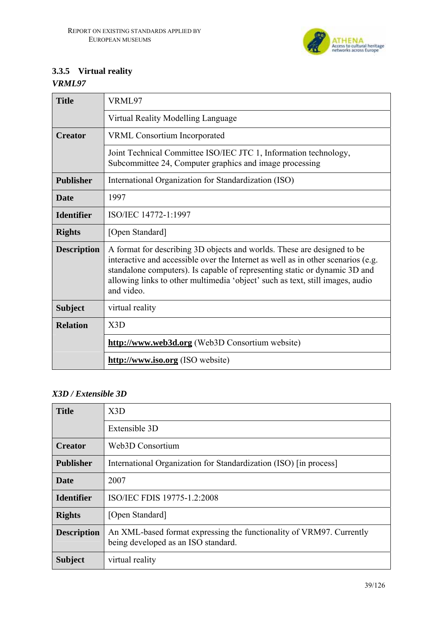

# **3.3.5 Virtual reality**

*VRML97* 

| <b>Title</b>       | VRML97                                                                                                                                                                                                                                                                                                                                   |
|--------------------|------------------------------------------------------------------------------------------------------------------------------------------------------------------------------------------------------------------------------------------------------------------------------------------------------------------------------------------|
|                    | Virtual Reality Modelling Language                                                                                                                                                                                                                                                                                                       |
| <b>Creator</b>     | <b>VRML Consortium Incorporated</b>                                                                                                                                                                                                                                                                                                      |
|                    | Joint Technical Committee ISO/IEC JTC 1, Information technology,<br>Subcommittee 24, Computer graphics and image processing                                                                                                                                                                                                              |
| <b>Publisher</b>   | International Organization for Standardization (ISO)                                                                                                                                                                                                                                                                                     |
| <b>Date</b>        | 1997                                                                                                                                                                                                                                                                                                                                     |
| <b>Identifier</b>  | ISO/IEC 14772-1:1997                                                                                                                                                                                                                                                                                                                     |
| <b>Rights</b>      | [Open Standard]                                                                                                                                                                                                                                                                                                                          |
| <b>Description</b> | A format for describing 3D objects and worlds. These are designed to be<br>interactive and accessible over the Internet as well as in other scenarios (e.g.<br>standalone computers). Is capable of representing static or dynamic 3D and<br>allowing links to other multimedia 'object' such as text, still images, audio<br>and video. |
| <b>Subject</b>     | virtual reality                                                                                                                                                                                                                                                                                                                          |
| <b>Relation</b>    | X3D                                                                                                                                                                                                                                                                                                                                      |
|                    | http://www.web3d.org (Web3D Consortium website)                                                                                                                                                                                                                                                                                          |
|                    | http://www.iso.org (ISO website)                                                                                                                                                                                                                                                                                                         |

### *X3D / Extensible 3D*

| <b>Title</b>       | X3D                                                                                                         |
|--------------------|-------------------------------------------------------------------------------------------------------------|
|                    | Extensible 3D                                                                                               |
| <b>Creator</b>     | Web3D Consortium                                                                                            |
| <b>Publisher</b>   | International Organization for Standardization (ISO) [in process]                                           |
| <b>Date</b>        | 2007                                                                                                        |
| <b>Identifier</b>  | ISO/IEC FDIS 19775-1.2:2008                                                                                 |
| <b>Rights</b>      | [Open Standard]                                                                                             |
| <b>Description</b> | An XML-based format expressing the functionality of VRM97. Currently<br>being developed as an ISO standard. |
| <b>Subject</b>     | virtual reality                                                                                             |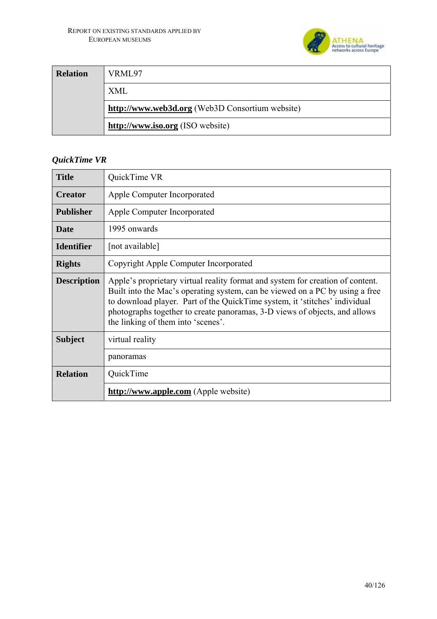

| <b>Relation</b> | VRML97                                          |
|-----------------|-------------------------------------------------|
|                 | XML                                             |
|                 | http://www.web3d.org (Web3D Consortium website) |
|                 | http://www.iso.org (ISO website)                |

# *QuickTime VR*

| <b>Title</b>       | QuickTime VR                                                                                                                                                                                                                                                                                                                                                     |
|--------------------|------------------------------------------------------------------------------------------------------------------------------------------------------------------------------------------------------------------------------------------------------------------------------------------------------------------------------------------------------------------|
| <b>Creator</b>     | Apple Computer Incorporated                                                                                                                                                                                                                                                                                                                                      |
| <b>Publisher</b>   | Apple Computer Incorporated                                                                                                                                                                                                                                                                                                                                      |
| <b>Date</b>        | 1995 onwards                                                                                                                                                                                                                                                                                                                                                     |
| <b>Identifier</b>  | [not available]                                                                                                                                                                                                                                                                                                                                                  |
| <b>Rights</b>      | Copyright Apple Computer Incorporated                                                                                                                                                                                                                                                                                                                            |
| <b>Description</b> | Apple's proprietary virtual reality format and system for creation of content.<br>Built into the Mac's operating system, can be viewed on a PC by using a free<br>to download player. Part of the QuickTime system, it 'stitches' individual<br>photographs together to create panoramas, 3-D views of objects, and allows<br>the linking of them into 'scenes'. |
| <b>Subject</b>     | virtual reality                                                                                                                                                                                                                                                                                                                                                  |
|                    | panoramas                                                                                                                                                                                                                                                                                                                                                        |
| <b>Relation</b>    | QuickTime                                                                                                                                                                                                                                                                                                                                                        |
|                    | http://www.apple.com (Apple website)                                                                                                                                                                                                                                                                                                                             |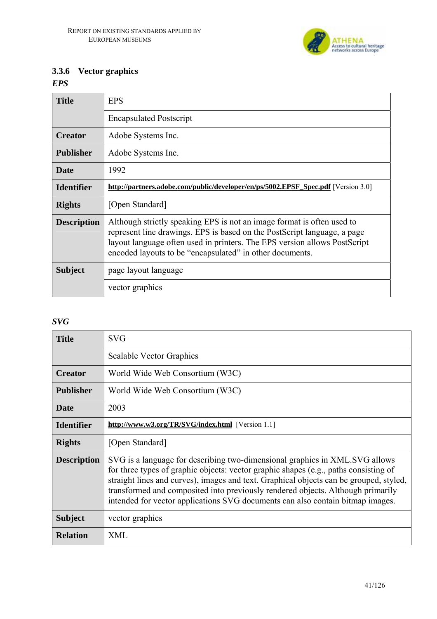

## **3.3.6 Vector graphics**

*EPS* 

| <b>Title</b>       | <b>EPS</b>                                                                                                                                                                                                                                                                                  |
|--------------------|---------------------------------------------------------------------------------------------------------------------------------------------------------------------------------------------------------------------------------------------------------------------------------------------|
|                    | <b>Encapsulated Postscript</b>                                                                                                                                                                                                                                                              |
| <b>Creator</b>     | Adobe Systems Inc.                                                                                                                                                                                                                                                                          |
| <b>Publisher</b>   | Adobe Systems Inc.                                                                                                                                                                                                                                                                          |
| <b>Date</b>        | 1992                                                                                                                                                                                                                                                                                        |
| <b>Identifier</b>  | http://partners.adobe.com/public/developer/en/ps/5002.EPSF Spec.pdf [Version 3.0]                                                                                                                                                                                                           |
| <b>Rights</b>      | [Open Standard]                                                                                                                                                                                                                                                                             |
| <b>Description</b> | Although strictly speaking EPS is not an image format is often used to<br>represent line drawings. EPS is based on the PostScript language, a page<br>layout language often used in printers. The EPS version allows PostScript<br>encoded layouts to be "encapsulated" in other documents. |
| <b>Subject</b>     | page layout language                                                                                                                                                                                                                                                                        |
|                    | vector graphics                                                                                                                                                                                                                                                                             |

#### *SVG*

| <b>Title</b>       | <b>SVG</b>                                                                                                                                                                                                                                                                                                                                                                                                                         |
|--------------------|------------------------------------------------------------------------------------------------------------------------------------------------------------------------------------------------------------------------------------------------------------------------------------------------------------------------------------------------------------------------------------------------------------------------------------|
|                    | <b>Scalable Vector Graphics</b>                                                                                                                                                                                                                                                                                                                                                                                                    |
| <b>Creator</b>     | World Wide Web Consortium (W3C)                                                                                                                                                                                                                                                                                                                                                                                                    |
| <b>Publisher</b>   | World Wide Web Consortium (W3C)                                                                                                                                                                                                                                                                                                                                                                                                    |
| <b>Date</b>        | 2003                                                                                                                                                                                                                                                                                                                                                                                                                               |
| <b>Identifier</b>  | http://www.w3.org/TR/SVG/index.html [Version 1.1]                                                                                                                                                                                                                                                                                                                                                                                  |
| <b>Rights</b>      | [Open Standard]                                                                                                                                                                                                                                                                                                                                                                                                                    |
| <b>Description</b> | SVG is a language for describing two-dimensional graphics in XML.SVG allows<br>for three types of graphic objects: vector graphic shapes (e.g., paths consisting of<br>straight lines and curves), images and text. Graphical objects can be grouped, styled,<br>transformed and composited into previously rendered objects. Although primarily<br>intended for vector applications SVG documents can also contain bitmap images. |
| <b>Subject</b>     | vector graphics                                                                                                                                                                                                                                                                                                                                                                                                                    |
| <b>Relation</b>    | XML                                                                                                                                                                                                                                                                                                                                                                                                                                |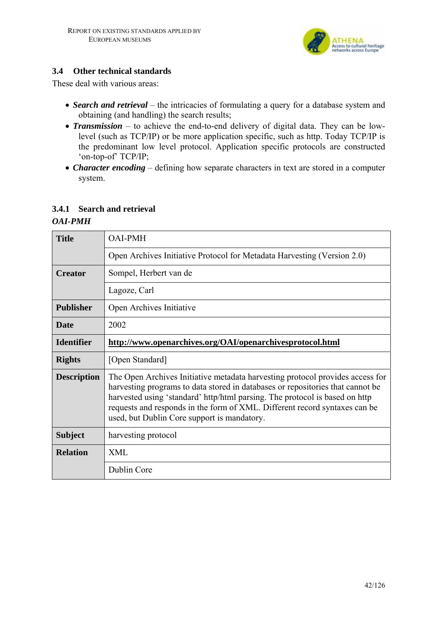

### **3.4 Other technical standards**

These deal with various areas:

- *Search and retrieval* the intricacies of formulating a query for a database system and obtaining (and handling) the search results;
- *Transmission* to achieve the end-to-end delivery of digital data. They can be lowlevel (such as TCP/IP) or be more application specific, such as http. Today TCP/IP is the predominant low level protocol. Application specific protocols are constructed 'on-top-of' TCP/IP;
- *Character encoding* defining how separate characters in text are stored in a computer system.

#### **3.4.1 Search and retrieval**

#### *OAI-PMH*

| <b>Title</b>       | <b>OAI-PMH</b>                                                                                                                                                                                                                                                                                                                                                              |
|--------------------|-----------------------------------------------------------------------------------------------------------------------------------------------------------------------------------------------------------------------------------------------------------------------------------------------------------------------------------------------------------------------------|
|                    | Open Archives Initiative Protocol for Metadata Harvesting (Version 2.0)                                                                                                                                                                                                                                                                                                     |
| <b>Creator</b>     | Sompel, Herbert van de                                                                                                                                                                                                                                                                                                                                                      |
|                    | Lagoze, Carl                                                                                                                                                                                                                                                                                                                                                                |
| <b>Publisher</b>   | Open Archives Initiative                                                                                                                                                                                                                                                                                                                                                    |
| <b>Date</b>        | 2002                                                                                                                                                                                                                                                                                                                                                                        |
| <b>Identifier</b>  | http://www.openarchives.org/OAI/openarchivesprotocol.html                                                                                                                                                                                                                                                                                                                   |
| <b>Rights</b>      | [Open Standard]                                                                                                                                                                                                                                                                                                                                                             |
| <b>Description</b> | The Open Archives Initiative metadata harvesting protocol provides access for<br>harvesting programs to data stored in databases or repositories that cannot be<br>harvested using 'standard' http/html parsing. The protocol is based on http<br>requests and responds in the form of XML. Different record syntaxes can be<br>used, but Dublin Core support is mandatory. |
| <b>Subject</b>     | harvesting protocol                                                                                                                                                                                                                                                                                                                                                         |
| <b>Relation</b>    | <b>XML</b>                                                                                                                                                                                                                                                                                                                                                                  |
|                    | Dublin Core                                                                                                                                                                                                                                                                                                                                                                 |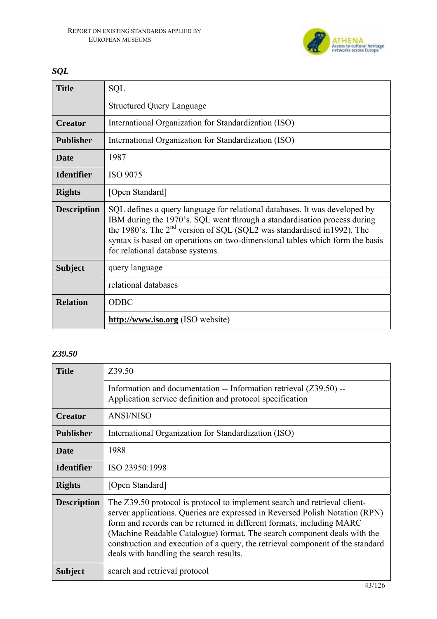

## *SQL*

| <b>Title</b>       | <b>SQL</b>                                                                                                                                                                                                                                                                                                                                                        |
|--------------------|-------------------------------------------------------------------------------------------------------------------------------------------------------------------------------------------------------------------------------------------------------------------------------------------------------------------------------------------------------------------|
|                    | <b>Structured Query Language</b>                                                                                                                                                                                                                                                                                                                                  |
| <b>Creator</b>     | International Organization for Standardization (ISO)                                                                                                                                                                                                                                                                                                              |
| <b>Publisher</b>   | International Organization for Standardization (ISO)                                                                                                                                                                                                                                                                                                              |
| Date               | 1987                                                                                                                                                                                                                                                                                                                                                              |
| <b>Identifier</b>  | <b>ISO 9075</b>                                                                                                                                                                                                                                                                                                                                                   |
| <b>Rights</b>      | [Open Standard]                                                                                                                                                                                                                                                                                                                                                   |
| <b>Description</b> | SQL defines a query language for relational databases. It was developed by<br>IBM during the 1970's. SQL went through a standardisation process during<br>the 1980's. The 2 <sup>nd</sup> version of SQL (SQL2 was standardised in 1992). The<br>syntax is based on operations on two-dimensional tables which form the basis<br>for relational database systems. |
| <b>Subject</b>     | query language                                                                                                                                                                                                                                                                                                                                                    |
|                    | relational databases                                                                                                                                                                                                                                                                                                                                              |
| <b>Relation</b>    | <b>ODBC</b>                                                                                                                                                                                                                                                                                                                                                       |
|                    | http://www.iso.org (ISO website)                                                                                                                                                                                                                                                                                                                                  |

### *Z39.50*

| <b>Title</b>       | Z39.50                                                                                                                                                                                                                                                                                                                                                                                                                                      |  |  |
|--------------------|---------------------------------------------------------------------------------------------------------------------------------------------------------------------------------------------------------------------------------------------------------------------------------------------------------------------------------------------------------------------------------------------------------------------------------------------|--|--|
|                    | Information and documentation -- Information retrieval $(Z39.50)$ --<br>Application service definition and protocol specification                                                                                                                                                                                                                                                                                                           |  |  |
| <b>Creator</b>     | <b>ANSI/NISO</b>                                                                                                                                                                                                                                                                                                                                                                                                                            |  |  |
| <b>Publisher</b>   | International Organization for Standardization (ISO)                                                                                                                                                                                                                                                                                                                                                                                        |  |  |
| <b>Date</b>        | 1988                                                                                                                                                                                                                                                                                                                                                                                                                                        |  |  |
| <b>Identifier</b>  | ISO 23950:1998                                                                                                                                                                                                                                                                                                                                                                                                                              |  |  |
| <b>Rights</b>      | [Open Standard]                                                                                                                                                                                                                                                                                                                                                                                                                             |  |  |
| <b>Description</b> | The Z39.50 protocol is protocol to implement search and retrieval client-<br>server applications. Queries are expressed in Reversed Polish Notation (RPN)<br>form and records can be returned in different formats, including MARC<br>(Machine Readable Catalogue) format. The search component deals with the<br>construction and execution of a query, the retrieval component of the standard<br>deals with handling the search results. |  |  |
| <b>Subject</b>     | search and retrieval protocol                                                                                                                                                                                                                                                                                                                                                                                                               |  |  |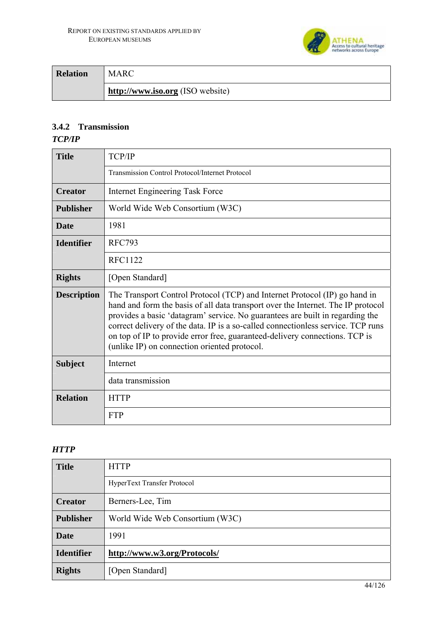

| <b>Relation</b> | MARC                             |
|-----------------|----------------------------------|
|                 | http://www.iso.org (ISO website) |

## **3.4.2 Transmission**

#### *TCP/IP*

| <b>Title</b>       | <b>TCP/IP</b>                                                                                                                                                                                                                                                                                                                                                                                                                                                      |  |  |
|--------------------|--------------------------------------------------------------------------------------------------------------------------------------------------------------------------------------------------------------------------------------------------------------------------------------------------------------------------------------------------------------------------------------------------------------------------------------------------------------------|--|--|
|                    | <b>Transmission Control Protocol/Internet Protocol</b>                                                                                                                                                                                                                                                                                                                                                                                                             |  |  |
| <b>Creator</b>     | Internet Engineering Task Force                                                                                                                                                                                                                                                                                                                                                                                                                                    |  |  |
| <b>Publisher</b>   | World Wide Web Consortium (W3C)                                                                                                                                                                                                                                                                                                                                                                                                                                    |  |  |
| <b>Date</b>        | 1981                                                                                                                                                                                                                                                                                                                                                                                                                                                               |  |  |
| <b>Identifier</b>  | <b>RFC793</b>                                                                                                                                                                                                                                                                                                                                                                                                                                                      |  |  |
|                    | <b>RFC1122</b>                                                                                                                                                                                                                                                                                                                                                                                                                                                     |  |  |
| <b>Rights</b>      | [Open Standard]                                                                                                                                                                                                                                                                                                                                                                                                                                                    |  |  |
| <b>Description</b> | The Transport Control Protocol (TCP) and Internet Protocol (IP) go hand in<br>hand and form the basis of all data transport over the Internet. The IP protocol<br>provides a basic 'datagram' service. No guarantees are built in regarding the<br>correct delivery of the data. IP is a so-called connectionless service. TCP runs<br>on top of IP to provide error free, guaranteed-delivery connections. TCP is<br>(unlike IP) on connection oriented protocol. |  |  |
| <b>Subject</b>     | Internet                                                                                                                                                                                                                                                                                                                                                                                                                                                           |  |  |
|                    | data transmission                                                                                                                                                                                                                                                                                                                                                                                                                                                  |  |  |
| <b>Relation</b>    | <b>HTTP</b>                                                                                                                                                                                                                                                                                                                                                                                                                                                        |  |  |
|                    | <b>FTP</b>                                                                                                                                                                                                                                                                                                                                                                                                                                                         |  |  |

### *HTTP*

| <b>Title</b>      | <b>HTTP</b>                        |  |
|-------------------|------------------------------------|--|
|                   | <b>HyperText Transfer Protocol</b> |  |
| <b>Creator</b>    | Berners-Lee, Tim                   |  |
| <b>Publisher</b>  | World Wide Web Consortium (W3C)    |  |
| <b>Date</b>       | 1991                               |  |
| <b>Identifier</b> | http://www.w3.org/Protocols/       |  |
| <b>Rights</b>     | [Open Standard]                    |  |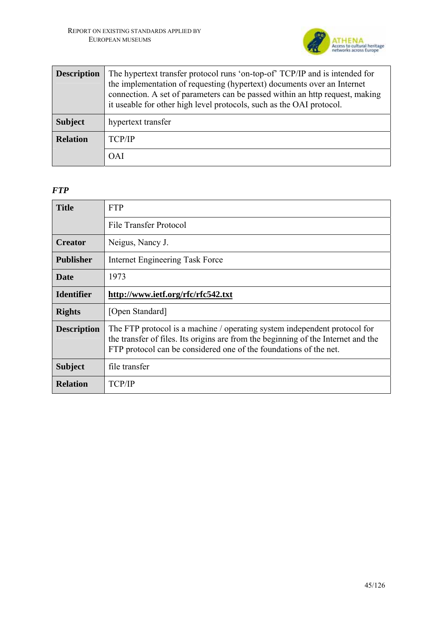

| <b>Description</b> | The hypertext transfer protocol runs 'on-top-of' TCP/IP and is intended for<br>the implementation of requesting (hypertext) documents over an Internet<br>connection. A set of parameters can be passed within an http request, making<br>it useable for other high level protocols, such as the OAI protocol. |  |
|--------------------|----------------------------------------------------------------------------------------------------------------------------------------------------------------------------------------------------------------------------------------------------------------------------------------------------------------|--|
| <b>Subject</b>     | hypertext transfer                                                                                                                                                                                                                                                                                             |  |
| <b>Relation</b>    | <b>TCP/IP</b>                                                                                                                                                                                                                                                                                                  |  |
|                    | OAI                                                                                                                                                                                                                                                                                                            |  |

### *FTP*

| <b>Title</b>       | <b>FTP</b>                                                                                                                                                                                                                          |  |
|--------------------|-------------------------------------------------------------------------------------------------------------------------------------------------------------------------------------------------------------------------------------|--|
|                    | File Transfer Protocol                                                                                                                                                                                                              |  |
| <b>Creator</b>     | Neigus, Nancy J.                                                                                                                                                                                                                    |  |
| <b>Publisher</b>   | Internet Engineering Task Force                                                                                                                                                                                                     |  |
| <b>Date</b>        | 1973                                                                                                                                                                                                                                |  |
| <b>Identifier</b>  | http://www.ietf.org/rfc/rfc542.txt                                                                                                                                                                                                  |  |
| <b>Rights</b>      | [Open Standard]                                                                                                                                                                                                                     |  |
| <b>Description</b> | The FTP protocol is a machine / operating system independent protocol for<br>the transfer of files. Its origins are from the beginning of the Internet and the<br>FTP protocol can be considered one of the foundations of the net. |  |
| <b>Subject</b>     | file transfer                                                                                                                                                                                                                       |  |
| <b>Relation</b>    | <b>TCP/IP</b>                                                                                                                                                                                                                       |  |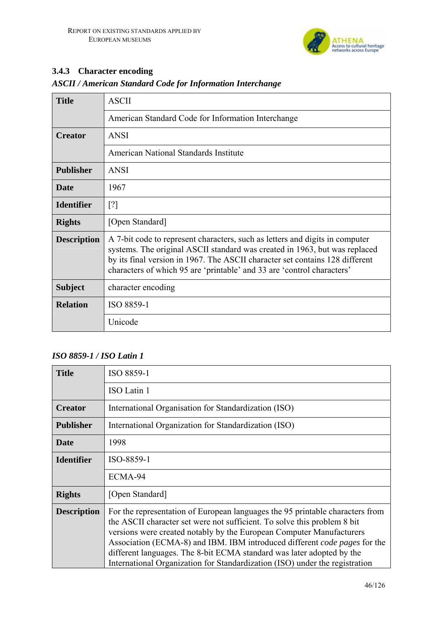

## **3.4.3 Character encoding**

| ASCII / American Sianaara Code for Information Interchange |                                                    |
|------------------------------------------------------------|----------------------------------------------------|
| <b>Title</b>                                               | <b>ASCII</b>                                       |
|                                                            | American Standard Code for Information Interchange |

#### *ASCII / American Standard Code for Information Interchange*

| <b>Creator</b>     | <b>ANSI</b>                                                                                                                                                                                                                                                                                                          |  |
|--------------------|----------------------------------------------------------------------------------------------------------------------------------------------------------------------------------------------------------------------------------------------------------------------------------------------------------------------|--|
|                    | American National Standards Institute                                                                                                                                                                                                                                                                                |  |
| <b>Publisher</b>   | <b>ANSI</b>                                                                                                                                                                                                                                                                                                          |  |
| Date               | 1967                                                                                                                                                                                                                                                                                                                 |  |
| <b>Identifier</b>  | $\lceil$ ?]                                                                                                                                                                                                                                                                                                          |  |
| <b>Rights</b>      | [Open Standard]                                                                                                                                                                                                                                                                                                      |  |
| <b>Description</b> | A 7-bit code to represent characters, such as letters and digits in computer<br>systems. The original ASCII standard was created in 1963, but was replaced<br>by its final version in 1967. The ASCII character set contains 128 different<br>characters of which 95 are 'printable' and 33 are 'control characters' |  |
| <b>Subject</b>     | character encoding                                                                                                                                                                                                                                                                                                   |  |
| <b>Relation</b>    | ISO 8859-1                                                                                                                                                                                                                                                                                                           |  |
|                    | Unicode                                                                                                                                                                                                                                                                                                              |  |

#### *ISO 8859-1 / ISO Latin 1*

| <b>Title</b>       | ISO 8859-1                                                                                                                                                                                                                                                                                                                                                                                                                                                             |  |
|--------------------|------------------------------------------------------------------------------------------------------------------------------------------------------------------------------------------------------------------------------------------------------------------------------------------------------------------------------------------------------------------------------------------------------------------------------------------------------------------------|--|
|                    | ISO Latin 1                                                                                                                                                                                                                                                                                                                                                                                                                                                            |  |
| <b>Creator</b>     | International Organisation for Standardization (ISO)                                                                                                                                                                                                                                                                                                                                                                                                                   |  |
| <b>Publisher</b>   | International Organization for Standardization (ISO)                                                                                                                                                                                                                                                                                                                                                                                                                   |  |
| <b>Date</b>        | 1998                                                                                                                                                                                                                                                                                                                                                                                                                                                                   |  |
| <b>Identifier</b>  | ISO-8859-1                                                                                                                                                                                                                                                                                                                                                                                                                                                             |  |
|                    | ECMA-94                                                                                                                                                                                                                                                                                                                                                                                                                                                                |  |
| <b>Rights</b>      | [Open Standard]                                                                                                                                                                                                                                                                                                                                                                                                                                                        |  |
| <b>Description</b> | For the representation of European languages the 95 printable characters from<br>the ASCII character set were not sufficient. To solve this problem 8 bit<br>versions were created notably by the European Computer Manufacturers<br>Association (ECMA-8) and IBM. IBM introduced different code pages for the<br>different languages. The 8-bit ECMA standard was later adopted by the<br>International Organization for Standardization (ISO) under the registration |  |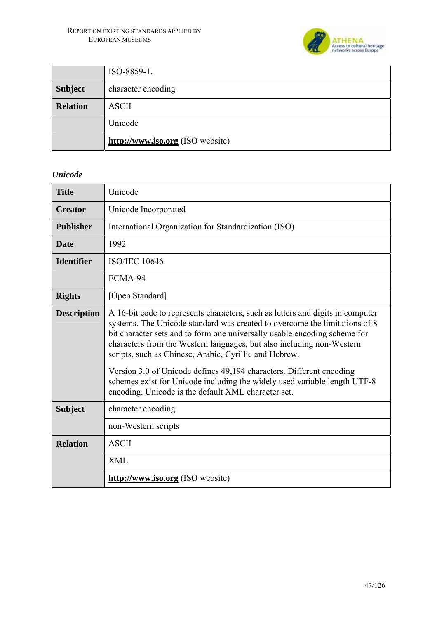

|                 | ISO-8859-1.                      |  |
|-----------------|----------------------------------|--|
| <b>Subject</b>  | character encoding               |  |
| <b>Relation</b> | <b>ASCII</b>                     |  |
|                 | Unicode                          |  |
|                 | http://www.iso.org (ISO website) |  |

#### *Unicode*

| <b>Title</b>       | Unicode                                                                                                                                                                                                                                                                                                                                                                                                                                                                                                                                                                                  |  |  |
|--------------------|------------------------------------------------------------------------------------------------------------------------------------------------------------------------------------------------------------------------------------------------------------------------------------------------------------------------------------------------------------------------------------------------------------------------------------------------------------------------------------------------------------------------------------------------------------------------------------------|--|--|
| <b>Creator</b>     | Unicode Incorporated                                                                                                                                                                                                                                                                                                                                                                                                                                                                                                                                                                     |  |  |
| <b>Publisher</b>   | International Organization for Standardization (ISO)                                                                                                                                                                                                                                                                                                                                                                                                                                                                                                                                     |  |  |
| <b>Date</b>        | 1992                                                                                                                                                                                                                                                                                                                                                                                                                                                                                                                                                                                     |  |  |
| <b>Identifier</b>  | <b>ISO/IEC 10646</b>                                                                                                                                                                                                                                                                                                                                                                                                                                                                                                                                                                     |  |  |
|                    | ECMA-94                                                                                                                                                                                                                                                                                                                                                                                                                                                                                                                                                                                  |  |  |
| <b>Rights</b>      | [Open Standard]                                                                                                                                                                                                                                                                                                                                                                                                                                                                                                                                                                          |  |  |
| <b>Description</b> | A 16-bit code to represents characters, such as letters and digits in computer<br>systems. The Unicode standard was created to overcome the limitations of 8<br>bit character sets and to form one universally usable encoding scheme for<br>characters from the Western languages, but also including non-Western<br>scripts, such as Chinese, Arabic, Cyrillic and Hebrew.<br>Version 3.0 of Unicode defines 49,194 characters. Different encoding<br>schemes exist for Unicode including the widely used variable length UTF-8<br>encoding. Unicode is the default XML character set. |  |  |
| <b>Subject</b>     | character encoding                                                                                                                                                                                                                                                                                                                                                                                                                                                                                                                                                                       |  |  |
|                    | non-Western scripts                                                                                                                                                                                                                                                                                                                                                                                                                                                                                                                                                                      |  |  |
| <b>Relation</b>    | <b>ASCII</b>                                                                                                                                                                                                                                                                                                                                                                                                                                                                                                                                                                             |  |  |
|                    | <b>XML</b>                                                                                                                                                                                                                                                                                                                                                                                                                                                                                                                                                                               |  |  |
|                    | http://www.iso.org (ISO website)                                                                                                                                                                                                                                                                                                                                                                                                                                                                                                                                                         |  |  |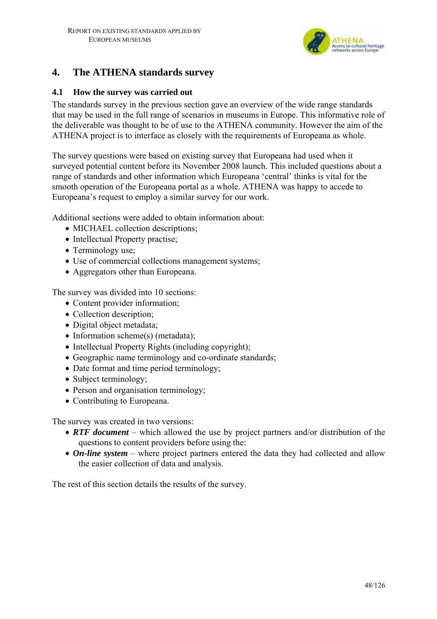

## **4. The ATHENA standards survey**

#### **4.1 How the survey was carried out**

The standards survey in the previous section gave an overview of the wide range standards that may be used in the full range of scenarios in museums in Europe. This informative role of the deliverable was thought to be of use to the ATHENA community. However the aim of the ATHENA project is to interface as closely with the requirements of Europeana as whole.

The survey questions were based on existing survey that Europeana had used when it surveyed potential content before its November 2008 launch. This included questions about a range of standards and other information which Europeana 'central' thinks is vital for the smooth operation of the Europeana portal as a whole. ATHENA was happy to accede to Europeana's request to employ a similar survey for our work.

Additional sections were added to obtain information about:

- MICHAEL collection descriptions;
- Intellectual Property practise;
- Terminology use;
- Use of commercial collections management systems;
- Aggregators other than Europeana.

The survey was divided into 10 sections:

- Content provider information:
- Collection description;
- Digital object metadata;
- Information scheme(s) (metadata);
- Intellectual Property Rights (including copyright);
- Geographic name terminology and co-ordinate standards;
- Date format and time period terminology;
- Subject terminology;
- Person and organisation terminology;
- Contributing to Europeana.

The survey was created in two versions:

- *RTF document* which allowed the use by project partners and/or distribution of the questions to content providers before using the:
- *On-line system* where project partners entered the data they had collected and allow the easier collection of data and analysis.

The rest of this section details the results of the survey.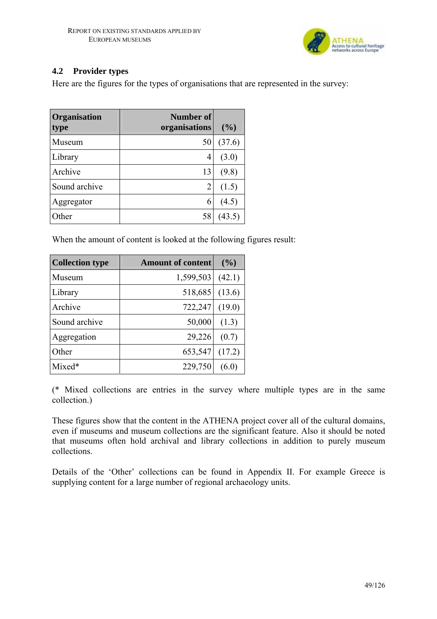

### **4.2 Provider types**

Here are the figures for the types of organisations that are represented in the survey:

| Organisation<br>type | Number of<br>organisations | (%)    |
|----------------------|----------------------------|--------|
| Museum               | 50                         | (37.6) |
| Library              | 4                          | (3.0)  |
| Archive              | 13                         | (9.8)  |
| Sound archive        | 2                          | (1.5)  |
| Aggregator           | 6                          | (4.5)  |
| ther                 | 58                         |        |

When the amount of content is looked at the following figures result:

| <b>Collection type</b> | <b>Amount of content</b> | (9/0)  |
|------------------------|--------------------------|--------|
| Museum                 | 1,599,503                | (42.1) |
| Library                | 518,685                  | (13.6) |
| Archive                | 722,247                  | (19.0) |
| Sound archive          | 50,000                   | (1.3)  |
| Aggregation            | 29,226                   | (0.7)  |
| Other                  | 653,547                  | (17.2) |
| Mixed*                 | 229,750                  | (6.0)  |

(\* Mixed collections are entries in the survey where multiple types are in the same collection.)

These figures show that the content in the ATHENA project cover all of the cultural domains, even if museums and museum collections are the significant feature. Also it should be noted that museums often hold archival and library collections in addition to purely museum collections.

Details of the 'Other' collections can be found in Appendix II. For example Greece is supplying content for a large number of regional archaeology units.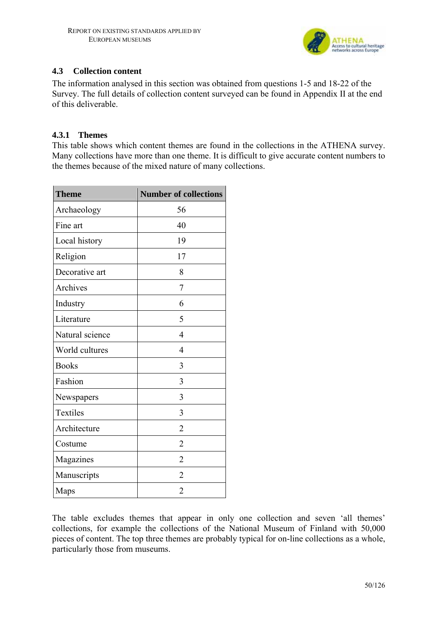

### **4.3 Collection content**

The information analysed in this section was obtained from questions 1-5 and 18-22 of the Survey. The full details of collection content surveyed can be found in Appendix II at the end of this deliverable.

#### **4.3.1 Themes**

This table shows which content themes are found in the collections in the ATHENA survey. Many collections have more than one theme. It is difficult to give accurate content numbers to the themes because of the mixed nature of many collections.

| <b>Theme</b>    | <b>Number of collections</b> |
|-----------------|------------------------------|
| Archaeology     | 56                           |
| Fine art        | 40                           |
| Local history   | 19                           |
| Religion        | 17                           |
| Decorative art  | 8                            |
| Archives        | 7                            |
| Industry        | 6                            |
| Literature      | 5                            |
| Natural science | $\overline{4}$               |
| World cultures  | 4                            |
| <b>Books</b>    | 3                            |
| Fashion         | 3                            |
| Newspapers      | 3                            |
| Textiles        | 3                            |
| Architecture    | $\overline{2}$               |
| Costume         | $\overline{2}$               |
| Magazines       | $\overline{2}$               |
| Manuscripts     | $\overline{2}$               |
| Maps            | $\overline{2}$               |

The table excludes themes that appear in only one collection and seven 'all themes' collections, for example the collections of the National Museum of Finland with 50,000 pieces of content. The top three themes are probably typical for on-line collections as a whole, particularly those from museums.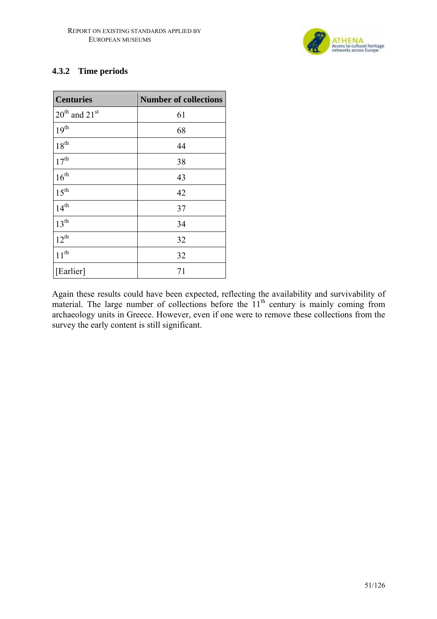

### **4.3.2 Time periods**

| <b>Centuries</b>                      | <b>Number of collections</b> |
|---------------------------------------|------------------------------|
| $20^{\text{th}}$ and $21^{\text{st}}$ | 61                           |
| $19^{th}$                             | 68                           |
| $18^{\rm th}$                         | 44                           |
| 17 <sup>th</sup>                      | 38                           |
| 16 <sup>th</sup>                      | 43                           |
| $15^{\text{th}}$                      | 42                           |
| $14^{th}$                             | 37                           |
| 13 <sup>th</sup>                      | 34                           |
| $12^{th}$                             | 32                           |
| $11^{th}$                             | 32                           |
| [Earlier]                             | 71                           |

Again these results could have been expected, reflecting the availability and survivability of material. The large number of collections before the  $11<sup>th</sup>$  century is mainly coming from archaeology units in Greece. However, even if one were to remove these collections from the survey the early content is still significant.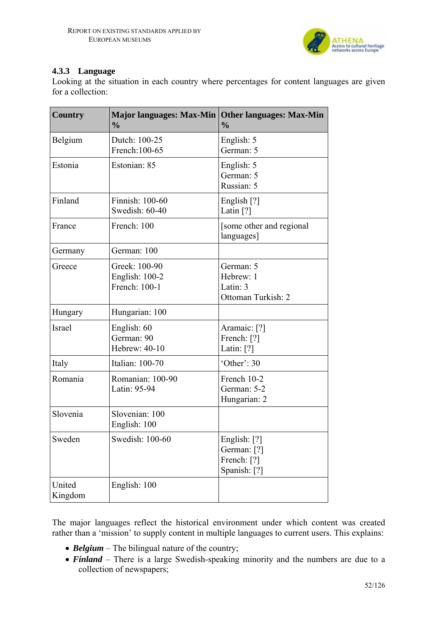

#### **4.3.3 Language**

Looking at the situation in each country where percentages for content languages are given for a collection:

| <b>Country</b><br><b>Major languages: Max-Min</b><br>$\frac{0}{0}$ |                                                  | <b>Other languages: Max-Min</b><br>$\frac{0}{0}$           |  |  |
|--------------------------------------------------------------------|--------------------------------------------------|------------------------------------------------------------|--|--|
| Belgium                                                            | Dutch: 100-25<br>French: 100-65                  | English: 5<br>German: 5                                    |  |  |
| Estonia                                                            | Estonian: 85                                     | English: 5<br>German: 5<br>Russian: 5                      |  |  |
| Finland                                                            | Finnish: 100-60<br>Swedish: 60-40                | English [?]<br>Latin $[?]$                                 |  |  |
| France                                                             | French: 100                                      | [some other and regional]<br>languages]                    |  |  |
| Germany                                                            | German: 100                                      |                                                            |  |  |
| Greece                                                             | Greek: 100-90<br>English: 100-2<br>French: 100-1 | German: 5<br>Hebrew: 1<br>Latin: 3<br>Ottoman Turkish: 2   |  |  |
| Hungary                                                            | Hungarian: 100                                   |                                                            |  |  |
| <b>Israel</b>                                                      | English: 60<br>German: 90<br>Hebrew: 40-10       | Aramaic: [?]<br>French: [?]<br>Latin: $[?]$                |  |  |
| Italy                                                              | Italian: 100-70                                  | 'Other': $30$                                              |  |  |
| Romania                                                            | Romanian: 100-90<br>Latin: 95-94                 | French 10-2<br>German: 5-2<br>Hungarian: 2                 |  |  |
| Slovenia                                                           | Slovenian: 100<br>English: 100                   |                                                            |  |  |
| Sweden                                                             | Swedish: 100-60                                  | English: [?]<br>German: [?]<br>French: [?]<br>Spanish: [?] |  |  |
| United<br>Kingdom                                                  | English: 100                                     |                                                            |  |  |

The major languages reflect the historical environment under which content was created rather than a 'mission' to supply content in multiple languages to current users. This explains:

- *Belgium* The bilingual nature of the country;
- **Finland** There is a large Swedish-speaking minority and the numbers are due to a collection of newspapers;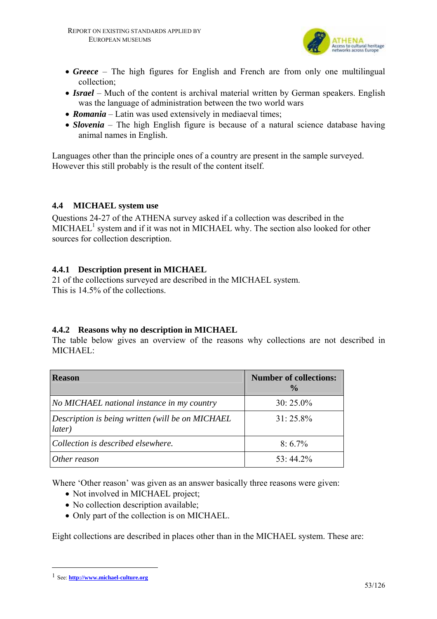

- *Greece* The high figures for English and French are from only one multilingual collection;
- *Israel* Much of the content is archival material written by German speakers. English was the language of administration between the two world wars
- *Romania* Latin was used extensively in mediaeval times;
- *Slovenia* The high English figure is because of a natural science database having animal names in English.

Languages other than the principle ones of a country are present in the sample surveyed. However this still probably is the result of the content itself.

#### **4.4 MICHAEL system use**

Questions 24-27 of the ATHENA survey asked if a collection was described in the  $MICHAEL<sup>1</sup>$  system and if it was not in MICHAEL why. The section also looked for other sources for collection description.

### **4.4.1 Description present in MICHAEL**

21 of the collections surveyed are described in the MICHAEL system. This is 14.5% of the collections.

### **4.4.2 Reasons why no description in MICHAEL**

The table below gives an overview of the reasons why collections are not described in MICHAEL:

| <b>Reason</b>                                              | <b>Number of collections:</b><br>$\frac{6}{9}$ |
|------------------------------------------------------------|------------------------------------------------|
| No MICHAEL national instance in my country                 | $30:25.0\%$                                    |
| Description is being written (will be on MICHAEL<br>later) | $31:25.8\%$                                    |
| Collection is described elsewhere.                         | $8:6.7\%$                                      |
| Other reason                                               | $53:44.2\%$                                    |

Where 'Other reason' was given as an answer basically three reasons were given:

- Not involved in MICHAEL project;
- No collection description available;
- Only part of the collection is on MICHAEL.

Eight collections are described in places other than in the MICHAEL system. These are:

 $\overline{a}$ 

<sup>1</sup> See: **http://www.michael-culture.org**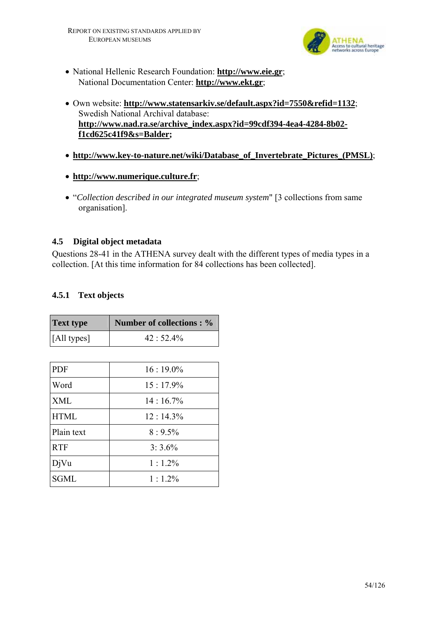

- National Hellenic Research Foundation: **http://www.eie.gr**; National Documentation Center: **http://www.ekt.gr**;
- Own website: **http://www.statensarkiv.se/default.aspx?id=7550&refid=1132**; Swedish National Archival database: **http://www.nad.ra.se/archive\_index.aspx?id=99cdf394-4ea4-4284-8b02 f1cd625c41f9&s=Balder;**
- **http://www.key-to-nature.net/wiki/Database\_of\_Invertebrate\_Pictures\_(PMSL)**;
- **http://www.numerique.culture.fr**;
- "*Collection described in our integrated museum system*" [3 collections from same organisation].

#### **4.5 Digital object metadata**

Questions 28-41 in the ATHENA survey dealt with the different types of media types in a collection. [At this time information for 84 collections has been collected].

#### **4.5.1 Text objects**

| <b>Text type</b> | <b>Number of collections: %</b> |
|------------------|---------------------------------|
| [All types]      | $42:52.4\%$                     |
|                  |                                 |
| <b>PDF</b>       | $16:19.0\%$                     |
| Word             | $15:17.9\%$                     |
| <b>XML</b>       | $14:16.7\%$                     |
| <b>HTML</b>      | $12:14.3\%$                     |
| Plain text       | $8:9.5\%$                       |
| <b>RTF</b>       | $3:3.6\%$                       |
| DjVu             | $1:1.2\%$                       |
| SGML             | $1:1.2\%$                       |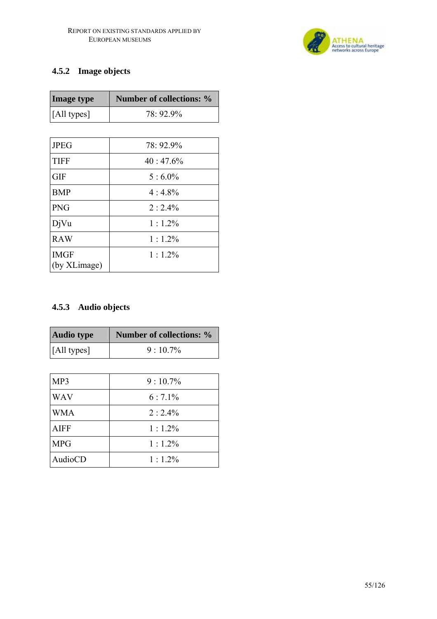

## **4.5.2 Image objects**

| <b>Image type</b>           | <b>Number of collections: %</b> |
|-----------------------------|---------------------------------|
| [All types]                 | 78: 92.9%                       |
|                             |                                 |
| <b>JPEG</b>                 | 78: 92.9%                       |
| <b>TIFF</b>                 | $40 \div 47.6\%$                |
| <b>GIF</b>                  | $5:6.0\%$                       |
| <b>BMP</b>                  | $4:4.8\%$                       |
| <b>PNG</b>                  | $2:2.4\%$                       |
| DjVu                        | $1:1.2\%$                       |
| <b>RAW</b>                  | $1:1.2\%$                       |
| <b>IMGF</b><br>(by XLimage) | $1:1.2\%$                       |

## **4.5.3 Audio objects**

| <b>Audio type</b>   | <b>Number of collections:</b> % |
|---------------------|---------------------------------|
| $\vert$ [All types] | $9:10.7\%$                      |
|                     |                                 |
| MP3                 | $9:10.7\%$                      |
| <b>WAV</b>          | $6:7.1\%$                       |
| WMA                 | $2 \cdot 24\%$                  |
|                     |                                 |

| W NIA   | $\angle$ : $\angle$ .4% |
|---------|-------------------------|
| AIFF    | $1:1.2\%$               |
| MPG     | $1:1.2\%$               |
| AudioCD | $1:1.2\%$               |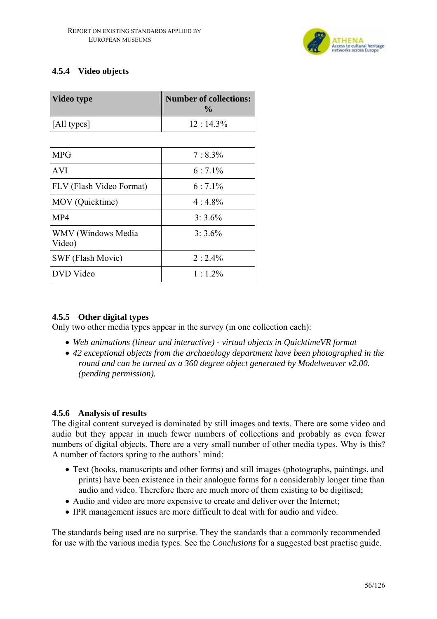

### **4.5.4 Video objects**

| <b>Video type</b>               | <b>Number of collections:</b><br>$\frac{0}{0}$ |
|---------------------------------|------------------------------------------------|
| [All types]                     | $12:14.3\%$                                    |
|                                 |                                                |
| <b>MPG</b>                      | $7:8.3\%$                                      |
| <b>AVI</b>                      | $6:7.1\%$                                      |
| <b>FLV</b> (Flash Video Format) | $6:7.1\%$                                      |
| MOV (Quicktime)                 | $4:4.8\%$                                      |
| MP4                             | $3:3.6\%$                                      |
| WMV (Windows Media<br>Video)    | $3:3.6\%$                                      |
| SWF (Flash Movie)               | $2:2.4\%$                                      |
| DVD Video                       | $1 \cdot 12\%$                                 |

### **4.5.5 Other digital types**

Only two other media types appear in the survey (in one collection each):

- *Web animations (linear and interactive) virtual objects in QuicktimeVR format*
- *42 exceptional objects from the archaeology department have been photographed in the round and can be turned as a 360 degree object generated by Modelweaver v2.00. (pending permission).*

#### **4.5.6 Analysis of results**

The digital content surveyed is dominated by still images and texts. There are some video and audio but they appear in much fewer numbers of collections and probably as even fewer numbers of digital objects. There are a very small number of other media types. Why is this? A number of factors spring to the authors' mind:

- Text (books, manuscripts and other forms) and still images (photographs, paintings, and prints) have been existence in their analogue forms for a considerably longer time than audio and video. Therefore there are much more of them existing to be digitised;
- Audio and video are more expensive to create and deliver over the Internet;
- IPR management issues are more difficult to deal with for audio and video.

The standards being used are no surprise. They the standards that a commonly recommended for use with the various media types. See the *Conclusions* for a suggested best practise guide.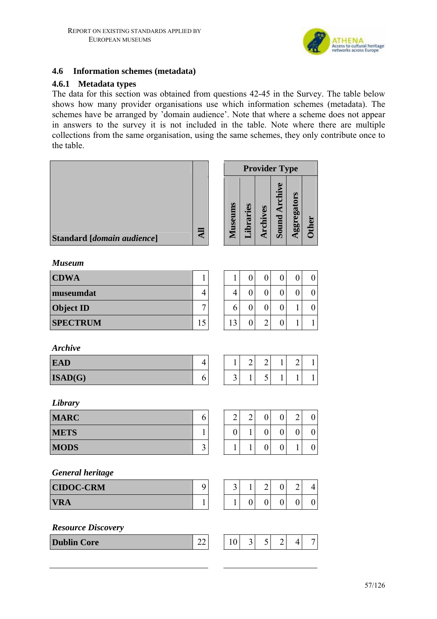

#### **4.6 Information schemes (metadata)**

#### **4.6.1 Metadata types**

The data for this section was obtained from questions 42-45 in the Survey. The table below shows how many provider organisations use which information schemes (metadata). The schemes have be arranged by 'domain audience'. Note that where a scheme does not appear in answers to the survey it is not included in the table. Note where there are multiple collections from the same organisation, using the same schemes, they only contribute once to the table.

|                            |                 |                  |                  |                  | <b>Provider Type</b> |                  |                  |
|----------------------------|-----------------|------------------|------------------|------------------|----------------------|------------------|------------------|
| Standard [domain audience] | $\overline{AB}$ | Museums          | Libraries        | Archives         | Sound Archive        | Aggregators      | <b>Other</b>     |
| <b>Museum</b>              |                 |                  |                  |                  |                      |                  |                  |
| <b>CDWA</b>                | $\mathbf{1}$    | 1                | $\boldsymbol{0}$ | $\boldsymbol{0}$ | $\boldsymbol{0}$     | $\boldsymbol{0}$ | $\boldsymbol{0}$ |
| museumdat                  | 4               | 4                | $\boldsymbol{0}$ | $\boldsymbol{0}$ | $\boldsymbol{0}$     | $\boldsymbol{0}$ | $\boldsymbol{0}$ |
| <b>Object ID</b>           | $\sqrt{ }$      | 6                | $\boldsymbol{0}$ | $\boldsymbol{0}$ | $\boldsymbol{0}$     | $\mathbf{1}$     | $\boldsymbol{0}$ |
| <b>SPECTRUM</b>            | 15              | 13               | $\boldsymbol{0}$ | $\overline{2}$   | $\boldsymbol{0}$     | $\mathbf{1}$     | $\mathbf 1$      |
| <b>Archive</b>             |                 |                  |                  |                  |                      |                  |                  |
| <b>EAD</b>                 | 4               | $\mathbf{1}$     | $\overline{2}$   | $\overline{2}$   | 1                    | $\overline{2}$   | $\mathbf{1}$     |
| ISAD(G)                    | 6               | $\overline{3}$   | $\mathbf{1}$     | 5                | $\mathbf{1}$         | $\mathbf{1}$     | $\mathbf{1}$     |
| Library                    |                 |                  |                  |                  |                      |                  |                  |
| <b>MARC</b>                | 6               | $\overline{2}$   | $\overline{2}$   | $\boldsymbol{0}$ | $\boldsymbol{0}$     | $\overline{2}$   | $\boldsymbol{0}$ |
| <b>METS</b>                | $\mathbf{1}$    | $\boldsymbol{0}$ | $\mathbf{1}$     | $\boldsymbol{0}$ | $\boldsymbol{0}$     | $\boldsymbol{0}$ | $\boldsymbol{0}$ |
| <b>MODS</b>                | $\mathfrak{Z}$  | 1                | $\mathbf{1}$     | $\boldsymbol{0}$ | $\boldsymbol{0}$     | $\mathbf{1}$     | $\boldsymbol{0}$ |
| <b>General heritage</b>    |                 |                  |                  |                  |                      |                  |                  |
| <b>CIDOC-CRM</b>           | $\overline{9}$  | $3\vert$         | $1\vert$         | $\overline{2}$   | 0                    | $\overline{2}$   | $\vert 4 \vert$  |
| <b>VRA</b>                 | $\mathbf{1}$    | $\mathbf{1}$     | $\overline{0}$   | $\overline{0}$   | $\overline{0}$       | $\boldsymbol{0}$ | $\boldsymbol{0}$ |
| <b>Resource Discovery</b>  |                 |                  |                  |                  |                      |                  |                  |
| <b>Dublin Core</b>         | 22              | 10               | $\overline{3}$   | 5 <sup>1</sup>   | $\overline{2}$       | $\overline{4}$   | 7                |
|                            |                 |                  |                  |                  |                      |                  |                  |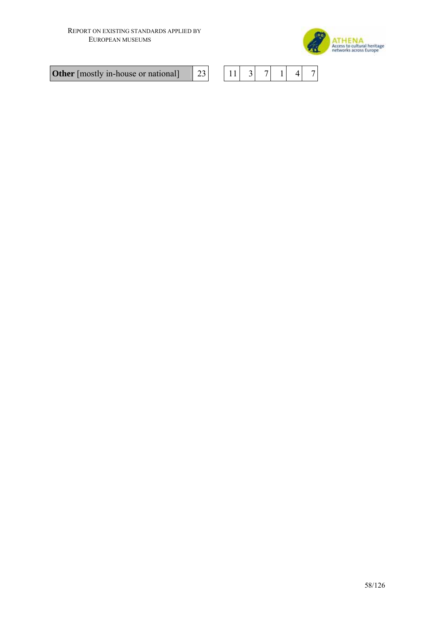

**Other** [mostly in-house or national]  $\begin{bmatrix} 23 \end{bmatrix}$ 

|--|--|--|--|--|--|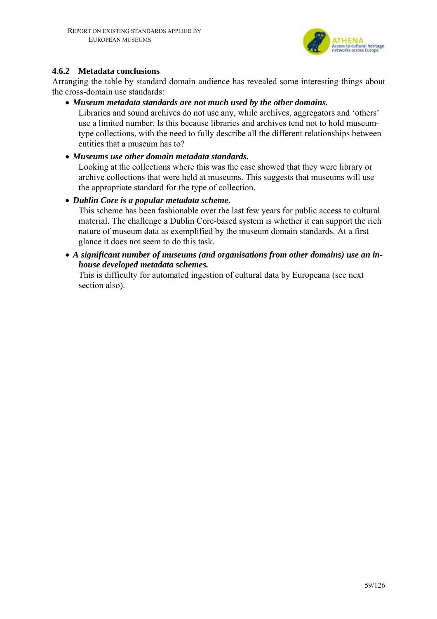

#### **4.6.2 Metadata conclusions**

Arranging the table by standard domain audience has revealed some interesting things about the cross-domain use standards:

• *Museum metadata standards are not much used by the other domains.* 

Libraries and sound archives do not use any, while archives, aggregators and 'others' use a limited number. Is this because libraries and archives tend not to hold museumtype collections, with the need to fully describe all the different relationships between entities that a museum has to?

• *Museums use other domain metadata standards.* 

Looking at the collections where this was the case showed that they were library or archive collections that were held at museums. This suggests that museums will use the appropriate standard for the type of collection.

• *Dublin Core is a popular metadata scheme*.

This scheme has been fashionable over the last few years for public access to cultural material. The challenge a Dublin Core-based system is whether it can support the rich nature of museum data as exemplified by the museum domain standards. At a first glance it does not seem to do this task.

• *A significant number of museums (and organisations from other domains) use an inhouse developed metadata schemes.*

This is difficulty for automated ingestion of cultural data by Europeana (see next section also).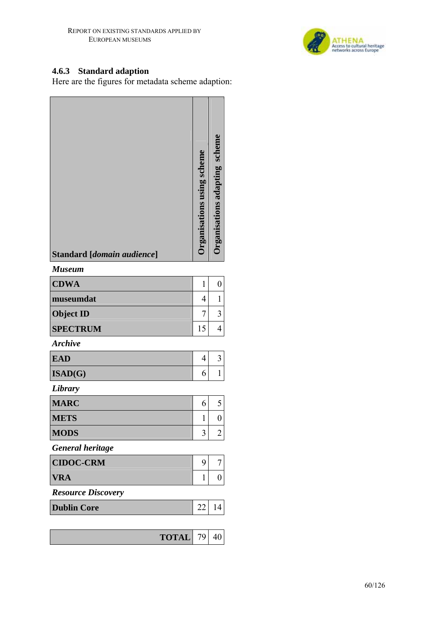

#### **4.6.3 Standard adaption**

Here are the figures for metadata scheme adaption:

| Standard [domain audience] | Organisations using scheme | <b>Increases and Separate Scheme</b> |
|----------------------------|----------------------------|--------------------------------------|
| <b>Museum</b>              |                            |                                      |
| <b>CDWA</b>                | $\mathbf{1}$               | $\boldsymbol{0}$                     |
| museumdat                  | 4                          | 1                                    |
| <b>Object ID</b>           | 7                          | 3                                    |
| <b>SPECTRUM</b>            | 15                         | 4                                    |
| <b>Archive</b>             |                            |                                      |
| <b>EAD</b>                 | $\overline{4}$             | 3                                    |
| ISAD(G)                    | 6                          | $\mathbf{1}$                         |
| Library                    |                            |                                      |
| <b>MARC</b>                | 6                          | 5                                    |
| <b>METS</b>                | 1                          | $\pmb{0}$                            |
| <b>MODS</b>                | 3                          | $\overline{c}$                       |
| <b>General heritage</b>    |                            |                                      |
| <b>CIDOC-CRM</b>           | 9                          | 7                                    |
| <b>VRA</b>                 | 1                          | $\boldsymbol{0}$                     |
| <b>Resource Discovery</b>  |                            |                                      |
| <b>Dublin Core</b>         | 22                         | 14                                   |
|                            |                            |                                      |
| <b>TOTAL</b>               | 79                         | 40                                   |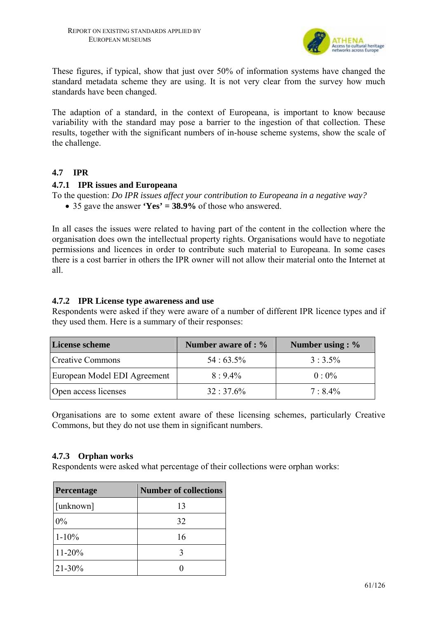

These figures, if typical, show that just over 50% of information systems have changed the standard metadata scheme they are using. It is not very clear from the survey how much standards have been changed.

The adaption of a standard, in the context of Europeana, is important to know because variability with the standard may pose a barrier to the ingestion of that collection. These results, together with the significant numbers of in-house scheme systems, show the scale of the challenge.

#### **4.7 IPR**

#### **4.7.1 IPR issues and Europeana**

To the question: *Do IPR issues affect your contribution to Europeana in a negative way?*  • 35 gave the answer **'Yes' = 38.9%** of those who answered.

In all cases the issues were related to having part of the content in the collection where the organisation does own the intellectual property rights. Organisations would have to negotiate permissions and licences in order to contribute such material to Europeana. In some cases there is a cost barrier in others the IPR owner will not allow their material onto the Internet at all.

#### **4.7.2 IPR License type awareness and use**

Respondents were asked if they were aware of a number of different IPR licence types and if they used them. Here is a summary of their responses:

| License scheme               | Number aware of : % | Number using : $\%$ |
|------------------------------|---------------------|---------------------|
| <b>Creative Commons</b>      | $54:63.5\%$         | $3:3.5\%$           |
| European Model EDI Agreement | $8:9.4\%$           | $0.0\%$             |
| Open access licenses         | $32:37.6\%$         | $7:8.4\%$           |

Organisations are to some extent aware of these licensing schemes, particularly Creative Commons, but they do not use them in significant numbers.

#### **4.7.3 Orphan works**

Respondents were asked what percentage of their collections were orphan works:

| Percentage | <b>Number of collections</b> |
|------------|------------------------------|
| [unknown]  | 13                           |
| $0\%$      | 32                           |
| $1 - 10\%$ | 16                           |
| $11 - 20%$ |                              |
| $21 - 30%$ |                              |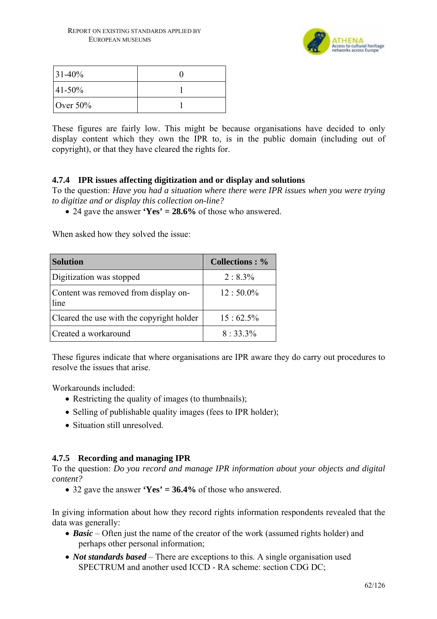

| $ 31-40\%$  |  |
|-------------|--|
| $ 41-50\%$  |  |
| Over $50\%$ |  |

These figures are fairly low. This might be because organisations have decided to only display content which they own the IPR to, is in the public domain (including out of copyright), or that they have cleared the rights for.

#### **4.7.4 IPR issues affecting digitization and or display and solutions**

To the question: *Have you had a situation where there were IPR issues when you were trying to digitize and or display this collection on-line?* 

• 24 gave the answer **'Yes' = 28.6%** of those who answered.

When asked how they solved the issue:

| <b>Solution</b>                              | <b>Collections: %</b> |
|----------------------------------------------|-----------------------|
| Digitization was stopped                     | $2:8.3\%$             |
| Content was removed from display on-<br>line | $12:50.0\%$           |
| Cleared the use with the copyright holder    | $15:62.5\%$           |
| Created a workaround                         | $8:33.3\%$            |

These figures indicate that where organisations are IPR aware they do carry out procedures to resolve the issues that arise.

Workarounds included:

- Restricting the quality of images (to thumbnails);
- Selling of publishable quality images (fees to IPR holder);
- Situation still unresolved.

#### **4.7.5 Recording and managing IPR**

To the question: *Do you record and manage IPR information about your objects and digital content?* 

• 32 gave the answer **'Yes' = 36.4%** of those who answered.

In giving information about how they record rights information respondents revealed that the data was generally:

- *Basic* Often just the name of the creator of the work (assumed rights holder) and perhaps other personal information;
- *Not standards based* There are exceptions to this. A single organisation used SPECTRUM and another used ICCD - RA scheme: section CDG DC;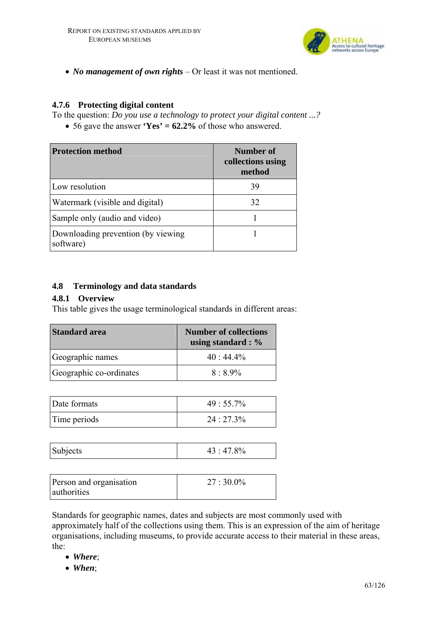

• *No management of own rights* – Or least it was not mentioned.

### **4.7.6 Protecting digital content**

To the question: *Do you use a technology to protect your digital content ...?* 

• 56 gave the answer **'Yes' = 62.2%** of those who answered.

| <b>Protection method</b>                         | Number of<br>collections using<br>method |
|--------------------------------------------------|------------------------------------------|
| Low resolution                                   | 39                                       |
| Watermark (visible and digital)                  | 32                                       |
| Sample only (audio and video)                    |                                          |
| Downloading prevention (by viewing)<br>software) |                                          |

#### **4.8 Terminology and data standards**

#### **4.8.1 Overview**

This table gives the usage terminological standards in different areas:

| <b>Standard area</b>    | <b>Number of collections</b><br>using standard : $\%$ |
|-------------------------|-------------------------------------------------------|
| Geographic names        | $40:44.4\%$                                           |
| Geographic co-ordinates | $8:8.9\%$                                             |

| Date formats | $49:55.7\%$ |
|--------------|-------------|
| Time periods | $24:27.3\%$ |

| Subjects<br>20∠ |
|-----------------|
|-----------------|

| Person and organisation | $27:30.0\%$ |
|-------------------------|-------------|
| authorities             |             |

Standards for geographic names, dates and subjects are most commonly used with approximately half of the collections using them. This is an expression of the aim of heritage organisations, including museums, to provide accurate access to their material in these areas, the:

- *Where*;
- *When*;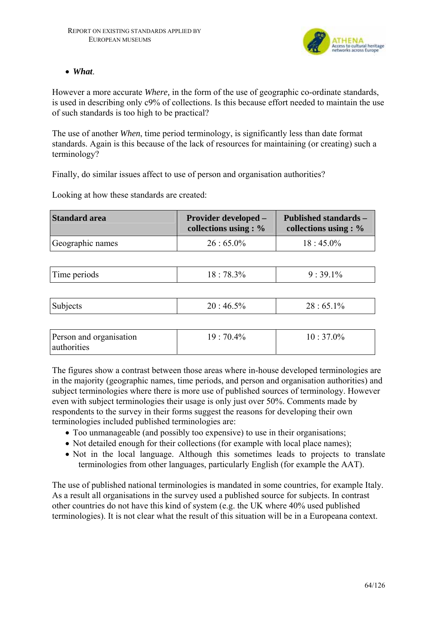

#### • *What*.

However a more accurate *Where,* in the form of the use of geographic co-ordinate standards, is used in describing only c9% of collections. Is this because effort needed to maintain the use of such standards is too high to be practical?

The use of another *When*, time period terminology, is significantly less than date format standards. Again is this because of the lack of resources for maintaining (or creating) such a terminology?

Finally, do similar issues affect to use of person and organisation authorities?

Looking at how these standards are created:

| <b>Standard area</b> | <b>Provider developed –</b><br>collections using : $%$ | <b>Published standards –</b><br>collections using : $\%$ |
|----------------------|--------------------------------------------------------|----------------------------------------------------------|
| Geographic names     | $26:65.0\%$                                            | $18:45.0\%$                                              |
|                      |                                                        |                                                          |
| Time periods         | $18:78.3\%$                                            | $9:39.1\%$                                               |
|                      |                                                        |                                                          |
| Subjects             | $20:46.5\%$                                            | $28:65.1\%$                                              |
|                      |                                                        |                                                          |
|                      |                                                        |                                                          |

| Person and organisation | $19:70.4\%$ | $10:37.0\%$ |
|-------------------------|-------------|-------------|
| authorities             |             |             |
|                         |             |             |

The figures show a contrast between those areas where in-house developed terminologies are in the majority (geographic names, time periods, and person and organisation authorities) and subject terminologies where there is more use of published sources of terminology. However even with subject terminologies their usage is only just over 50%. Comments made by respondents to the survey in their forms suggest the reasons for developing their own terminologies included published terminologies are:

- Too unmanageable (and possibly too expensive) to use in their organisations;
- Not detailed enough for their collections (for example with local place names);
- Not in the local language. Although this sometimes leads to projects to translate terminologies from other languages, particularly English (for example the AAT).

The use of published national terminologies is mandated in some countries, for example Italy. As a result all organisations in the survey used a published source for subjects. In contrast other countries do not have this kind of system (e.g. the UK where 40% used published terminologies). It is not clear what the result of this situation will be in a Europeana context.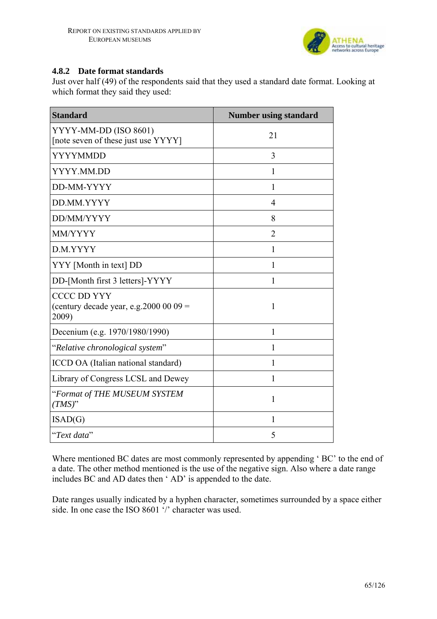

#### **4.8.2 Date format standards**

Just over half (49) of the respondents said that they used a standard date format. Looking at which format they said they used:

| <b>Standard</b>                                                        | <b>Number using standard</b> |
|------------------------------------------------------------------------|------------------------------|
| YYYY-MM-DD (ISO 8601)<br>[note seven of these just use YYYY]           | 21                           |
| YYYYMMDD                                                               | 3                            |
| YYYY.MM.DD                                                             | 1                            |
| DD-MM-YYYY                                                             | 1                            |
| DD.MM.YYYY                                                             | 4                            |
| DD/MM/YYYY                                                             | 8                            |
| MM/YYYY                                                                | $\overline{2}$               |
| D.M.YYYY                                                               | 1                            |
| YYY [Month in text] DD                                                 | 1                            |
| DD-[Month first 3 letters]-YYYY                                        | 1                            |
| <b>CCCC DD YYY</b><br>(century decade year, e.g. 2000 00 09 =<br>2009) | 1                            |
| Decenium (e.g. 1970/1980/1990)                                         | 1                            |
| "Relative chronological system"                                        | 1                            |
| ICCD OA (Italian national standard)                                    | 1                            |
| Library of Congress LCSL and Dewey                                     | 1                            |
| "Format of THE MUSEUM SYSTEM<br>$(TMS)^"$                              | 1                            |
| ISAD(G)                                                                | 1                            |
| "Text data"                                                            | 5                            |

Where mentioned BC dates are most commonly represented by appending 'BC' to the end of a date. The other method mentioned is the use of the negative sign. Also where a date range includes BC and AD dates then ' AD' is appended to the date.

Date ranges usually indicated by a hyphen character, sometimes surrounded by a space either side. In one case the ISO 8601 '/' character was used.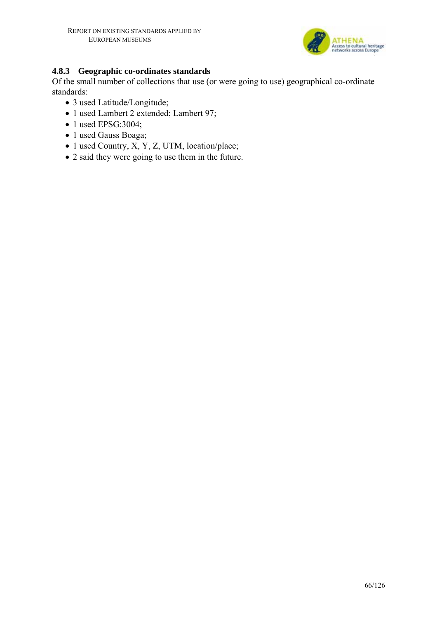

#### **4.8.3 Geographic co-ordinates standards**

Of the small number of collections that use (or were going to use) geographical co-ordinate standards:

- 3 used Latitude/Longitude;
- 1 used Lambert 2 extended; Lambert 97;
- 1 used EPSG:3004;
- 1 used Gauss Boaga;
- 1 used Country, X, Y, Z, UTM, location/place;
- 2 said they were going to use them in the future.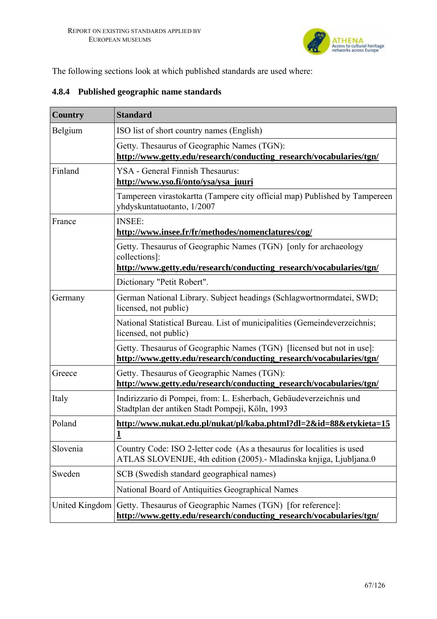

The following sections look at which published standards are used where:

| <b>Country</b> | <b>Standard</b>                                                                                                                                          |  |
|----------------|----------------------------------------------------------------------------------------------------------------------------------------------------------|--|
| Belgium        | ISO list of short country names (English)                                                                                                                |  |
|                | Getty. Thesaurus of Geographic Names (TGN):<br>http://www.getty.edu/research/conducting_research/vocabularies/tgn/                                       |  |
| Finland        | YSA - General Finnish Thesaurus:<br>http://www.yso.fi/onto/ysa/ysa_juuri                                                                                 |  |
|                | Tampereen virastokartta (Tampere city official map) Published by Tampereen<br>yhdyskuntatuotanto, 1/2007                                                 |  |
| France         | <b>INSEE:</b><br>http://www.insee.fr/fr/methodes/nomenclatures/cog/                                                                                      |  |
|                | Getty. Thesaurus of Geographic Names (TGN) [only for archaeology<br>collections]:<br>http://www.getty.edu/research/conducting_research/vocabularies/tgn/ |  |
|                | Dictionary "Petit Robert".                                                                                                                               |  |
| Germany        | German National Library. Subject headings (Schlagwortnormdatei, SWD;<br>licensed, not public)                                                            |  |
|                | National Statistical Bureau. List of municipalities (Gemeindeverzeichnis;<br>licensed, not public)                                                       |  |
|                | Getty. Thesaurus of Geographic Names (TGN) [licensed but not in use]:<br>http://www.getty.edu/research/conducting_research/vocabularies/tgn/             |  |
| Greece         | Getty. Thesaurus of Geographic Names (TGN):<br>http://www.getty.edu/research/conducting_research/vocabularies/tgn/                                       |  |
| Italy          | Indirizzario di Pompei, from: L. Esherbach, Gebäudeverzeichnis und<br>Stadtplan der antiken Stadt Pompeji, Köln, 1993                                    |  |
| Poland         | http://www.nukat.edu.pl/nukat/pl/kaba.phtml?dl=2&id=88&etykieta=15<br>1                                                                                  |  |
| Slovenia       | Country Code: ISO 2-letter code (As a the saurus for localities is used<br>ATLAS SLOVENIJE, 4th edition (2005). Mladinska knjiga, Ljubljana.0            |  |
| Sweden         | SCB (Swedish standard geographical names)                                                                                                                |  |
|                | National Board of Antiquities Geographical Names                                                                                                         |  |
| United Kingdom | Getty. Thesaurus of Geographic Names (TGN) [for reference]:<br>http://www.getty.edu/research/conducting_research/vocabularies/tgn/                       |  |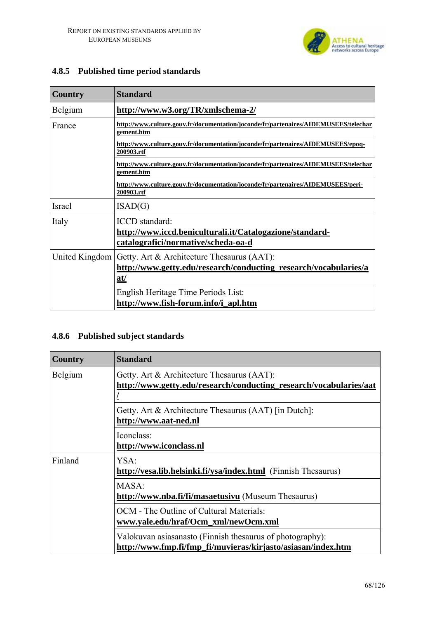

| Country        | <b>Standard</b>                                                                                                       |  |
|----------------|-----------------------------------------------------------------------------------------------------------------------|--|
| Belgium        | http://www.w3.org/TR/xmlschema-2/                                                                                     |  |
| France         | http://www.culture.gouv.fr/documentation/joconde/fr/partenaires/AIDEMUSEES/telechar<br>gement.htm                     |  |
|                | http://www.culture.gouv.fr/documentation/joconde/fr/partenaires/AIDEMUSEES/epoq-<br>200903.rtf                        |  |
|                | http://www.culture.gouv.fr/documentation/joconde/fr/partenaires/AIDEMUSEES/telechar<br>gement.htm                     |  |
|                | http://www.culture.gouv.fr/documentation/joconde/fr/partenaires/AIDEMUSEES/peri-<br>200903.rtf                        |  |
| Israel         | ISAD(G)                                                                                                               |  |
| Italy          | ICCD standard:<br>http://www.iccd.beniculturali.it/Catalogazione/standard-<br>catalografici/normative/scheda-oa-d     |  |
| United Kingdom | Getty. Art & Architecture Thesaurus (AAT):<br>http://www.getty.edu/research/conducting_research/vocabularies/a<br>at/ |  |
|                | English Heritage Time Periods List:<br>http://www.fish-forum.info/i_apl.htm                                           |  |

### **4.8.5 Published time period standards**

## **4.8.6 Published subject standards**

| Country | <b>Standard</b>                                                                                                           |  |
|---------|---------------------------------------------------------------------------------------------------------------------------|--|
| Belgium | Getty. Art & Architecture Thesaurus (AAT):<br>http://www.getty.edu/research/conducting_research/vocabularies/aat          |  |
|         | Getty. Art & Architecture Thesaurus (AAT) [in Dutch]:<br>http://www.aat-ned.nl                                            |  |
|         | Iconclass:<br>http://www.iconclass.nl                                                                                     |  |
| Finland | YSA:<br>http://vesa.lib.helsinki.fi/ysa/index.html (Finnish Thesaurus)                                                    |  |
|         | MASA:<br>http://www.nba.fi/fi/masaetusivu (Museum Thesaurus)                                                              |  |
|         | OCM - The Outline of Cultural Materials:<br>www.yale.edu/hraf/Ocm_xml/newOcm.xml                                          |  |
|         | Valokuvan asiasanasto (Finnish thesaurus of photography):<br>http://www.fmp.fi/fmp_fi/muvieras/kirjasto/asiasan/index.htm |  |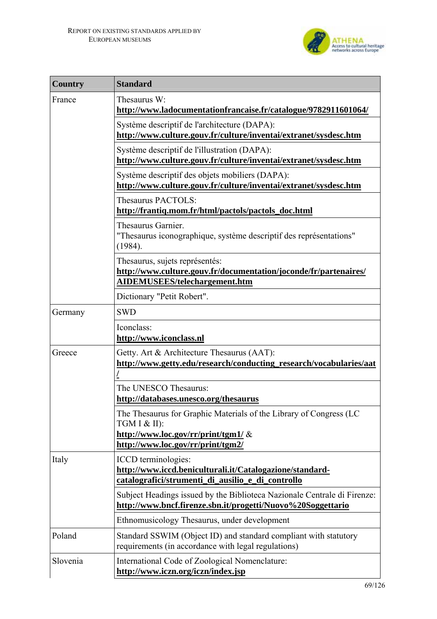

| <b>Country</b> | <b>Standard</b>                                                                                                                                                  |  |
|----------------|------------------------------------------------------------------------------------------------------------------------------------------------------------------|--|
| France         | Thesaurus W:<br>http://www.ladocumentationfrancaise.fr/catalogue/9782911601064/                                                                                  |  |
|                | Système descriptif de l'architecture (DAPA):<br>http://www.culture.gouv.fr/culture/inventai/extranet/sysdesc.htm                                                 |  |
|                | Système descriptif de l'illustration (DAPA):<br>http://www.culture.gouv.fr/culture/inventai/extranet/sysdesc.htm                                                 |  |
|                | Système descriptif des objets mobiliers (DAPA):<br>http://www.culture.gouv.fr/culture/inventai/extranet/sysdesc.htm                                              |  |
|                | Thesaurus PACTOLS:<br>http://frantiq.mom.fr/html/pactols/pactols_doc.html                                                                                        |  |
|                | Thesaurus Garnier.<br>"Thesaurus iconographique, système descriptif des représentations"<br>(1984).                                                              |  |
|                | Thesaurus, sujets représentés:<br>http://www.culture.gouv.fr/documentation/joconde/fr/partenaires/<br>AIDEMUSEES/telechargement.htm                              |  |
|                | Dictionary "Petit Robert".                                                                                                                                       |  |
| Germany        | <b>SWD</b>                                                                                                                                                       |  |
|                | Iconclass:<br>http://www.iconclass.nl                                                                                                                            |  |
| Greece         | Getty. Art & Architecture Thesaurus (AAT):<br>http://www.getty.edu/research/conducting_research/vocabularies/aat                                                 |  |
|                | The UNESCO Thesaurus:<br>http://databases.unesco.org/thesaurus                                                                                                   |  |
|                | The Thesaurus for Graphic Materials of the Library of Congress (LC<br>TGM I $&$ II):<br>http://www.loc.gov/rr/print/tgm1/ &<br>http://www.loc.gov/rr/print/tgm2/ |  |
| Italy          | ICCD terminologies:<br>http://www.iccd.beniculturali.it/Catalogazione/standard-<br>catalografici/strumenti_di_ausilio_e_di_controllo                             |  |
|                | Subject Headings issued by the Biblioteca Nazionale Centrale di Firenze:<br>http://www.bncf.firenze.sbn.it/progetti/Nuovo%20Soggettario                          |  |
|                | Ethnomusicology Thesaurus, under development                                                                                                                     |  |
| Poland         | Standard SSWIM (Object ID) and standard compliant with statutory<br>requirements (in accordance with legal regulations)                                          |  |
| Slovenia       | International Code of Zoological Nomenclature:<br>http://www.iczn.org/iczn/index.jsp                                                                             |  |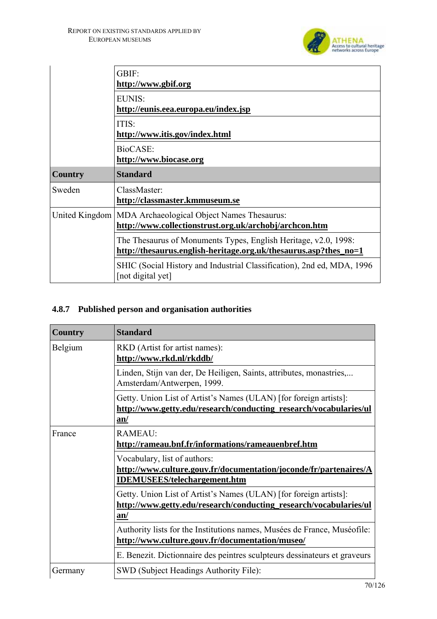

|                | GBIF:<br>http://www.gbif.org<br>EUNIS:<br>http://eunis.eea.europa.eu/index.jsp                                                      |  |
|----------------|-------------------------------------------------------------------------------------------------------------------------------------|--|
|                |                                                                                                                                     |  |
|                | ITIS:<br>http://www.itis.gov/index.html                                                                                             |  |
|                | BioCASE:<br>http://www.biocase.org                                                                                                  |  |
| <b>Country</b> | <b>Standard</b>                                                                                                                     |  |
| Sweden         | ClassMaster:<br>http://classmaster.kmmuseum.se                                                                                      |  |
|                | United Kingdom   MDA Archaeological Object Names Thesaurus:<br>http://www.collectionstrust.org.uk/archobj/archcon.htm               |  |
|                | The Thesaurus of Monuments Types, English Heritage, v2.0, 1998:<br>http://thesaurus.english-heritage.org.uk/thesaurus.asp?thes_no=1 |  |
|                | SHIC (Social History and Industrial Classification), 2nd ed, MDA, 1996<br>[not digital yet]                                         |  |

### **4.8.7 Published person and organisation authorities**

| <b>Country</b> | <b>Standard</b>                                                                                                                               |
|----------------|-----------------------------------------------------------------------------------------------------------------------------------------------|
| Belgium        | RKD (Artist for artist names):<br>http://www.rkd.nl/rkddb/                                                                                    |
|                | Linden, Stijn van der, De Heiligen, Saints, attributes, monastries,<br>Amsterdam/Antwerpen, 1999.                                             |
|                | Getty. Union List of Artist's Names (ULAN) [for foreign artists]:<br>http://www.getty.edu/research/conducting_research/vocabularies/ul<br>an/ |
| France         | <b>RAMEAU:</b><br>http://rameau.bnf.fr/informations/rameauenbref.htm                                                                          |
|                | Vocabulary, list of authors:<br>http://www.culture.gouv.fr/documentation/joconde/fr/partenaires/A<br><b>IDEMUSEES/telechargement.htm</b>      |
|                | Getty. Union List of Artist's Names (ULAN) [for foreign artists]:<br>http://www.getty.edu/research/conducting_research/vocabularies/ul<br>an/ |
|                | Authority lists for the Institutions names, Musées de France, Muséofile:<br>http://www.culture.gouv.fr/documentation/museo/                   |
|                | E. Benezit. Dictionnaire des peintres sculpteurs dessinateurs et graveurs                                                                     |
| Germany        | SWD (Subject Headings Authority File):                                                                                                        |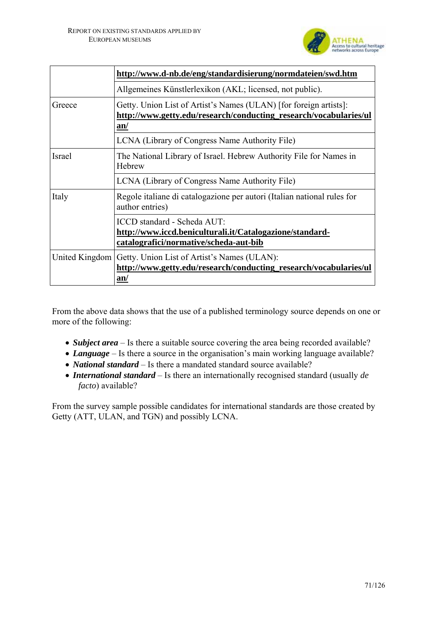

|        | http://www.d-nb.de/eng/standardisierung/normdateien/swd.htm                                                                              |  |
|--------|------------------------------------------------------------------------------------------------------------------------------------------|--|
|        | Allgemeines Künstlerlexikon (AKL; licensed, not public).                                                                                 |  |
| Greece | Getty. Union List of Artist's Names (ULAN) [for foreign artists]:<br>http://www.getty.edu/research/conducting_research/vocabularies/ul   |  |
|        | an/                                                                                                                                      |  |
|        | LCNA (Library of Congress Name Authority File)                                                                                           |  |
| Israel | The National Library of Israel. Hebrew Authority File for Names in<br>Hebrew                                                             |  |
|        | LCNA (Library of Congress Name Authority File)                                                                                           |  |
| Italy  | Regole italiane di catalogazione per autori (Italian national rules for<br>author entries)                                               |  |
|        | ICCD standard - Scheda AUT:<br>http://www.iccd.beniculturali.it/Catalogazione/standard-<br>catalografici/normative/scheda-aut-bib        |  |
|        | United Kingdom   Getty. Union List of Artist's Names (ULAN):<br>http://www.getty.edu/research/conducting_research/vocabularies/ul<br>an/ |  |

From the above data shows that the use of a published terminology source depends on one or more of the following:

- *Subject area* Is there a suitable source covering the area being recorded available?
- *Language* Is there a source in the organisation's main working language available?
- *National standard* Is there a mandated standard source available?
- *International standard* Is there an internationally recognised standard (usually *de facto*) available?

From the survey sample possible candidates for international standards are those created by Getty (ATT, ULAN, and TGN) and possibly LCNA.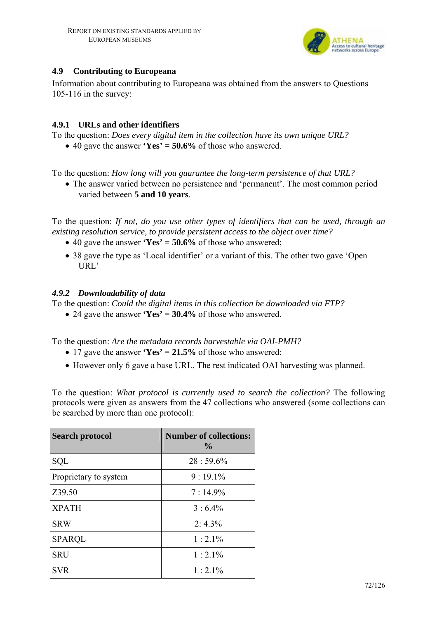

### **4.9 Contributing to Europeana**

Information about contributing to Europeana was obtained from the answers to Questions 105-116 in the survey:

#### **4.9.1 URLs and other identifiers**

To the question: *Does every digital item in the collection have its own unique URL?* 

• 40 gave the answer **'Yes' = 50.6%** of those who answered.

To the question: *How long will you guarantee the long-term persistence of that URL?* 

• The answer varied between no persistence and 'permanent'. The most common period varied between **5 and 10 years**.

To the question: *If not, do you use other types of identifiers that can be used, through an existing resolution service, to provide persistent access to the object over time?* 

- 40 gave the answer **'Yes' = 50.6%** of those who answered;
- 38 gave the type as 'Local identifier' or a variant of this. The other two gave 'Open URL'

#### *4.9.2 Downloadability of data*

To the question: *Could the digital items in this collection be downloaded via FTP?* 

• 24 gave the answer **'Yes' = 30.4%** of those who answered.

To the question: *Are the metadata records harvestable via OAI-PMH?* 

- 17 gave the answer **'Yes' = 21.5%** of those who answered;
- However only 6 gave a base URL. The rest indicated OAI harvesting was planned.

To the question: *What protocol is currently used to search the collection?* The following protocols were given as answers from the 47 collections who answered (some collections can be searched by more than one protocol):

| <b>Search protocol</b> | <b>Number of collections:</b><br>$\frac{0}{0}$ |
|------------------------|------------------------------------------------|
| SQL                    | $28:59.6\%$                                    |
| Proprietary to system  | $9:19.1\%$                                     |
| Z39.50                 | $7:14.9\%$                                     |
| <b>XPATH</b>           | $3:6.4\%$                                      |
| <b>SRW</b>             | $2:4.3\%$                                      |
| <b>SPAROL</b>          | $1:2.1\%$                                      |
| <b>SRU</b>             | $1:2.1\%$                                      |
| <b>SVR</b>             | $1:2.1\%$                                      |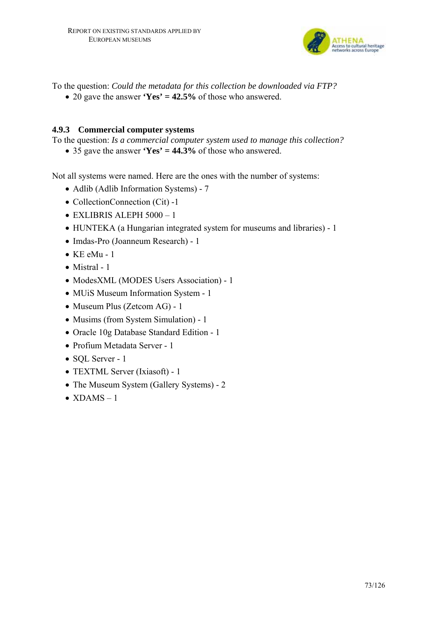

To the question: *Could the metadata for this collection be downloaded via FTP?* 

• 20 gave the answer **'Yes' = 42.5%** of those who answered.

# **4.9.3 Commercial computer systems**

To the question: *Is a commercial computer system used to manage this collection?* 

• 35 gave the answer **'Yes' = 44.3%** of those who answered.

Not all systems were named. Here are the ones with the number of systems:

- Adlib (Adlib Information Systems) 7
- CollectionConnection (Cit) -1
- $\bullet$  EXLIBRIS ALEPH 5000 1
- HUNTEKA (a Hungarian integrated system for museums and libraries) 1
- Imdas-Pro (Joanneum Research) 1
- $\bullet$  KE eMu 1
- Mistral 1
- ModesXML (MODES Users Association) 1
- MUiS Museum Information System 1
- Museum Plus (Zetcom AG) 1
- Musims (from System Simulation) 1
- Oracle 10g Database Standard Edition 1
- Profium Metadata Server 1
- SOL Server 1
- TEXTML Server (Ixiasoft) 1
- The Museum System (Gallery Systems) 2
- $XDAMS 1$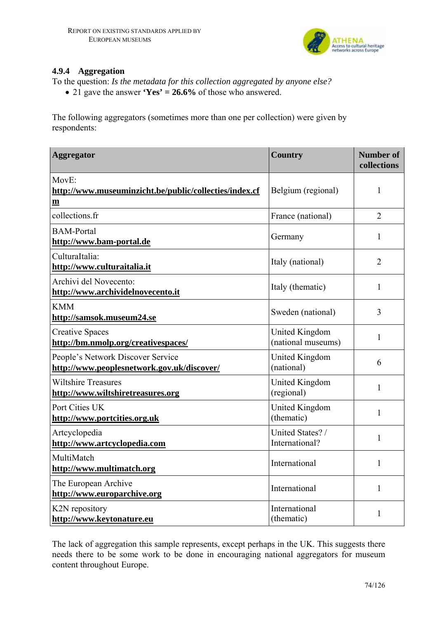

# **4.9.4 Aggregation**

To the question: *Is the metadata for this collection aggregated by anyone else?* 

• 21 gave the answer **'Yes' = 26.6%** of those who answered.

The following aggregators (sometimes more than one per collection) were given by respondents:

| <b>Aggregator</b>                                                                              | <b>Country</b>                       | <b>Number of</b><br>collections |
|------------------------------------------------------------------------------------------------|--------------------------------------|---------------------------------|
| $MovE$ :<br>http://www.museuminzicht.be/public/collecties/index.cf<br>$\underline{\mathbf{m}}$ | Belgium (regional)                   | $\mathbf{1}$                    |
| collections.fr                                                                                 | France (national)                    | $\overline{2}$                  |
| <b>BAM-Portal</b><br>http://www.bam-portal.de                                                  | Germany                              | $\mathbf{1}$                    |
| CulturaItalia:<br>http://www.culturaitalia.it                                                  | Italy (national)                     | $\overline{2}$                  |
| Archivi del Novecento:<br>http://www.archividelnovecento.it                                    | Italy (thematic)                     | $\mathbf{1}$                    |
| <b>KMM</b><br>http://samsok.museum24.se                                                        | Sweden (national)                    | 3                               |
| <b>Creative Spaces</b><br>http://bm.nmolp.org/creativespaces/                                  | United Kingdom<br>(national museums) | $\mathbf{1}$                    |
| People's Network Discover Service<br>http://www.peoplesnetwork.gov.uk/discover/                | United Kingdom<br>(national)         | 6                               |
| <b>Wiltshire Treasures</b><br>http://www.wiltshiretreasures.org                                | United Kingdom<br>(regional)         | $\mathbf{1}$                    |
| Port Cities UK<br>http://www.portcities.org.uk                                                 | <b>United Kingdom</b><br>(thematic)  | $\mathbf{1}$                    |
| Artcyclopedia<br>http://www.artcyclopedia.com                                                  | United States? /<br>International?   | $\mathbf{1}$                    |
| MultiMatch<br>http://www.multimatch.org                                                        | International                        | $\mathbf{1}$                    |
| The European Archive<br>http://www.europarchive.org                                            | International                        | $\mathbf{1}$                    |
| K2N repository<br>http://www.keytonature.eu                                                    | International<br>(thematic)          | 1                               |

The lack of aggregation this sample represents, except perhaps in the UK. This suggests there needs there to be some work to be done in encouraging national aggregators for museum content throughout Europe.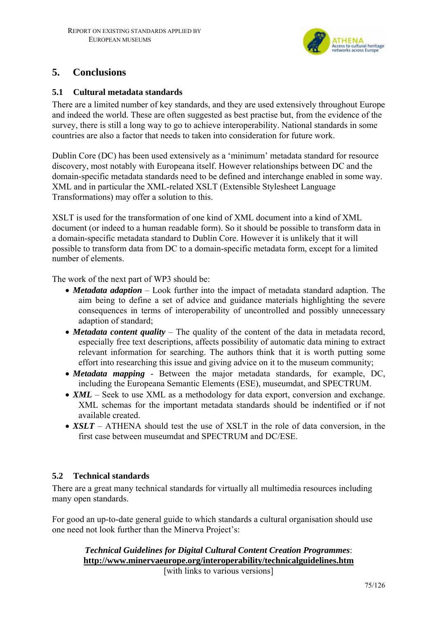

# **5. Conclusions**

# **5.1 Cultural metadata standards**

There are a limited number of key standards, and they are used extensively throughout Europe and indeed the world. These are often suggested as best practise but, from the evidence of the survey, there is still a long way to go to achieve interoperability. National standards in some countries are also a factor that needs to taken into consideration for future work.

Dublin Core (DC) has been used extensively as a 'minimum' metadata standard for resource discovery, most notably with Europeana itself. However relationships between DC and the domain-specific metadata standards need to be defined and interchange enabled in some way. XML and in particular the XML-related XSLT (Extensible Stylesheet Language Transformations) may offer a solution to this.

XSLT is used for the transformation of one kind of XML document into a kind of XML document (or indeed to a human readable form). So it should be possible to transform data in a domain-specific metadata standard to Dublin Core. However it is unlikely that it will possible to transform data from DC to a domain-specific metadata form, except for a limited number of elements.

The work of the next part of WP3 should be:

- *Metadata adaption* Look further into the impact of metadata standard adaption. The aim being to define a set of advice and guidance materials highlighting the severe consequences in terms of interoperability of uncontrolled and possibly unnecessary adaption of standard;
- *Metadata content quality* The quality of the content of the data in metadata record, especially free text descriptions, affects possibility of automatic data mining to extract relevant information for searching. The authors think that it is worth putting some effort into researching this issue and giving advice on it to the museum community;
- *Metadata mapping* Between the major metadata standards, for example, DC, including the Europeana Semantic Elements (ESE), museumdat, and SPECTRUM.
- *XML* Seek to use XML as a methodology for data export, conversion and exchange. XML schemas for the important metadata standards should be indentified or if not available created.
- *XSLT* ATHENA should test the use of XSLT in the role of data conversion, in the first case between museumdat and SPECTRUM and DC/ESE.

# **5.2 Technical standards**

There are a great many technical standards for virtually all multimedia resources including many open standards.

For good an up-to-date general guide to which standards a cultural organisation should use one need not look further than the Minerva Project's:

# *Technical Guidelines for Digital Cultural Content Creation Programmes*: **http://www.minervaeurope.org/interoperability/technicalguidelines.htm**

[with links to various versions]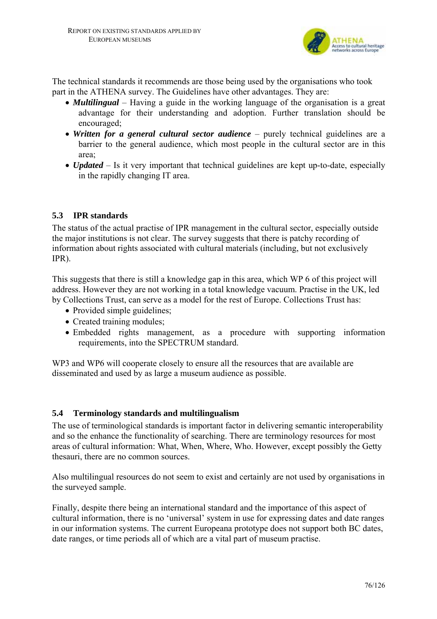

The technical standards it recommends are those being used by the organisations who took part in the ATHENA survey. The Guidelines have other advantages. They are:

- *Multilingual* Having a guide in the working language of the organisation is a great advantage for their understanding and adoption. Further translation should be encouraged;
- *Written for a general cultural sector audience* purely technical guidelines are a barrier to the general audience, which most people in the cultural sector are in this area;
- *Updated* Is it very important that technical guidelines are kept up-to-date, especially in the rapidly changing IT area.

# **5.3 IPR standards**

The status of the actual practise of IPR management in the cultural sector, especially outside the major institutions is not clear. The survey suggests that there is patchy recording of information about rights associated with cultural materials (including, but not exclusively IPR).

This suggests that there is still a knowledge gap in this area, which WP 6 of this project will address. However they are not working in a total knowledge vacuum. Practise in the UK, led by Collections Trust, can serve as a model for the rest of Europe. Collections Trust has:

- Provided simple guidelines;
- Created training modules:
- Embedded rights management, as a procedure with supporting information requirements, into the SPECTRUM standard.

WP3 and WP6 will cooperate closely to ensure all the resources that are available are disseminated and used by as large a museum audience as possible.

# **5.4 Terminology standards and multilingualism**

The use of terminological standards is important factor in delivering semantic interoperability and so the enhance the functionality of searching. There are terminology resources for most areas of cultural information: What, When, Where, Who. However, except possibly the Getty thesauri, there are no common sources.

Also multilingual resources do not seem to exist and certainly are not used by organisations in the surveyed sample.

Finally, despite there being an international standard and the importance of this aspect of cultural information, there is no 'universal' system in use for expressing dates and date ranges in our information systems. The current Europeana prototype does not support both BC dates, date ranges, or time periods all of which are a vital part of museum practise.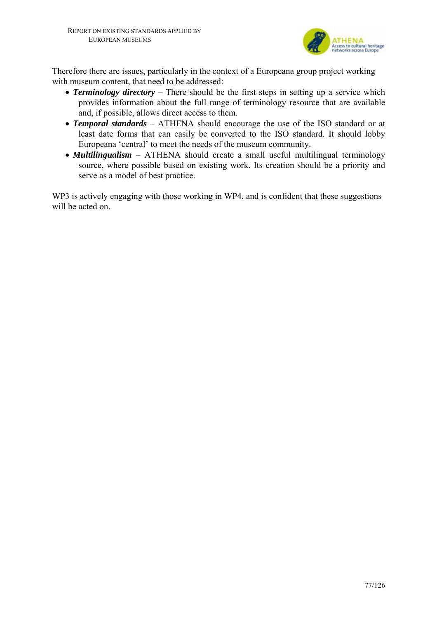

Therefore there are issues, particularly in the context of a Europeana group project working with museum content, that need to be addressed:

- **Terminology directory** There should be the first steps in setting up a service which provides information about the full range of terminology resource that are available and, if possible, allows direct access to them.
- *Temporal standards*  ATHENA should encourage the use of the ISO standard or at least date forms that can easily be converted to the ISO standard. It should lobby Europeana 'central' to meet the needs of the museum community.
- *Multilingualism* ATHENA should create a small useful multilingual terminology source, where possible based on existing work. Its creation should be a priority and serve as a model of best practice.

WP3 is actively engaging with those working in WP4, and is confident that these suggestions will be acted on.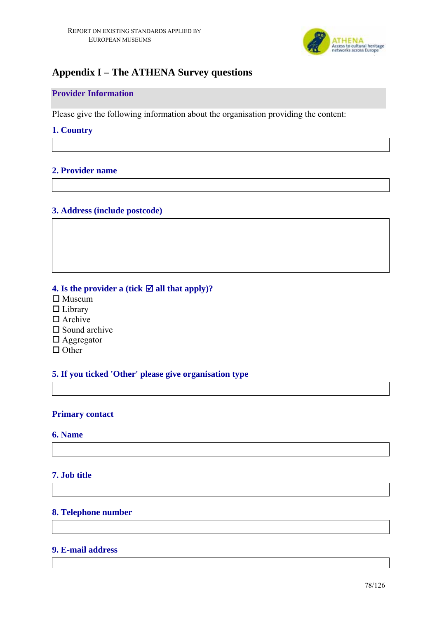

# **Appendix I – The ATHENA Survey questions**

# **Provider Information**

Please give the following information about the organisation providing the content:

## **1. Country**

# **2. Provider name**

## **3. Address (include postcode)**

# **4. Is the provider a (tick**  $\mathbf{\nabla}$  **all that apply)?**

- $\square$  Museum
- □ Library
- $\Box$  Archive
- $\square$  Sound archive
- □ Aggregator
- $\Box$  Other

# **5. If you ticked 'Other' please give organisation type**

#### **Primary contact**

## **6. Name**

#### **7. Job title**

## **8. Telephone number**

#### **9. E-mail address**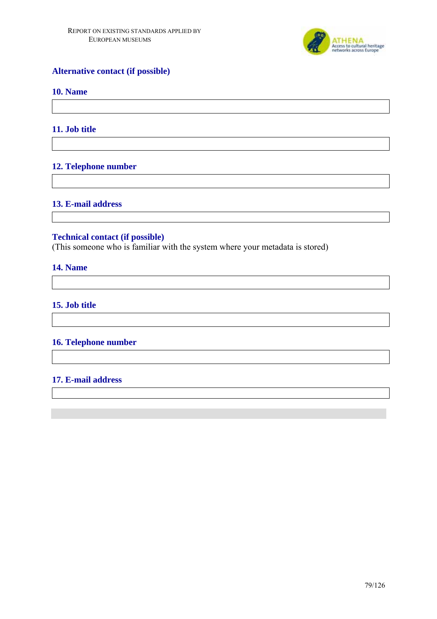

# **Alternative contact (if possible)**

### **10. Name**

## **11. Job title**

# **12. Telephone number**

#### **13. E-mail address**

## **Technical contact (if possible)**

(This someone who is familiar with the system where your metadata is stored)

#### **14. Name**

# **15. Job title**

# **16. Telephone number**

#### **17. E-mail address**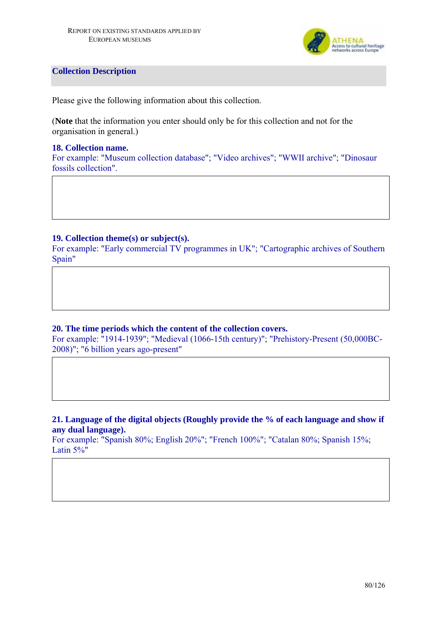

### **Collection Description**

Please give the following information about this collection.

(**Note** that the information you enter should only be for this collection and not for the organisation in general.)

#### **18. Collection name.**

For example: "Museum collection database"; "Video archives"; "WWII archive"; "Dinosaur fossils collection".

## **19. Collection theme(s) or subject(s).**

For example: "Early commercial TV programmes in UK"; "Cartographic archives of Southern Spain"

# **20. The time periods which the content of the collection covers.**

For example: "1914-1939"; "Medieval (1066-15th century)"; "Prehistory-Present (50,000BC-2008)"; "6 billion years ago-present"

## **21. Language of the digital objects (Roughly provide the % of each language and show if any dual language).**

For example: "Spanish 80%; English 20%"; "French 100%"; "Catalan 80%; Spanish 15%; Latin 5%"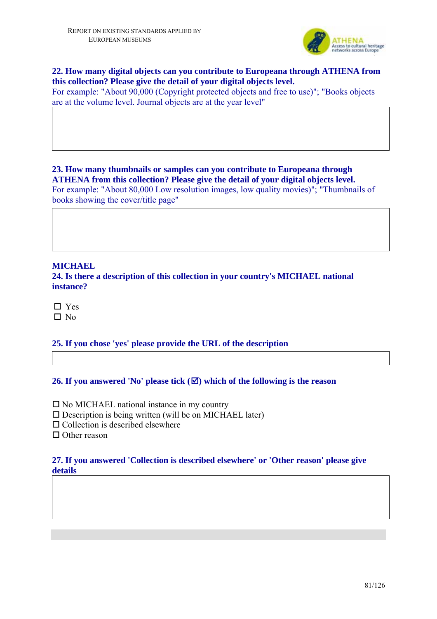

# **22. How many digital objects can you contribute to Europeana through ATHENA from this collection? Please give the detail of your digital objects level.**

For example: "About 90,000 (Copyright protected objects and free to use)"; "Books objects are at the volume level. Journal objects are at the year level"

**23. How many thumbnails or samples can you contribute to Europeana through ATHENA from this collection? Please give the detail of your digital objects level.**  For example: "About 80,000 Low resolution images, low quality movies)"; "Thumbnails of books showing the cover/title page"

#### **MICHAEL**

**24. Is there a description of this collection in your country's MICHAEL national instance?** 

□ Yes  $\square$  No

**25. If you chose 'yes' please provide the URL of the description** 

# **26. If you answered 'No' please tick**  $(\mathbf{\nabla})$  **which of the following is the reason**

 $\square$  No MICHAEL national instance in my country

 $\square$  Description is being written (will be on MICHAEL later)

 $\square$  Collection is described elsewhere

□ Other reason

## **27. If you answered 'Collection is described elsewhere' or 'Other reason' please give details**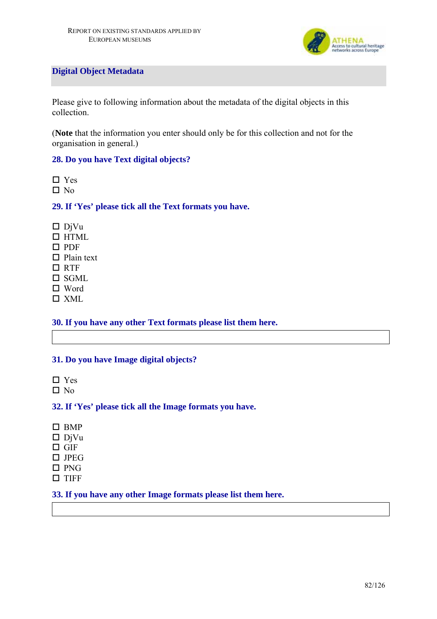

# **Digital Object Metadata**

Please give to following information about the metadata of the digital objects in this collection.

(**Note** that the information you enter should only be for this collection and not for the organisation in general.)

# **28. Do you have Text digital objects?**

□ Yes

 $\Box$  No

#### **29. If 'Yes' please tick all the Text formats you have.**

- $\n *D*$ iVu
- $\Box$  HTML
- $\Pi$  PDF
- $\Box$  Plain text
- □ RTF
- $\Box$  SGML
- □ Word
- XML

### **30. If you have any other Text formats please list them here.**

#### **31. Do you have Image digital objects?**

- □ Yes
- $\square$  No

#### **32. If 'Yes' please tick all the Image formats you have.**

- $\Box$  BMP
- $\n **D**$ iVu
- $\Box$  GIF
- $\Box$  JPEG
- $\square$  PNG
- $\square$  TIFF

## **33. If you have any other Image formats please list them here.**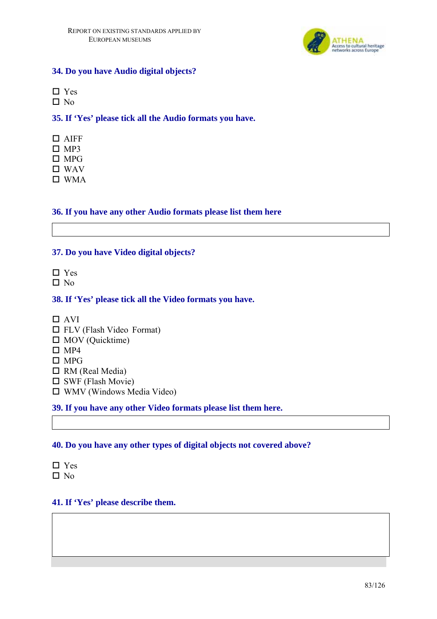

# **34. Do you have Audio digital objects?**

- □ Yes
- $\Box$  No

# **35. If 'Yes' please tick all the Audio formats you have.**

- AIFF
- $\square$  MP3
- $\Box$  MPG
- WAV
- WMA

# **36. If you have any other Audio formats please list them here**

# **37. Do you have Video digital objects?**

- □ Yes
- $\Box$  No

# **38. If 'Yes' please tick all the Video formats you have.**

- $\Box$  AVI
- $\Box$  FLV (Flash Video Format)
- $\Box$  MOV (Quicktime)
- $\Box$  MP4
- $\Box$  MPG
- □ RM (Real Media)
- $\square$  SWF (Flash Movie)
- $\Box$  WMV (Windows Media Video)

# **39. If you have any other Video formats please list them here.**

# **40. Do you have any other types of digital objects not covered above?**

- □ Yes
- $\square$  No

# **41. If 'Yes' please describe them.**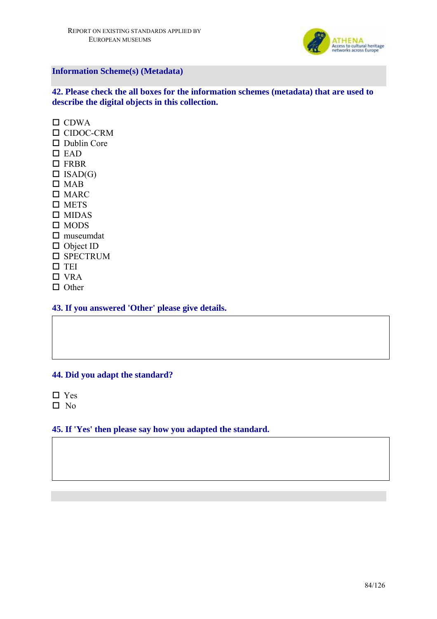

# **Information Scheme(s) (Metadata)**

**42. Please check the all boxes for the information schemes (metadata) that are used to describe the digital objects in this collection.** 

 $\Box$  CDWA □ CIDOC-CRM Dublin Core  $\square$  EAD □ FRBR  $\Box$  ISAD(G)  $\square$  MAB □ MARC  $\square$  METS  $\square$  MIDAS  $\square$  MODS  $\square$  museumdat □ Object ID **O** SPECTRUM  $\square$  TEI  $\Box$  VRA  $\Pi$  Other

**43. If you answered 'Other' please give details.** 

#### **44. Did you adapt the standard?**

□ Yes  $\square$  No

#### **45. If 'Yes' then please say how you adapted the standard.**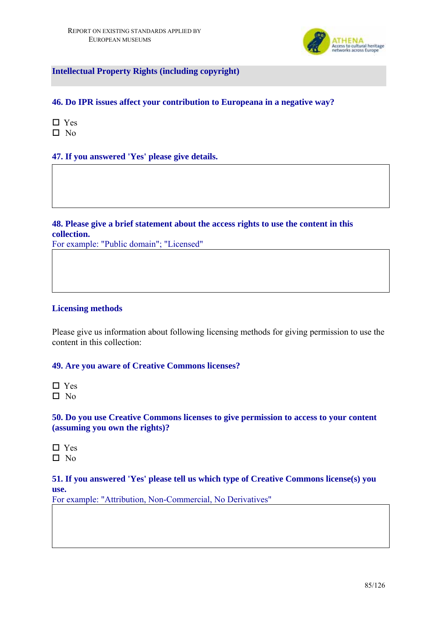

**Intellectual Property Rights (including copyright)** 

# **46. Do IPR issues affect your contribution to Europeana in a negative way?**

- □ Yes
- $\square$  No

# **47. If you answered 'Yes' please give details.**

# **48. Please give a brief statement about the access rights to use the content in this collection.**

For example: "Public domain"; "Licensed"

#### **Licensing methods**

Please give us information about following licensing methods for giving permission to use the content in this collection:

### **49. Are you aware of Creative Commons licenses?**

□ Yes  $\square$  No

## **50. Do you use Creative Commons licenses to give permission to access to your content (assuming you own the rights)?**

 $\Box$  Yes  $\Box$  No

#### **51. If you answered 'Yes' please tell us which type of Creative Commons license(s) you use.**

For example: "Attribution, Non-Commercial, No Derivatives"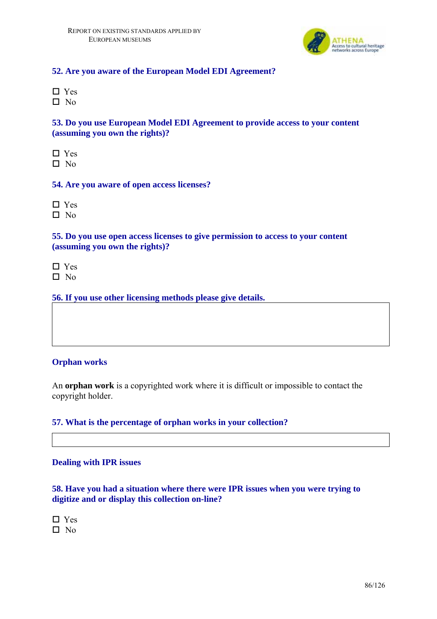

## **52. Are you aware of the European Model EDI Agreement?**

 Yes  $\Box$  No

# **53. Do you use European Model EDI Agreement to provide access to your content (assuming you own the rights)?**

□ Yes  $\Box$  No

#### **54. Are you aware of open access licenses?**

□ Yes

 $\Box$  No

**55. Do you use open access licenses to give permission to access to your content (assuming you own the rights)?** 

 $\Box$  Yes

 $\square$  No

**56. If you use other licensing methods please give details.** 

# **Orphan works**

An **orphan work** is a copyrighted work where it is difficult or impossible to contact the copyright holder.

#### **57. What is the percentage of orphan works in your collection?**

#### **Dealing with IPR issues**

# **58. Have you had a situation where there were IPR issues when you were trying to digitize and or display this collection on-line?**

□ Yes  $\square$  No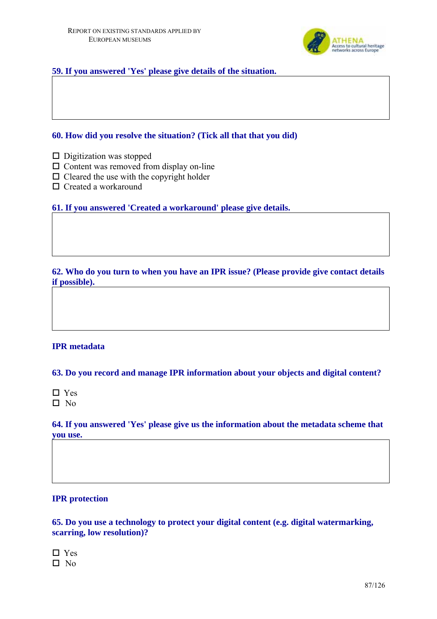

## **59. If you answered 'Yes' please give details of the situation.**

## **60. How did you resolve the situation? (Tick all that that you did)**

- $\square$  Digitization was stopped
- $\Box$  Content was removed from display on-line
- $\Box$  Cleared the use with the copyright holder
- □ Created a workaround

**61. If you answered 'Created a workaround' please give details.** 

**62. Who do you turn to when you have an IPR issue? (Please provide give contact details if possible).** 

# **IPR metadata**

**63. Do you record and manage IPR information about your objects and digital content?** 

□ Yes  $\square$  No

**64. If you answered 'Yes' please give us the information about the metadata scheme that you use.** 

## **IPR protection**

**65. Do you use a technology to protect your digital content (e.g. digital watermarking, scarring, low resolution)?** 

□ Yes  $\square$  No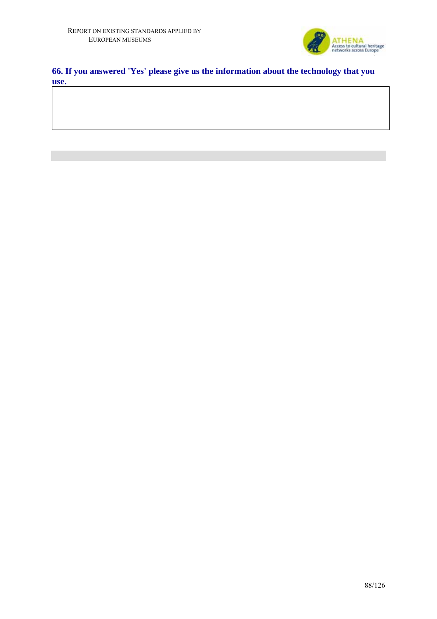

# **66. If you answered 'Yes' please give us the information about the technology that you use.**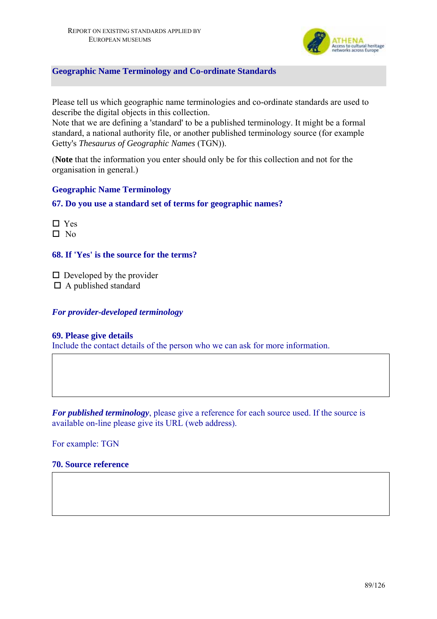

## **Geographic Name Terminology and Co-ordinate Standards**

Please tell us which geographic name terminologies and co-ordinate standards are used to describe the digital objects in this collection.

Note that we are defining a 'standard' to be a published terminology. It might be a formal standard, a national authority file, or another published terminology source (for example Getty's *Thesaurus of Geographic Names* (TGN)).

(**Note** that the information you enter should only be for this collection and not for the organisation in general.)

## **Geographic Name Terminology**

## **67. Do you use a standard set of terms for geographic names?**

□ Yes  $\Box$  No

**68. If 'Yes' is the source for the terms?** 

 $\square$  Developed by the provider

 $\Box$  A published standard

#### *For provider-developed terminology*

#### **69. Please give details**

Include the contact details of the person who we can ask for more information.

*For published terminology*, please give a reference for each source used. If the source is available on-line please give its URL (web address).

For example: TGN

# **70. Source reference**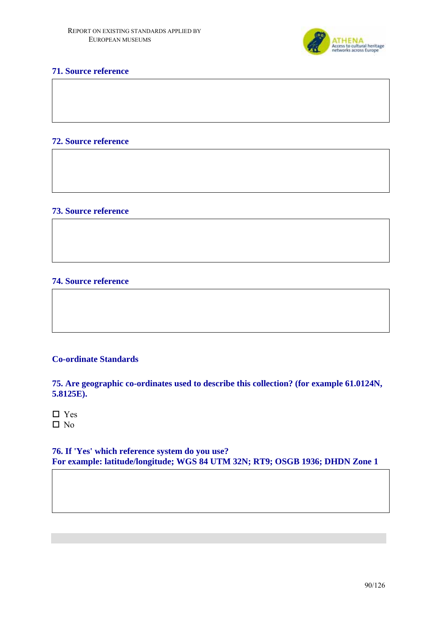

## **71. Source reference**

#### **72. Source reference**

#### **73. Source reference**

#### **74. Source reference**

#### **Co-ordinate Standards**

**75. Are geographic co-ordinates used to describe this collection? (for example 61.0124N, 5.8125E).** 

| Ξ |
|---|
|   |

**76. If 'Yes' which reference system do you use? For example: latitude/longitude; WGS 84 UTM 32N; RT9; OSGB 1936; DHDN Zone 1**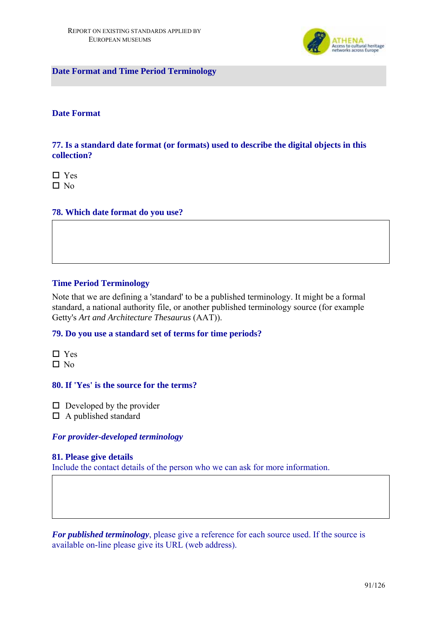

**Date Format and Time Period Terminology** 

### **Date Format**

**77. Is a standard date format (or formats) used to describe the digital objects in this collection?** 

 $\Box$  Yes  $\square$  No

#### **78. Which date format do you use?**

#### **Time Period Terminology**

Note that we are defining a 'standard' to be a published terminology. It might be a formal standard, a national authority file, or another published terminology source (for example Getty's *Art and Architecture Thesaurus* (AAT)).

#### **79. Do you use a standard set of terms for time periods?**

□ Yes  $\square$  No

#### **80. If 'Yes' is the source for the terms?**

 $\Box$  Developed by the provider

 $\Box$  A published standard

#### *For provider-developed terminology*

#### **81. Please give details**

Include the contact details of the person who we can ask for more information.

*For published terminology*, please give a reference for each source used. If the source is available on-line please give its URL (web address).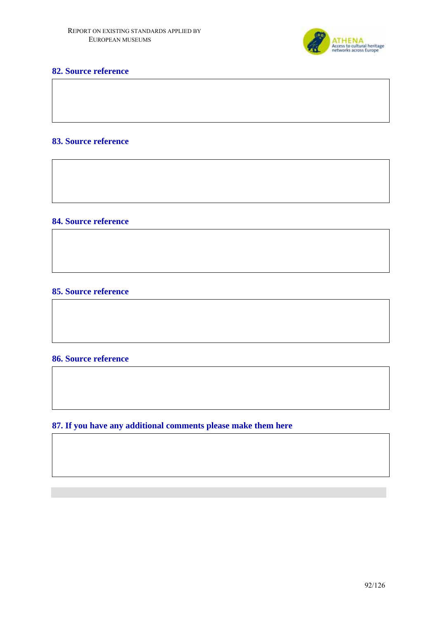

# **82. Source reference**

## **83. Source reference**

# **84. Source reference**

#### **85. Source reference**

## **86. Source reference**

**87. If you have any additional comments please make them here**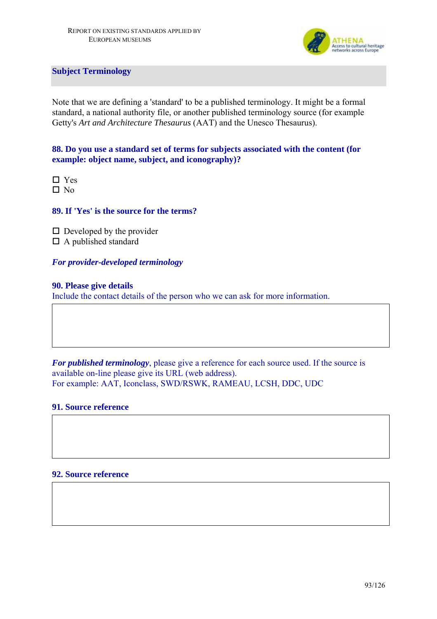

**Subject Terminology** 

Note that we are defining a 'standard' to be a published terminology. It might be a formal standard, a national authority file, or another published terminology source (for example Getty's *Art and Architecture Thesaurus* (AAT) and the Unesco Thesaurus).

**88. Do you use a standard set of terms for subjects associated with the content (for example: object name, subject, and iconography)?** 

□ Yes  $\Box$  No

**89. If 'Yes' is the source for the terms?** 

 $\square$  Developed by the provider A published standard

# *For provider-developed terminology*

## **90. Please give details**

Include the contact details of the person who we can ask for more information.

*For published terminology*, please give a reference for each source used. If the source is available on-line please give its URL (web address). For example: AAT, Iconclass, SWD/RSWK, RAMEAU, LCSH, DDC, UDC

## **91. Source reference**

**92. Source reference**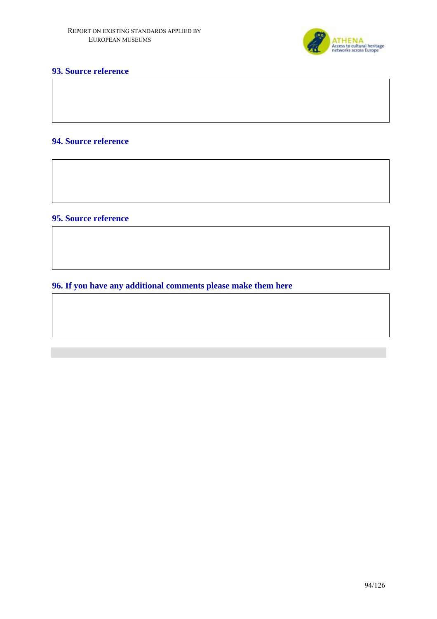

# **93. Source reference**

# **94. Source reference**

**95. Source reference** 

**96. If you have any additional comments please make them here**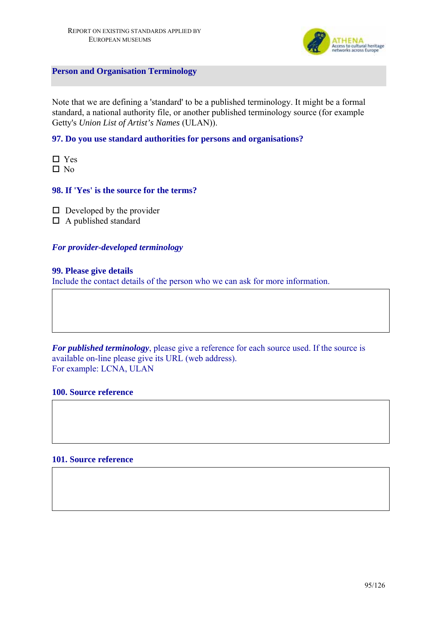

**Person and Organisation Terminology** 

Note that we are defining a 'standard' to be a published terminology. It might be a formal standard, a national authority file, or another published terminology source (for example Getty's *Union List of Artist's Names* (ULAN)).

#### **97. Do you use standard authorities for persons and organisations?**

□ Yes  $\Box$  No

## **98. If 'Yes' is the source for the terms?**

 $\square$  Developed by the provider

 $\Box$  A published standard

#### *For provider-developed terminology*

#### **99. Please give details**

Include the contact details of the person who we can ask for more information.

*For published terminology*, please give a reference for each source used. If the source is available on-line please give its URL (web address). For example: LCNA, ULAN

#### **100. Source reference**

### **101. Source reference**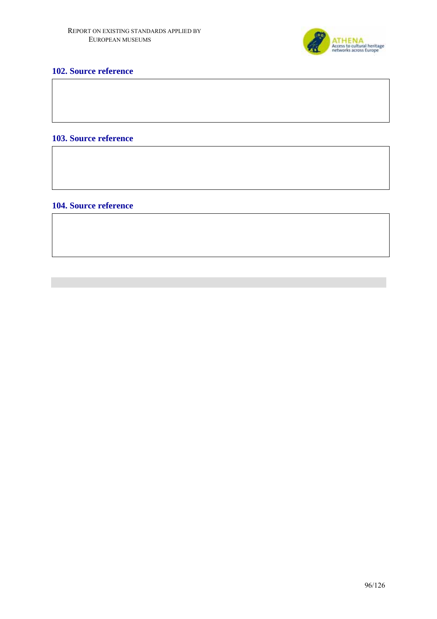

# **102. Source reference**

# **103. Source reference**

#### **104. Source reference**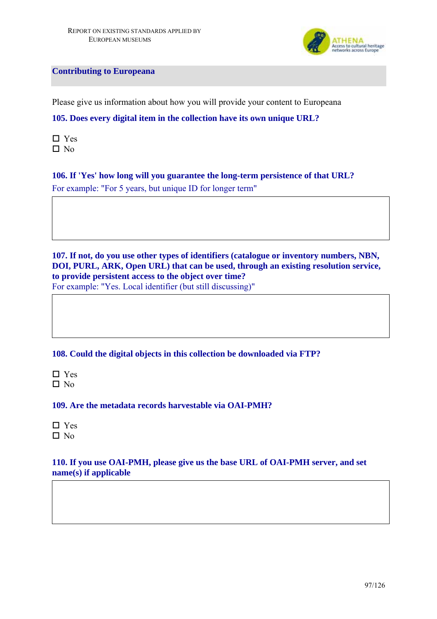

**Contributing to Europeana** 

Please give us information about how you will provide your content to Europeana

# **105. Does every digital item in the collection have its own unique URL?**

 $\Box$  Yes  $\square$  No

# **106. If 'Yes' how long will you guarantee the long-term persistence of that URL?**  For example: "For 5 years, but unique ID for longer term"

**107. If not, do you use other types of identifiers (catalogue or inventory numbers, NBN, DOI, PURL, ARK, Open URL) that can be used, through an existing resolution service, to provide persistent access to the object over time?** For example: "Yes. Local identifier (but still discussing)"

**108. Could the digital objects in this collection be downloaded via FTP?** 

□ Yes  $\square$  No

**109. Are the metadata records harvestable via OAI-PMH?** 

□ Yes  $\Box$  No

# **110. If you use OAI-PMH, please give us the base URL of OAI-PMH server, and set name(s) if applicable**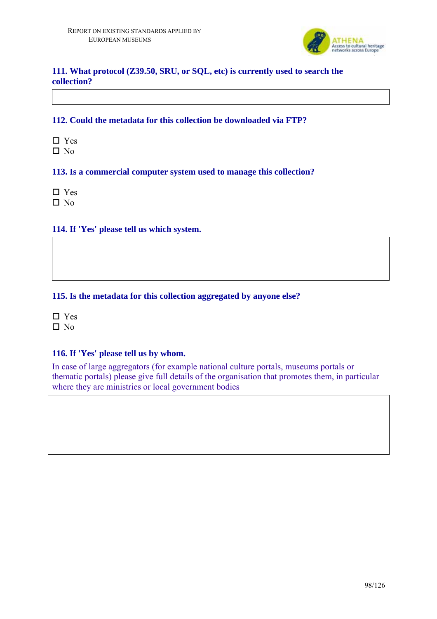

# **111. What protocol (Z39.50, SRU, or SQL, etc) is currently used to search the collection?**

# **112. Could the metadata for this collection be downloaded via FTP?**

□ Yes  $\Box$  No

## **113. Is a commercial computer system used to manage this collection?**

□ Yes  $\Box$  No

# **114. If 'Yes' please tell us which system.**

## **115. Is the metadata for this collection aggregated by anyone else?**

□ Yes  $\Box$  No

# **116. If 'Yes' please tell us by whom.**

In case of large aggregators (for example national culture portals, museums portals or thematic portals) please give full details of the organisation that promotes them, in particular where they are ministries or local government bodies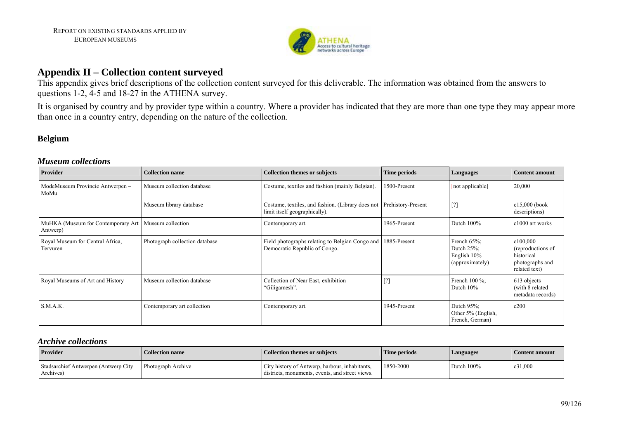

# **Appendix II – Collection content surveyed**

This appendix gives brief descriptions of the collection content surveyed for this deliverable. The information was obtained from the answers to questions 1-2, 4-5 and 18-27 in the ATHENA survey.

It is organised by country and by provider type within a country. Where a provider has indicated that they are more than one type they may appear more than once in a country entry, depending on the nature of the collection.

# **Belgium**

#### *Museum collections*

| Provider                                       | <b>Collection name</b>         | <b>Collection themes or subjects</b>                                               | Time periods       | Languages                                                              | <b>Content amount</b>                                                           |
|------------------------------------------------|--------------------------------|------------------------------------------------------------------------------------|--------------------|------------------------------------------------------------------------|---------------------------------------------------------------------------------|
| ModeMuseum Provincie Antwerpen -<br>MoMu       | Museum collection database     | Costume, textiles and fashion (mainly Belgian).                                    | 1500-Present       | [not applicable]                                                       | 20,000                                                                          |
|                                                | Museum library database        | Costume, textiles, and fashion. (Library does not<br>limit itself geographically). | Prehistory-Present | [?]                                                                    | $c15,000$ (book<br>descriptions)                                                |
| MuHKA (Museum for Contemporary Art<br>Antwerp) | Museum collection              | Contemporary art.                                                                  | 1965-Present       | Dutch 100%                                                             | c1000 art works                                                                 |
| Royal Museum for Central Africa,<br>Tervuren   | Photograph collection database | Field photographs relating to Belgian Congo and<br>Democratic Republic of Congo.   | 1885-Present       | French $65\%$ ;<br>Dutch $25\%$ ;<br>English $10\%$<br>(approximately) | c100,000<br>(reproductions of<br>historical<br>photographs and<br>related text) |
| Royal Museums of Art and History               | Museum collection database     | Collection of Near East, exhibition<br>'Giligamesh''.                              | [?]                | French $100\%$ ;<br>Dutch $10\%$                                       | 613 objects<br>(with 8 related<br>metadata records)                             |
| S.M.A.K.                                       | Contemporary art collection    | Contemporary art.                                                                  | 1945-Present       | Dutch $95\%$ ;<br>Other 5% (English,<br>French, German)                | c200                                                                            |

#### *Archive collections*

| <b>Provider</b>                                   | <b>Collection name</b>    | <b>Collection themes or subjects</b>                                                              | Time periods | Languages     | Content amount |
|---------------------------------------------------|---------------------------|---------------------------------------------------------------------------------------------------|--------------|---------------|----------------|
| Stadsarchief Antwerpen (Antwerp City<br>Archives) | <b>Photograph Archive</b> | City history of Antwerp, harbour, inhabitants,<br>districts, monuments, events, and street views. | 1850-2000    | Dutch $100\%$ | c31,000        |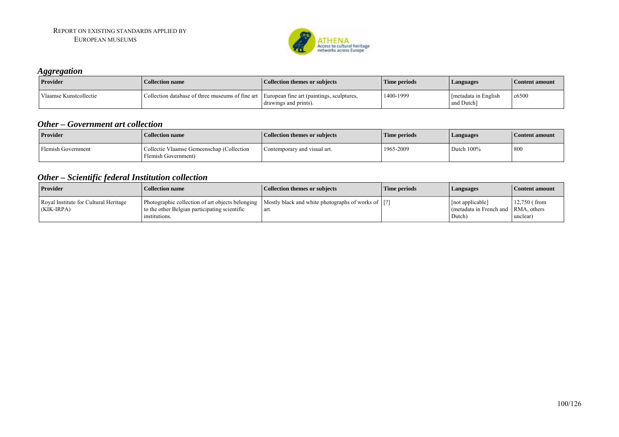

#### *Aggregation*

| .<br><b>Provider</b>   | <b>Collection name</b>                                                                     | <b>Collection themes or subjects</b> | Time periods | Languages                          | <b>Content amount</b> |
|------------------------|--------------------------------------------------------------------------------------------|--------------------------------------|--------------|------------------------------------|-----------------------|
| Vlaamse Kunstcollectie | Collection database of three museums of fine art European fine art (paintings, sculptures, | drawings and prints).                | 1400-1999    | Imetadata in English<br>and Dutch] | c6500                 |

#### *Other – Government art collection*

| <b>Provider</b>    | <b>Collection name</b>                                           | <b>Collection themes or subjects</b> | Time periods | Languages     | Content amount |
|--------------------|------------------------------------------------------------------|--------------------------------------|--------------|---------------|----------------|
| Flemish Government | Collectie Vlaamse Gemeenschap (Collection<br>Flemish Government) | Contemporary and visual art.         | 1965-2009    | Dutch $100\%$ | - 800          |

# *Other – Scientific federal Institution collection*

| <b>Provider</b>                                     | <b>Collection name</b>                                                                                                                                                   | Collection themes or subjects | Time periods | Languages                                                         | Content amount             |
|-----------------------------------------------------|--------------------------------------------------------------------------------------------------------------------------------------------------------------------------|-------------------------------|--------------|-------------------------------------------------------------------|----------------------------|
| Royal Institute for Cultural Heritage<br>(KIK-IRPA) | Photographic collection of art objects belonging   Mostly black and white photographs of works of  [?]<br>to the other Belgian participating scientific<br>institutions. | art.                          |              | [not applicable]<br>(metadata in French and RMA, others<br>Dutch) | $12,750$ (from<br>unclear) |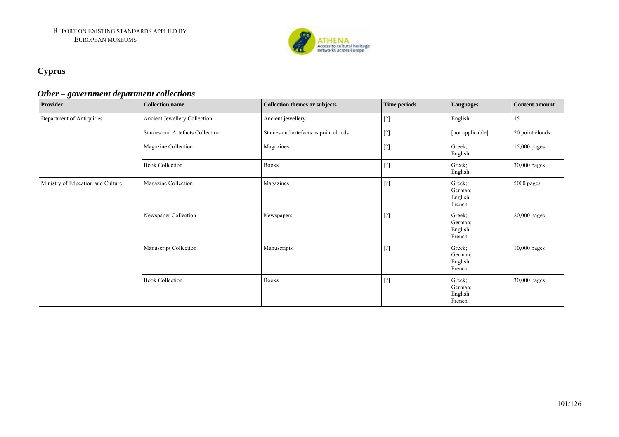

# **Cyprus**

## *Other – government department collections*

| Provider                          | <b>Collection name</b>                  | <b>Collection themes or subjects</b>  | Time periods                                                                                                                                                                                                                                                                                                                                                                                                    | Languages                               | <b>Content amount</b> |
|-----------------------------------|-----------------------------------------|---------------------------------------|-----------------------------------------------------------------------------------------------------------------------------------------------------------------------------------------------------------------------------------------------------------------------------------------------------------------------------------------------------------------------------------------------------------------|-----------------------------------------|-----------------------|
| Department of Antiquities         | Ancient Jewellery Collection            | Ancient jewellery                     | $[?] % \begin{subfigure}[t]{0.45\textwidth} \includegraphics[width=\textwidth]{figures/fig_10.pdf} \caption{The 3D (left) and 4D (right) are the same as a function of the two times.} \label{fig:2} \end{subfigure} \hspace{0.05in} \caption{The 1D (left) and 1D (right) are the same as a function of the left and right.} \label{fig:2}$                                                                    | English                                 | 15                    |
|                                   | <b>Statues and Artefacts Collection</b> | Statues and artefacts as point clouds | $[?] % \begin{subfigure}[t]{0.45\textwidth} \includegraphics[width=\textwidth]{figures/fig_10.pdf} \caption{The 3D (left) and 4D (right) are the same as a function of the time.} \label{fig:2} \end{subfigure} \begin{subfigure}[t]{0.45\textwidth} \includegraphics[width=\textwidth]{figures/fig_2b.pdf} \caption{The 4D (right) and the 4D (right) are the same as a function of the time.} \label{fig:2b}$ | [not applicable]                        | 20 point clouds       |
|                                   | Magazine Collection                     | Magazines                             | $[?] % \begin{subfigure}[t]{0.45\textwidth} \includegraphics[width=\textwidth]{figures/fig_10.pdf} \caption{The 3D (top) and the 4D (bottom) of the 3D (bottom) and the 4D (bottom) of the 3D (bottom) and the 4D (bottom) of the 3D (bottom) and the 3D (bottom) of the 3D (bottom).} \label{fig:1} \end{subfigure} \vspace{-1.5mm}$                                                                           | Greek;<br>English                       | 15,000 pages          |
|                                   | <b>Book Collection</b>                  | <b>Books</b>                          | $[?]$                                                                                                                                                                                                                                                                                                                                                                                                           | Greek;<br>English                       | 30,000 pages          |
| Ministry of Education and Culture | Magazine Collection                     | Magazines                             | $[?]$                                                                                                                                                                                                                                                                                                                                                                                                           | Greek;<br>German;<br>English;<br>French | 5000 pages            |
|                                   | Newspaper Collection                    | Newspapers                            | $[?] % \begin{subfigure}[t]{0.45\textwidth} \includegraphics[width=\textwidth]{figures/fig_10.pdf} \caption{The 3D (left) and 4D (right) are the same as a function of the time.} \label{fig:2} \end{subfigure} \begin{subfigure}[t]{0.45\textwidth} \includegraphics[width=\textwidth]{figures/fig_2b.pdf} \caption{The 4D (right) and the 4D (right) are the same as a function of the time.} \label{fig:2b}$ | Greek;<br>German;<br>English;<br>French | 20,000 pages          |
|                                   | Manuscript Collection                   | Manuscripts                           | $[?] % \begin{subfigure}[t]{0.45\textwidth} \includegraphics[width=\textwidth]{figures/fig_10.pdf} \caption{The 3D (top) and the 4D (bottom) of the 3D (bottom) and the 4D (bottom) of the 3D (bottom) and the 4D (bottom) of the 3D (bottom) and the 3D (bottom) of the 3D (bottom).} \label{fig:1} \end{subfigure} \vspace{-1.5mm}$                                                                           | Greek;<br>German;<br>English;<br>French | 10,000 pages          |
|                                   | <b>Book Collection</b>                  | <b>Books</b>                          | $[?] % \begin{subfigure}[t]{0.45\textwidth} \includegraphics[width=\textwidth]{figures/fig_10.pdf} \caption{The 3D (top) of the 3D (bottom) and the 3D (bottom) of the 3D (bottom) and the 3D (bottom) of the 3D (bottom) and the 3D (bottom) of the 3D (bottom).} \label{fig:1} \end{subfigure} \vspace{-1.5mm}$                                                                                               | Greek;<br>German;<br>English;<br>French | 30,000 pages          |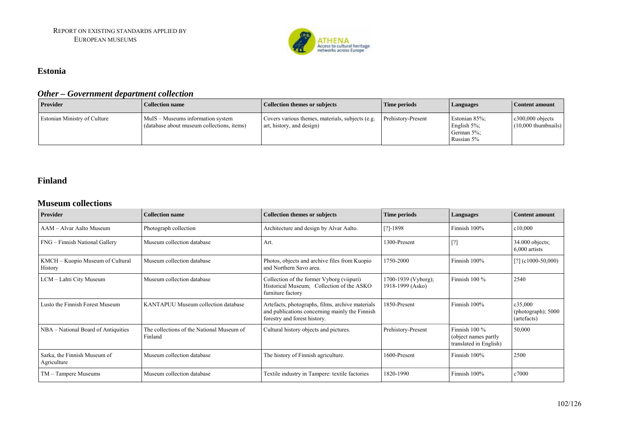

#### **Estonia**

## *Other – Government department collection*

| Provider                            | Collection name                                                                 | <b>Collection themes or subjects</b>                                          | <b>Time periods</b>       | Languages                                                    | Content amount                               |
|-------------------------------------|---------------------------------------------------------------------------------|-------------------------------------------------------------------------------|---------------------------|--------------------------------------------------------------|----------------------------------------------|
| <b>Estonian Ministry of Culture</b> | MuIS – Museums information system<br>(database about museum collections, items) | Covers various themes, materials, subjects (e.g.<br>art, history, and design) | <b>Prehistory-Present</b> | Estonian 85%;<br>English $5\%$ ;<br>German 5%;<br>Russian 5% | $c300,000$ objects<br>$(10,000)$ thumbnails) |

#### **Finland**

#### **Museum collections**

| Provider                                    | <b>Collection name</b>                               | <b>Collection themes or subjects</b>                                                                                               | <b>Time periods</b>                     | Languages                                                          | <b>Content amount</b>                        |
|---------------------------------------------|------------------------------------------------------|------------------------------------------------------------------------------------------------------------------------------------|-----------------------------------------|--------------------------------------------------------------------|----------------------------------------------|
| AAM – Alvar Aalto Museum                    | Photograph collection                                | Architecture and design by Alvar Aalto.                                                                                            | $[?]-1898$                              | Finnish 100%                                                       | c10,000                                      |
| FNG – Finnish National Gallery              | Museum collection database                           | Art.                                                                                                                               | 1300-Present                            | LU.                                                                | $34.000$ objects;<br>$6,000$ artists         |
| KMCH – Kuopio Museum of Cultural<br>History | Museum collection database                           | Photos, objects and archive files from Kuopio<br>and Northern Savo area.                                                           | 1750-2000                               | Finnish 100%                                                       | $[?]$ (c1000-50,000)                         |
| LCM – Lahti City Museum                     | Museum collection database                           | Collection of the former Vyborg (viipuri)<br>Historical Museum; Collection of the ASKO<br>furniture factory                        | 1700-1939 (Vyborg);<br>1918-1999 (Asko) | Finnish $100\%$                                                    | 2540                                         |
| Lusto the Finnish Forest Museum             | KANTAPUU Museum collection database                  | Artefacts, photographs, films, archive materials<br>and publications concerning mainly the Finnish<br>forestry and forest history. | 1850-Present                            | Finnish 100%                                                       | c35,000<br>(photograph); 5000<br>(artefacts) |
| NBA - National Board of Antiquities         | The collections of the National Museum of<br>Finland | Cultural history objects and pictures.                                                                                             | Prehistory-Present                      | Finnish $100\%$<br>(object names partly)<br>translated in English) | 50,000                                       |
| Sarka, the Finnish Museum of<br>Agriculture | Museum collection database                           | The history of Finnish agriculture.                                                                                                | 1600-Present                            | Finnish 100%                                                       | 2500                                         |
| TM - Tampere Museums                        | Museum collection database                           | Textile industry in Tampere: textile factories                                                                                     | 1820-1990                               | Finnish 100%                                                       | c7000                                        |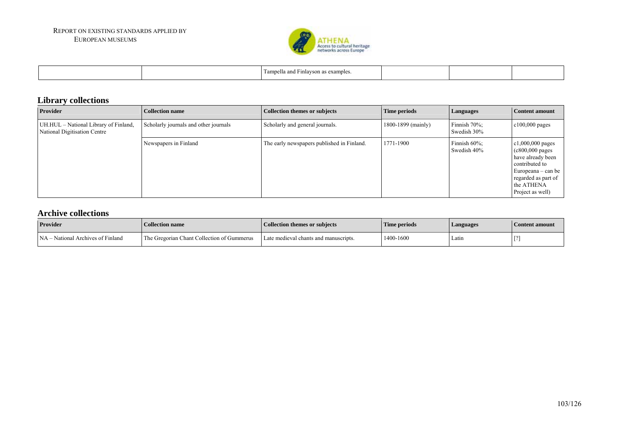

| --<br>ampella ano<br>examples<br>avson<br>$\sim$ |  |
|--------------------------------------------------|--|
|--------------------------------------------------|--|

# **Library collections**

| Provider                                                              | Collection name                       | Collection themes or subjects              | Time periods       | <b>Languages</b>            | Content amount                                                                                                                                                         |
|-----------------------------------------------------------------------|---------------------------------------|--------------------------------------------|--------------------|-----------------------------|------------------------------------------------------------------------------------------------------------------------------------------------------------------------|
| UH.HUL – National Library of Finland,<br>National Digitisation Centre | Scholarly journals and other journals | Scholarly and general journals.            | 1800-1899 (mainly) | Finnish 70%;<br>Swedish 30% | $c100,000$ pages                                                                                                                                                       |
|                                                                       | Newspapers in Finland                 | The early newspapers published in Finland. | 1771-1900          | Finnish 60%;<br>Swedish 40% | $c1,000,000$ pages<br>$(c800,000 \text{ pages})$<br>have already been<br>contributed to<br>Europeana – can be<br>regarded as part of<br>the ATHENA<br>Project as well) |

#### **Archive collections**

| <b>Provider</b>                   | <b>Collection name</b>                     | <b>Collection themes or subjects</b>  | Time periods | Languages | Content amount |
|-----------------------------------|--------------------------------------------|---------------------------------------|--------------|-----------|----------------|
| NA – National Archives of Finland | The Gregorian Chant Collection of Gummerus | Late medieval chants and manuscripts. | 1400-1600    | Latin     | <b>FQ</b>      |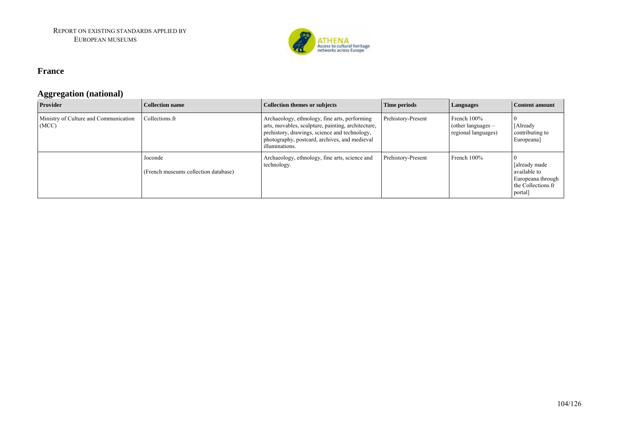

#### **France**

## **Aggregation (national)**

| Provider                                       | <b>Collection name</b>                          | Collection themes or subjects                                                                                                                                                                                           | Time periods       | Languages                                                  | Content amount                                                                       |
|------------------------------------------------|-------------------------------------------------|-------------------------------------------------------------------------------------------------------------------------------------------------------------------------------------------------------------------------|--------------------|------------------------------------------------------------|--------------------------------------------------------------------------------------|
| Ministry of Culture and Communication<br>(MCC) | Collections.fr                                  | Archaeology, ethnology, fine arts, performing<br>arts, movables, sculpture, painting, architecture,<br>prehistory, drawings, science and technology,<br>photography, postcard, archives, and medieval<br>illuminations. | Prehistory-Present | French 100%<br>(other languages $-$<br>regional languages) | [Already<br>contributing to<br>Europeana]                                            |
|                                                | Joconde<br>(French museums collection database) | Archaeology, ethnology, fine arts, science and<br>technology.                                                                                                                                                           | Prehistory-Present | French 100%                                                | [already made]<br>available to<br>Europeana through<br>the Collections.fr<br>portal] |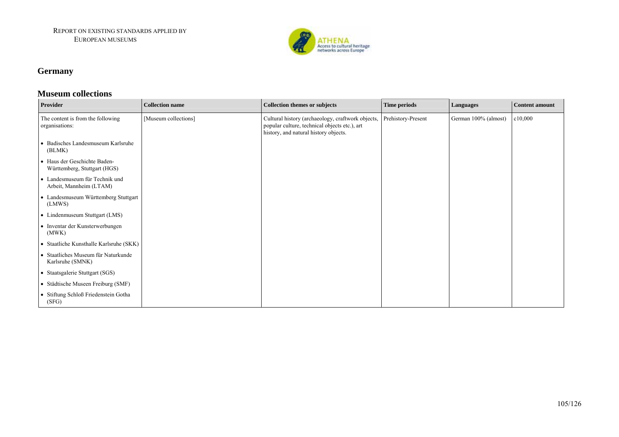

# **Germany**

#### **Museum collections**

| <b>Provider</b>                                              | <b>Collection name</b> | <b>Collection themes or subjects</b>                                                                                                        | <b>Time periods</b> | <b>Languages</b>     | Content amount |
|--------------------------------------------------------------|------------------------|---------------------------------------------------------------------------------------------------------------------------------------------|---------------------|----------------------|----------------|
| The content is from the following<br>organisations:          | [Museum collections]   | Cultural history (archaeology, craftwork objects,<br>popular culture, technical objects etc.), art<br>history, and natural history objects. | Prehistory-Present  | German 100% (almost) | c10,000        |
| • Badisches Landesmuseum Karlsruhe<br>(BLMK)                 |                        |                                                                                                                                             |                     |                      |                |
| • Haus der Geschichte Baden-<br>Württemberg, Stuttgart (HGS) |                        |                                                                                                                                             |                     |                      |                |
| • Landesmuseum für Technik und<br>Arbeit, Mannheim (LTAM)    |                        |                                                                                                                                             |                     |                      |                |
| • Landesmuseum Württemberg Stuttgart<br>(LMWS)               |                        |                                                                                                                                             |                     |                      |                |
| • Lindenmuseum Stuttgart (LMS)                               |                        |                                                                                                                                             |                     |                      |                |
| • Inventar der Kunsterwerbungen<br>(MWK)                     |                        |                                                                                                                                             |                     |                      |                |
| • Staatliche Kunsthalle Karlsruhe (SKK)                      |                        |                                                                                                                                             |                     |                      |                |
| • Staatliches Museum für Naturkunde<br>Karlsruhe (SMNK)      |                        |                                                                                                                                             |                     |                      |                |
| • Staatsgalerie Stuttgart (SGS)                              |                        |                                                                                                                                             |                     |                      |                |
| • Städtische Museen Freiburg (SMF)                           |                        |                                                                                                                                             |                     |                      |                |
| • Stiftung Schloß Friedenstein Gotha<br>(SFG)                |                        |                                                                                                                                             |                     |                      |                |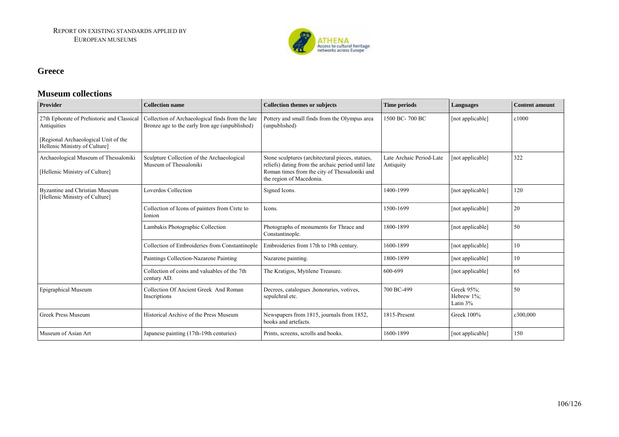

#### **Greece**

#### **Museum collections**

| <b>Provider</b>                                                         | <b>Collection name</b>                                                                             | <b>Collection themes or subjects</b>                                                                                                                                                | Time periods                          | Languages                            | <b>Content amount</b> |
|-------------------------------------------------------------------------|----------------------------------------------------------------------------------------------------|-------------------------------------------------------------------------------------------------------------------------------------------------------------------------------------|---------------------------------------|--------------------------------------|-----------------------|
| 27th Ephorate of Prehistoric and Classical<br>Antiquities               | Collection of Archaeological finds from the late<br>Bronze age to the early Iron age (unpublished) | Pottery and small finds from the Olympus area<br>(unpublished)                                                                                                                      | 1500 BC-700 BC                        | [not applicable]                     | c1000                 |
| [Regional Archaeological Unit of the<br>Hellenic Ministry of Culture]   |                                                                                                    |                                                                                                                                                                                     |                                       |                                      |                       |
| Archaeological Museum of Thessaloniki<br>[Hellenic Ministry of Culture] | Sculpture Collection of the Archaeological<br>Museum of Thessaloniki                               | Stone sculptures (architectural pieces, statues,<br>reliefs) dating from the archaic period until late<br>Roman times from the city of Thessaloniki and<br>the region of Macedonia. | Late Archaic Period-Late<br>Antiquity | [not applicable]                     | 322                   |
| Byzantine and Christian Museum<br>[Hellenic Ministry of Culture]        | Loverdos Collection                                                                                | Signed Icons.                                                                                                                                                                       | 1400-1999                             | [not applicable]                     | 120                   |
|                                                                         | Collection of Icons of painters from Crete to<br>Ionion                                            | Icons.                                                                                                                                                                              | 1500-1699                             | [not applicable]                     | 20                    |
|                                                                         | Lambakis Photographic Collection                                                                   | Photographs of monuments for Thrace and<br>Constantinople.                                                                                                                          | 1800-1899                             | [not applicable]                     | 50                    |
|                                                                         | Collection of Embroideries from Constantinople                                                     | Embroideries from 17th to 19th century.                                                                                                                                             | 1600-1899                             | [not applicable]                     | 10                    |
|                                                                         | Paintings Collection-Nazarene Painting                                                             | Nazarene painting.                                                                                                                                                                  | 1800-1899                             | [not applicable]                     | 10                    |
|                                                                         | Collection of coins and valuables of the 7th<br>century AD.                                        | The Kratigos, Mytilene Treasure.                                                                                                                                                    | 600-699                               | [not applicable]                     | 65                    |
| <b>Epigraphical Museum</b>                                              | Collection Of Ancient Greek And Roman<br>Inscriptions                                              | Decrees, catalogues , honoraries, votives,<br>sepulchral etc.                                                                                                                       | 700 BC-499                            | Greek 95%;<br>Hebrew 1%;<br>Latin 3% | 50                    |
| <b>Greek Press Museum</b>                                               | Historical Archive of the Press Museum                                                             | Newspapers from 1815, journals from 1852,<br>books and artefacts.                                                                                                                   | 1815-Present                          | Greek 100%                           | c300.000              |
| Museum of Asian Art                                                     | Japanese painting (17th-19th centuries)                                                            | Prints, screens, scrolls and books.                                                                                                                                                 | 1600-1899                             | [not applicable]                     | 150                   |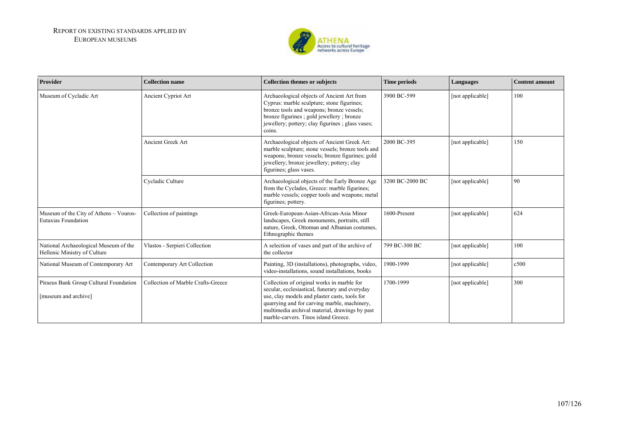

| Provider                                                              | <b>Collection name</b>             | <b>Collection themes or subjects</b>                                                                                                                                                                                                                                                    | Time periods    | Languages        | <b>Content amount</b> |
|-----------------------------------------------------------------------|------------------------------------|-----------------------------------------------------------------------------------------------------------------------------------------------------------------------------------------------------------------------------------------------------------------------------------------|-----------------|------------------|-----------------------|
| Museum of Cycladic Art                                                | Ancient Cypriot Art                | Archaeological objects of Ancient Art from<br>Cyprus: marble sculpture; stone figurines;<br>bronze tools and weapons; bronze vessels;<br>bronze figurines ; gold jewellery ; bronze<br>jewellery; pottery; clay figurines; glass vases;<br>coins.                                       | 3900 BC-599     | [not applicable] | 100                   |
|                                                                       | Ancient Greek Art                  | Archaeological objects of Ancient Greek Art:<br>marble sculpture; stone vessels; bronze tools and<br>weapons; bronze vessels; bronze figurines; gold<br>jewellery; bronze jewellery; pottery; clay<br>figurines; glass vases.                                                           | 2000 BC-395     | [not applicable] | 150                   |
|                                                                       | Cycladic Culture                   | Archaeological objects of the Early Bronze Age<br>from the Cyclades, Greece: marble figurines;<br>marble vessels; copper tools and weapons; metal<br>figurines; pottery.                                                                                                                | 3200 BC-2000 BC | [not applicable] | 90                    |
| Museum of the City of Athens - Vouros-<br><b>Eutaxias Foundation</b>  | Collection of paintings            | Greek-European-Asian-African-Asia Minor<br>landscapes, Greek monuments, portraits, still<br>nature, Greek, Ottoman and Albanian costumes,<br>Ethnographic themes                                                                                                                        | 1600-Present    | [not applicable] | 624                   |
| National Archaeological Museum of the<br>Hellenic Ministry of Culture | Vlastos - Serpieri Collection      | A selection of vases and part of the archive of<br>the collector                                                                                                                                                                                                                        | 799 BC-300 BC   | [not applicable] | 100                   |
| National Museum of Contemporary Art                                   | Contemporary Art Collection        | Painting, 3D (installations), photographs, video,<br>video-installations, sound installations, books                                                                                                                                                                                    | 1900-1999       | [not applicable] | c500                  |
| Piraeus Bank Group Cultural Foundation<br>[museum and archive]        | Collection of Marble Crafts-Greece | Collection of original works in marble for<br>secular, ecclesiastical, funerary and everyday<br>use, clay models and plaster casts, tools for<br>quarrying and for carving marble, machinery,<br>multimedia archival material, drawings by past<br>marble-carvers. Tinos island Greece. | 1700-1999       | [not applicable] | 300                   |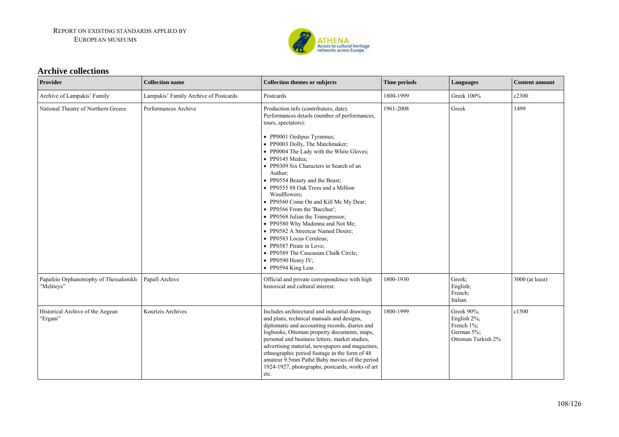

#### **Archive collections**

| Provider                                             | <b>Collection name</b>                | <b>Collection themes or subjects</b>                                                                                                                                                                                                                                                                                                                                                                                                                                                                                                                                                                                                                                                                                                      | <b>Time periods</b> | Languages                                                                   | <b>Content amount</b> |
|------------------------------------------------------|---------------------------------------|-------------------------------------------------------------------------------------------------------------------------------------------------------------------------------------------------------------------------------------------------------------------------------------------------------------------------------------------------------------------------------------------------------------------------------------------------------------------------------------------------------------------------------------------------------------------------------------------------------------------------------------------------------------------------------------------------------------------------------------------|---------------------|-----------------------------------------------------------------------------|-----------------------|
| Archive of Lampakis' Family                          | Lampakis' Family Archive of Postcards | Postcards                                                                                                                                                                                                                                                                                                                                                                                                                                                                                                                                                                                                                                                                                                                                 | 1800-1999           | Greek 100%                                                                  | c2300                 |
| National Theatre of Northern Greece                  | Performances Archive                  | Production info (contributors, date).<br>Performances details (number of performances,<br>tours, spectators):<br>• PP0001 Oedipus Tyrannus;<br>• PP0003 Dolly, The Matchmaker;<br>• PP0004 The Lady with the White Gloves;<br>• PP0145 Medea;<br>• PP0309 Six Characters in Search of an<br>Author;<br>• PP0554 Beauty and the Beast;<br>• PP0555 88 Oak Trees and a Million<br>Windflowers;<br>• PP0560 Come On and Kill Me My Dear;<br>• PP0566 From the 'Bacchae':<br>• PP0568 Julian the Transgressor;<br>• PP0580 Why Madonna and Not Me;<br>• PP0582 A Streetcar Named Desire;<br>• PP0583 Locus Ceruleus;<br>• PP0587 Pirate in Love;<br>• PP0589 The Caucasian Chalk Circle;<br>$\bullet$ PP0590 Henry IV;<br>• PP0594 King Lear. | 1961-2008           | Greek                                                                       | 1499                  |
| Papafeio Orphanotrophy of Thessalonikh<br>"Meliteys" | Papafi Archive                        | Official and private correspondence with high<br>historical and cultural interest.                                                                                                                                                                                                                                                                                                                                                                                                                                                                                                                                                                                                                                                        | 1800-1930           | Greek:<br>English;<br>French;<br>Italian.                                   | 3000 (at least)       |
| Historical Archive of the Aegean<br>'Ergani"         | Kourtzis Archives                     | Includes architectural and industrial drawings<br>and plans, technical manuals and designs,<br>diplomatic and accounting records, diaries and<br>logbooks, Ottoman property documents, maps,<br>personal and business letters, market studies,<br>advertising material, newspapers and magazines,<br>ethnographic period footage in the form of 48<br>amateur 9.5mm Pathé Baby movies of the period<br>1924-1927, photographs, postcards, works of art<br>etc.                                                                                                                                                                                                                                                                            | 1800-1999           | Greek 90%;<br>English 2%;<br>French 1%;<br>German 5%;<br>Ottoman Turkish 2% | c1500                 |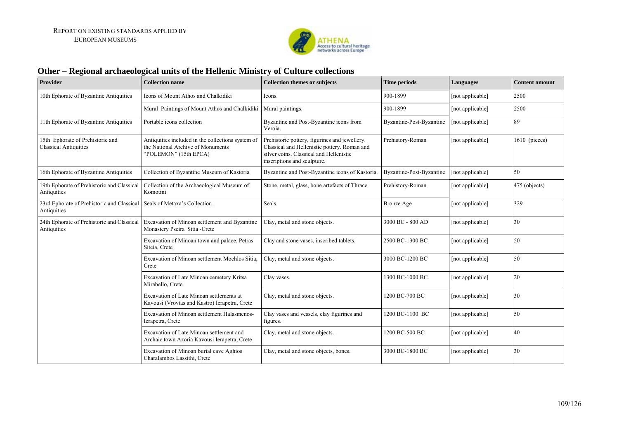

### **Other – Regional archaeological units of the Hellenic Ministry of Culture collections**

| <b>Provider</b>                                                  | <b>Collection name</b>                                                                                          | <b>Collection themes or subjects</b>                                                                                                                                    | <b>Time periods</b>      | Languages        | <b>Content amount</b> |
|------------------------------------------------------------------|-----------------------------------------------------------------------------------------------------------------|-------------------------------------------------------------------------------------------------------------------------------------------------------------------------|--------------------------|------------------|-----------------------|
| 10th Ephorate of Byzantine Antiquities                           | Icons of Mount Athos and Chalkidiki                                                                             | Icons.                                                                                                                                                                  | 900-1899                 | [not applicable] | 2500                  |
|                                                                  | Mural Paintings of Mount Athos and Chalkidiki                                                                   | Mural paintings.                                                                                                                                                        | 900-1899                 | [not applicable] | 2500                  |
| 11th Ephorate of Byzantine Antiquities                           | Portable icons collection                                                                                       | Byzantine and Post-Byzantine icons from<br>Veroia.                                                                                                                      | Byzantine-Post-Byzantine | [not applicable] | 89                    |
| 15th Ephorate of Prehistoric and<br><b>Classical Antiquities</b> | Antiquities included in the collections system of<br>the National Archive of Monuments<br>"POLEMON" (15th EPCA) | Prehistoric pottery, figurines and jewellery.<br>Classical and Hellenistic pottery. Roman and<br>silver coins. Classical and Hellenistic<br>inscriptions and sculpture. | Prehistory-Roman         | [not applicable] | $1610$ (pieces)       |
| 16th Ephorate of Byzantine Antiquities                           | Collection of Byzantine Museum of Kastoria                                                                      | Byzantine and Post-Byzantine icons of Kastoria.                                                                                                                         | Byzantine-Post-Byzantine | [not applicable] | 50                    |
| 19th Ephorate of Prehistoric and Classical<br>Antiquities        | Collection of the Archaeological Museum of<br>Komotini                                                          | Stone, metal, glass, bone artefacts of Thrace.                                                                                                                          | Prehistory-Roman         | [not applicable] | 475 (objects)         |
| 23rd Ephorate of Prehistoric and Classical<br>Antiquities        | Seals of Metaxa's Collection                                                                                    | Seals.                                                                                                                                                                  | <b>Bronze Age</b>        | [not applicable] | 329                   |
| 24th Ephorate of Prehistoric and Classical<br>Antiquities        | Excavation of Minoan settlement and Byzantine<br>Monastery Pseira Sitia -Crete                                  | Clay, metal and stone objects.                                                                                                                                          | 3000 BC - 800 AD         | [not applicable] | 30                    |
|                                                                  | Excavation of Minoan town and palace, Petras<br>Siteia, Crete                                                   | Clay and stone vases, inscribed tablets.                                                                                                                                | 2500 BC-1300 BC          | [not applicable] | 50                    |
|                                                                  | Excavation of Minoan settlement Mochlos Sitia,<br>Crete                                                         | Clay, metal and stone objects.                                                                                                                                          | 3000 BC-1200 BC          | [not applicable] | 50                    |
|                                                                  | Excavation of Late Minoan cemetery Kritsa<br>Mirabello, Crete                                                   | Clay vases.                                                                                                                                                             | 1300 BC-1000 BC          | [not applicable] | 20                    |
|                                                                  | Excavation of Late Minoan settlements at<br>Kavousi (Vrovtas and Kastro) Ierapetra, Crete                       | Clay, metal and stone objects.                                                                                                                                          | 1200 BC-700 BC           | [not applicable] | 30                    |
|                                                                  | Excavation of Minoan settlement Halasmenos-<br>Ierapetra, Crete                                                 | Clay vases and vessels, clay figurines and<br>figures.                                                                                                                  | 1200 BC-1100 BC          | [not applicable] | 50                    |
|                                                                  | Excavation of Late Minoan settlement and<br>Archaic town Azoria Kavousi Ierapetra, Crete                        | Clay, metal and stone objects.                                                                                                                                          | 1200 BC-500 BC           | [not applicable] | 40                    |
|                                                                  | Excavation of Minoan burial cave Aghios<br>Charalambos Lassithi, Crete                                          | Clay, metal and stone objects, bones.                                                                                                                                   | 3000 BC-1800 BC          | [not applicable] | 30                    |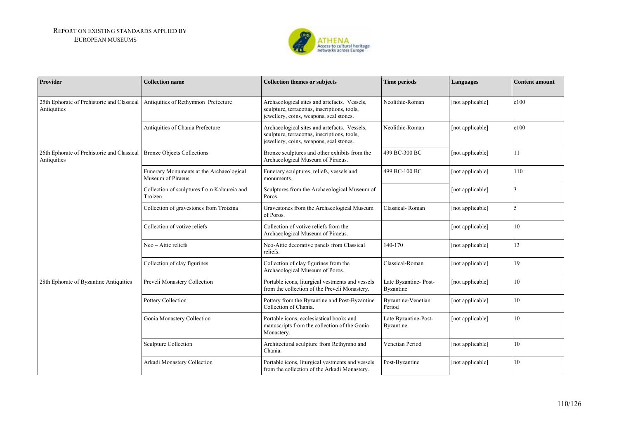

| Provider                                                                               | <b>Collection name</b>                                        | <b>Collection themes or subjects</b>                                                                                                    | <b>Time periods</b>                 | Languages        | <b>Content amount</b> |
|----------------------------------------------------------------------------------------|---------------------------------------------------------------|-----------------------------------------------------------------------------------------------------------------------------------------|-------------------------------------|------------------|-----------------------|
| 25th Ephorate of Prehistoric and Classical<br>Antiquities                              | Antiquities of Rethymnon Prefecture                           | Archaeological sites and artefacts. Vessels,<br>sculpture, terracottas, inscriptions, tools,<br>jewellery, coins, weapons, seal stones. | Neolithic-Roman                     | [not applicable] | c100                  |
|                                                                                        | Antiquities of Chania Prefecture                              | Archaeological sites and artefacts. Vessels,<br>sculpture, terracottas, inscriptions, tools,<br>jewellery, coins, weapons, seal stones. | Neolithic-Roman                     | [not applicable] | c100                  |
| 26th Ephorate of Prehistoric and Classical   Bronze Objects Collections<br>Antiquities |                                                               | Bronze sculptures and other exhibits from the<br>Archaeological Museum of Piraeus.                                                      | 499 BC-300 BC                       | [not applicable] | 11                    |
|                                                                                        | Funerary Monuments at the Archaeological<br>Museum of Piraeus | Funerary sculptures, reliefs, vessels and<br>monuments.                                                                                 | 499 BC-100 BC                       | [not applicable] | 110                   |
|                                                                                        | Collection of sculptures from Kalaureia and<br>Troizen        | Sculptures from the Archaeological Museum of<br>Poros.                                                                                  |                                     | [not applicable] | 3                     |
|                                                                                        | Collection of gravestones from Troizina                       | Gravestones from the Archaeological Museum<br>of Poros.                                                                                 | Classical-Roman                     | [not applicable] | 5                     |
|                                                                                        | Collection of votive reliefs                                  | Collection of votive reliefs from the<br>Archaeological Museum of Piraeus.                                                              |                                     | [not applicable] | 10                    |
|                                                                                        | Neo - Attic reliefs                                           | Neo-Attic decorative panels from Classical<br>reliefs.                                                                                  | 140-170                             | [not applicable] | 13                    |
|                                                                                        | Collection of clay figurines                                  | Collection of clay figurines from the<br>Archaeological Museum of Poros.                                                                | Classical-Roman                     | [not applicable] | 19                    |
| 28th Ephorate of Byzantine Antiquities                                                 | Preveli Monastery Collection                                  | Portable icons, liturgical vestments and vessels<br>from the collection of the Preveli Monastery.                                       | Late Byzantine-Post-<br>Byzantine   | [not applicable] | 10                    |
|                                                                                        | Pottery Collection                                            | Pottery from the Byzantine and Post-Byzantine<br>Collection of Chania.                                                                  | <b>Byzantine-Venetian</b><br>Period | [not applicable] | 10                    |
|                                                                                        | Gonia Monastery Collection                                    | Portable icons, ecclesiastical books and<br>manuscripts from the collection of the Gonia<br>Monastery.                                  | Late Byzantine-Post-<br>Byzantine   | [not applicable] | 10                    |
|                                                                                        | Sculpture Collection                                          | Architectural sculpture from Rethymno and<br>Chania.                                                                                    | Venetian Period                     | [not applicable] | 10                    |
|                                                                                        | Arkadi Monastery Collection                                   | Portable icons, liturgical vestments and vessels<br>from the collection of the Arkadi Monastery.                                        | Post-Byzantine                      | [not applicable] | 10                    |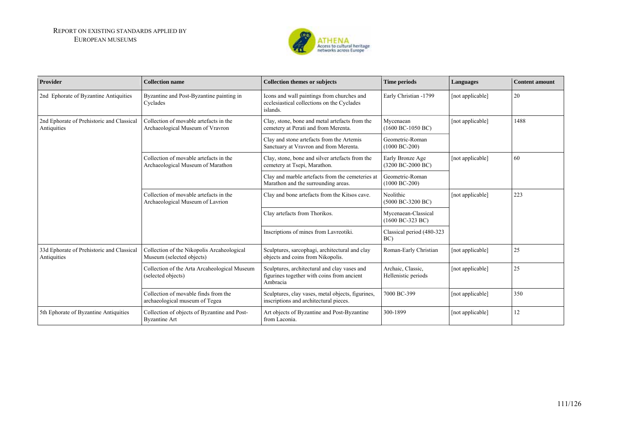

| Provider                                                 | <b>Collection name</b>                                                      | <b>Collection themes or subjects</b>                                                                   | <b>Time periods</b>                                         | Languages        | <b>Content amount</b> |
|----------------------------------------------------------|-----------------------------------------------------------------------------|--------------------------------------------------------------------------------------------------------|-------------------------------------------------------------|------------------|-----------------------|
| 2nd Ephorate of Byzantine Antiquities                    | Byzantine and Post-Byzantine painting in<br>Cyclades                        | Icons and wall paintings from churches and<br>ecclesiastical collections on the Cyclades<br>islands.   | Early Christian -1799                                       | [not applicable] | 20                    |
| 2nd Ephorate of Prehistoric and Classical<br>Antiquities | Collection of movable artefacts in the<br>Archaeological Museum of Vravron  | Clay, stone, bone and metal artefacts from the<br>cemetery at Perati and from Merenta.                 | Mycenaean<br>$(1600 \text{ BC} - 1050 \text{ BC})$          | [not applicable] | 1488                  |
|                                                          |                                                                             | Clay and stone artefacts from the Artemis<br>Sanctuary at Vravron and from Merenta.                    | Geometric-Roman<br>$(1000 BC-200)$                          |                  |                       |
|                                                          | Collection of movable artefacts in the<br>Archaeological Museum of Marathon | Clay, stone, bone and silver artefacts from the<br>cemetery at Tsepi, Marathon.                        | Early Bronze Age<br>(3200 BC-2000 BC)                       | [not applicable] | 60                    |
|                                                          |                                                                             | Clay and marble artefacts from the cemeteries at<br>Marathon and the surrounding areas.                | Geometric-Roman<br>$(1000 BC-200)$                          |                  |                       |
|                                                          | Collection of movable artefacts in the<br>Archaeological Museum of Lavrion  | Clay and bone artefacts from the Kitsos cave.                                                          | Neolithic<br>$(5000 \text{ BC}-3200 \text{ BC})$            | [not applicable] | 223                   |
|                                                          |                                                                             | Clay artefacts from Thorikos.                                                                          | Mycenaean-Classical<br>$(1600 \text{ BC} - 323 \text{ BC})$ |                  |                       |
|                                                          |                                                                             | Inscriptions of mines from Lavreotiki.                                                                 | Classical period (480-323<br>BC)                            |                  |                       |
| 33d Ephorate of Prehistoric and Classical<br>Antiquities | Collection of the Nikopolis Arcaheological<br>Museum (selected objects)     | Sculptures, sarcophagi, architectural and clay<br>objects and coins from Nikopolis.                    | Roman-Early Christian                                       | [not applicable] | 25                    |
|                                                          | Collection of the Arta Arcaheological Museum<br>(selected objects)          | Sculptures, architectural and clay vases and<br>figurines together with coins from ancient<br>Ambracia | Archaic, Classic,<br>Hellenistic periods                    | [not applicable] | 25                    |
|                                                          | Collection of movable finds from the<br>archaeological museum of Tegea      | Sculptures, clay vases, metal objects, figurines,<br>inscriptions and architectural pieces.            | 7000 BC-399                                                 | [not applicable] | 350                   |
| 5th Ephorate of Byzantine Antiquities                    | Collection of objects of Byzantine and Post-<br><b>Byzantine Art</b>        | Art objects of Byzantine and Post-Byzantine<br>from Laconia.                                           | 300-1899                                                    | [not applicable] | 12                    |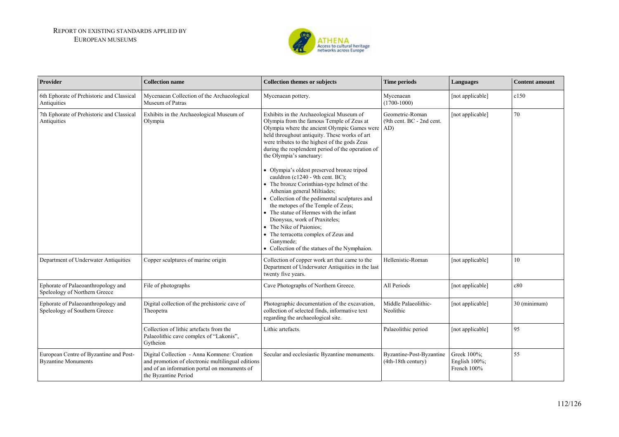

| Provider                                                             | <b>Collection name</b>                                                                                                                                                   | <b>Collection themes or subjects</b>                                                                                                                                                                                                                                                                                                                                                                                                                                                                                                                                                                                                                                                                                                                                                           | <b>Time periods</b>                            | Languages                                       | <b>Content amount</b> |
|----------------------------------------------------------------------|--------------------------------------------------------------------------------------------------------------------------------------------------------------------------|------------------------------------------------------------------------------------------------------------------------------------------------------------------------------------------------------------------------------------------------------------------------------------------------------------------------------------------------------------------------------------------------------------------------------------------------------------------------------------------------------------------------------------------------------------------------------------------------------------------------------------------------------------------------------------------------------------------------------------------------------------------------------------------------|------------------------------------------------|-------------------------------------------------|-----------------------|
| 6th Ephorate of Prehistoric and Classical<br>Antiquities             | Mycenaean Collection of the Archaeological<br>Museum of Patras                                                                                                           | Mycenaean pottery.                                                                                                                                                                                                                                                                                                                                                                                                                                                                                                                                                                                                                                                                                                                                                                             | Mycenaean<br>$(1700-1000)$                     | [not applicable]                                | c150                  |
| 7th Ephorate of Prehistoric and Classical<br>Antiquities             | Exhibits in the Archaeological Museum of<br>Olympia                                                                                                                      | Exhibits in the Archaeological Museum of<br>Olympia from the famous Temple of Zeus at<br>Olympia where the ancient Olympic Games were AD)<br>held throughout antiquity. These works of art<br>were tributes to the highest of the gods Zeus<br>during the resplendent period of the operation of<br>the Olympia's sanctuary:<br>• Olympia's oldest preserved bronze tripod<br>cauldron (c1240 - 9th cent. BC);<br>• The bronze Corinthian-type helmet of the<br>Athenian general Miltiades;<br>• Collection of the pedimental sculptures and<br>the metopes of the Temple of Zeus;<br>• The statue of Hermes with the infant<br>Dionysus, work of Praxiteles;<br>• The Nike of Paionios;<br>• The terracotta complex of Zeus and<br>Ganymede;<br>• Collection of the statues of the Nymphaion. | Geometric-Roman<br>(9th cent. BC - 2nd cent.)  | [not applicable]                                | 70                    |
| Department of Underwater Antiquities                                 | Copper sculptures of marine origin                                                                                                                                       | Collection of copper work art that came to the<br>Department of Underwater Antiquities in the last<br>twenty five years.                                                                                                                                                                                                                                                                                                                                                                                                                                                                                                                                                                                                                                                                       | Hellenistic-Roman                              | [not applicable]                                | 10                    |
| Ephorate of Palaeoanthropology and<br>Speleology of Northern Greece  | File of photographs                                                                                                                                                      | Cave Photographs of Northern Greece.                                                                                                                                                                                                                                                                                                                                                                                                                                                                                                                                                                                                                                                                                                                                                           | All Periods                                    | [not applicable]                                | c80                   |
| Ephorate of Palaeoanthropology and<br>Speleology of Southern Greece  | Digital collection of the prehistoric cave of<br>Theopetra                                                                                                               | Photographic documentation of the excavation,<br>collection of selected finds, informative text<br>regarding the archaeological site.                                                                                                                                                                                                                                                                                                                                                                                                                                                                                                                                                                                                                                                          | Middle Palaeolithic-<br>Neolithic              | [not applicable]                                | 30 (minimum)          |
|                                                                      | Collection of lithic artefacts from the<br>Palaeolithic cave complex of "Lakonis",<br>Gytheion                                                                           | Lithic artefacts.                                                                                                                                                                                                                                                                                                                                                                                                                                                                                                                                                                                                                                                                                                                                                                              | Palaeolithic period                            | [not applicable]                                | 95                    |
| European Centre of Byzantine and Post-<br><b>Byzantine Monuments</b> | Digital Collection - Anna Komnene: Creation<br>and promotion of electronic multilingual editions<br>and of an information portal on monuments of<br>the Byzantine Period | Secular and ecclesiastic Byzantine monuments.                                                                                                                                                                                                                                                                                                                                                                                                                                                                                                                                                                                                                                                                                                                                                  | Byzantine-Post-Byzantine<br>(4th-18th century) | Greek 100%;<br>English $100\%$ ;<br>French 100% | 55                    |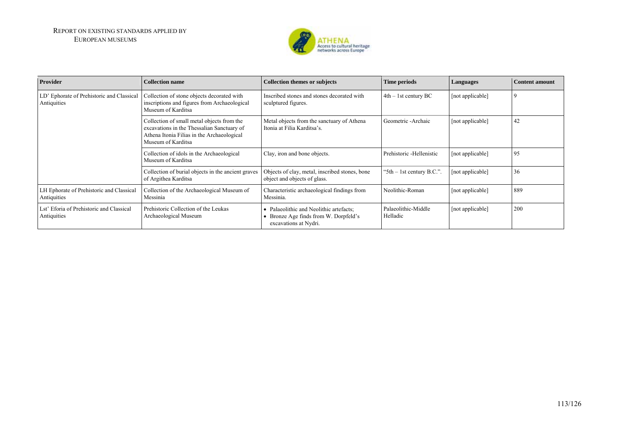

| Provider                                                 | <b>Collection name</b>                                                                                                                                       | <b>Collection themes or subjects</b>                                                                    | <b>Time periods</b>             | Languages        | <b>Content amount</b> |
|----------------------------------------------------------|--------------------------------------------------------------------------------------------------------------------------------------------------------------|---------------------------------------------------------------------------------------------------------|---------------------------------|------------------|-----------------------|
| LD' Ephorate of Prehistoric and Classical<br>Antiquities | Collection of stone objects decorated with<br>inscriptions and figures from Archaeological<br>Museum of Karditsa                                             | Inscribed stones and stones decorated with<br>sculptured figures.                                       | $4th - 1st$ century BC          | [not applicable] | 9                     |
|                                                          | Collection of small metal objects from the<br>excavations in the Thessalian Sanctuary of<br>Athena Itonia Filias in the Archaeological<br>Museum of Karditsa | Metal objects from the sanctuary of Athena<br>Itonia at Filia Karditsa's.                               | Geometric -Archaic              | [not applicable] | 42                    |
|                                                          | Collection of idols in the Archaeological<br>Museum of Karditsa                                                                                              | Clay, iron and bone objects.                                                                            | Prehistoric - Hellenistic       | [not applicable] | 95                    |
|                                                          | Collection of burial objects in the ancient graves<br>of Argithea Karditsa                                                                                   | Objects of clay, metal, inscribed stones, bone<br>object and objects of glass.                          | "5th $-$ 1st century B.C.".     | [not applicable] | 36                    |
| LH Ephorate of Prehistoric and Classical<br>Antiquities  | Collection of the Archaeological Museum of<br>Messinia                                                                                                       | Characteristic archaeological findings from<br>Messinia.                                                | Neolithic-Roman                 | [not applicable] | 889                   |
| Lst' Eforia of Prehistoric and Classical<br>Antiquities  | Prehistoric Collection of the Leukas<br>Archaeological Museum                                                                                                | • Palaeolithic and Neolithic artefacts;<br>Bronze Age finds from W. Dorpfeld's<br>excavations at Nydri. | Palaeolithic-Middle<br>Helladic | [not applicable] | 200                   |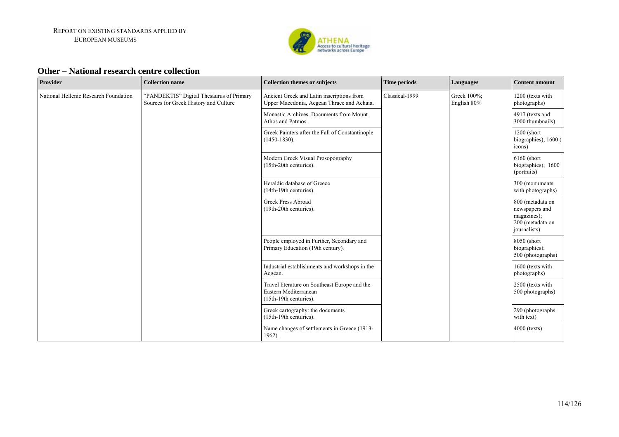

#### **Other – National research centre collection**

| Provider                              | <b>Collection name</b>                                                            | <b>Collection themes or subjects</b>                                                             | <b>Time periods</b> | Languages                  | <b>Content amount</b>                                                                 |
|---------------------------------------|-----------------------------------------------------------------------------------|--------------------------------------------------------------------------------------------------|---------------------|----------------------------|---------------------------------------------------------------------------------------|
| National Hellenic Research Foundation | "PANDEKTIS" Digital Thesaurus of Primary<br>Sources for Greek History and Culture | Ancient Greek and Latin inscriptions from<br>Upper Macedonia, Aegean Thrace and Achaia.          | Classical-1999      | Greek 100%;<br>English 80% | 1200 (texts with<br>photographs)                                                      |
|                                       |                                                                                   | Monastic Archives. Documents from Mount<br>Athos and Patmos.                                     |                     |                            | 4917 (texts and<br>3000 thumbnails)                                                   |
|                                       |                                                                                   | Greek Painters after the Fall of Constantinople<br>$(1450-1830)$ .                               |                     |                            | 1200 (short<br>biographies); 1600 (<br>icons)                                         |
|                                       |                                                                                   | Modern Greek Visual Prosopography<br>(15th-20th centuries).                                      |                     |                            | 6160 (short<br>biographies); 1600<br>(portraits)                                      |
|                                       |                                                                                   | Heraldic database of Greece<br>(14th-19th centuries).                                            |                     |                            | 300 (monuments)<br>with photographs)                                                  |
|                                       |                                                                                   | Greek Press Abroad<br>(19th-20th centuries).                                                     |                     |                            | 800 (metadata on<br>newspapers and<br>magazines);<br>200 (metadata on<br>journalists) |
|                                       |                                                                                   | People employed in Further, Secondary and<br>Primary Education (19th century).                   |                     |                            | 8050 (short<br>biographies);<br>500 (photographs)                                     |
|                                       |                                                                                   | Industrial establishments and workshops in the<br>Aegean.                                        |                     |                            | 1600 (texts with<br>photographs)                                                      |
|                                       |                                                                                   | Travel literature on Southeast Europe and the<br>Eastern Mediterranean<br>(15th-19th centuries). |                     |                            | 2500 (texts with<br>500 photographs)                                                  |
|                                       |                                                                                   | Greek cartography: the documents<br>(15th-19th centuries).                                       |                     |                            | 290 (photographs<br>with text)                                                        |
|                                       |                                                                                   | Name changes of settlements in Greece (1913-<br>1962).                                           |                     |                            | $4000$ (texts)                                                                        |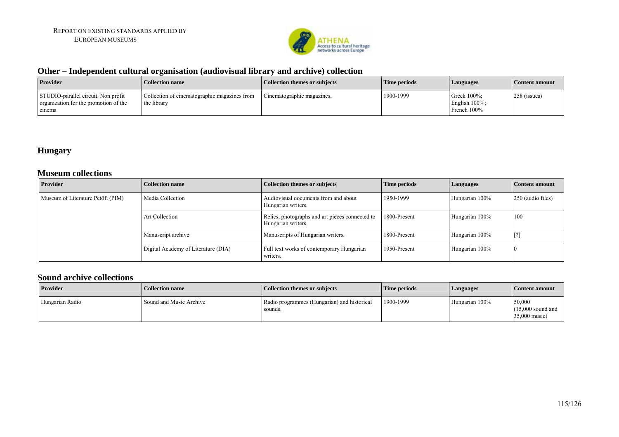

### **Other – Independent cultural organisation (audiovisual library and archive) collection**

| <b>Provider</b>                                                                        | Collection name                                             | Collection themes or subjects | Time periods | <b>Languages</b>                                    | Content amount |
|----------------------------------------------------------------------------------------|-------------------------------------------------------------|-------------------------------|--------------|-----------------------------------------------------|----------------|
| STUDIO-parallel circuit. Non profit<br>organization for the promotion of the<br>cinema | Collection of cinematographic magazines from<br>the library | Cinematographic magazines.    | 1900-1999    | Greek $100\%$ :<br>English $100\%$ ;<br>French 100% | 258 (issues)   |

### **Hungary**

#### **Museum collections**

| <b>Provider</b>                   | <b>Collection name</b>              | <b>Collection themes or subjects</b>                                  | Time periods | Languages      | <b>Content amount</b> |
|-----------------------------------|-------------------------------------|-----------------------------------------------------------------------|--------------|----------------|-----------------------|
| Museum of Literature Petőfi (PIM) | Media Collection                    | Audiovisual documents from and about<br>Hungarian writers.            | 1950-1999    | Hungarian 100% | 250 (audio files)     |
|                                   | <b>Art Collection</b>               | Relics, photographs and art pieces connected to<br>Hungarian writers. | 1800-Present | Hungarian 100% | 100                   |
|                                   | Manuscript archive                  | Manuscripts of Hungarian writers.                                     | 1800-Present | Hungarian 100% | [?]                   |
|                                   | Digital Academy of Literature (DIA) | Full text works of contemporary Hungarian<br>writers.                 | 1950-Present | Hungarian 100% | $\left($              |

### **Sound archive collections**

| <b>Provider</b> | Collection name         | <b>Collection themes or subjects</b>                   | Time periods | Languages      | Content amount                                 |
|-----------------|-------------------------|--------------------------------------------------------|--------------|----------------|------------------------------------------------|
| Hungarian Radio | Sound and Music Archive | Radio programmes (Hungarian) and historical<br>sounds. | 1900-1999    | Hungarian 100% | 50,000<br>$(15,000$ sound and<br>35,000 music) |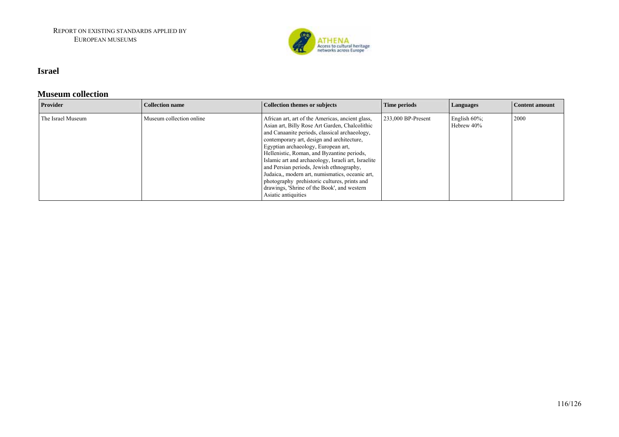

#### **Israel**

#### **Museum collection**

| <b>Provider</b>   | <b>Collection name</b>   | Collection themes or subjects                                                                                                                                                                                                                                                                                                                                                                                                                                                                                                                                      | Time periods         | Languages                      | Content amount |
|-------------------|--------------------------|--------------------------------------------------------------------------------------------------------------------------------------------------------------------------------------------------------------------------------------------------------------------------------------------------------------------------------------------------------------------------------------------------------------------------------------------------------------------------------------------------------------------------------------------------------------------|----------------------|--------------------------------|----------------|
| The Israel Museum | Museum collection online | African art, art of the Americas, ancient glass,<br>Asian art, Billy Rose Art Garden, Chalcolithic<br>and Canaanite periods, classical archaeology,<br>contemporary art, design and architecture,<br>Egyptian archaeology, European art,<br>Hellenistic, Roman, and Byzantine periods,<br>Islamic art and archaeology, Israeli art, Israelite<br>and Persian periods, Jewish ethnography,<br>Judaica,, modern art, numismatics, oceanic art,<br>photography prehistoric cultures, prints and<br>drawings, 'Shrine of the Book', and western<br>Asiatic antiquities | $233,000$ BP-Present | English $60\%$ ;<br>Hebrew 40% | 2000           |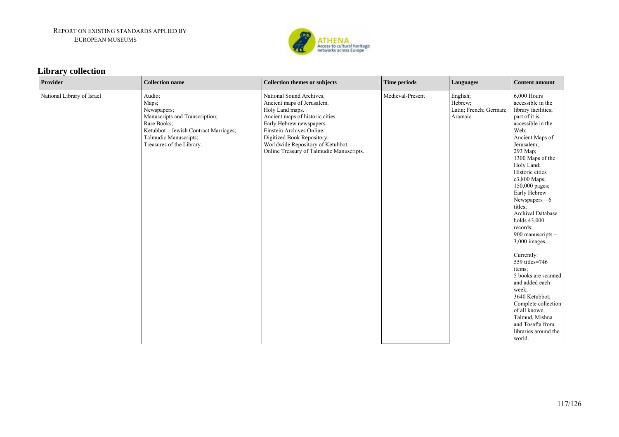

# **Library collection**

| Provider                   | <b>Collection name</b>                                                                                                                                                         | <b>Collection themes or subjects</b>                                                                                                                                                                                                                                                  | <b>Time periods</b> | Languages                                                 | <b>Content amount</b>                                                                                                                                                                                                                                                                                                                                                                                                                                                                                                                                                                                       |
|----------------------------|--------------------------------------------------------------------------------------------------------------------------------------------------------------------------------|---------------------------------------------------------------------------------------------------------------------------------------------------------------------------------------------------------------------------------------------------------------------------------------|---------------------|-----------------------------------------------------------|-------------------------------------------------------------------------------------------------------------------------------------------------------------------------------------------------------------------------------------------------------------------------------------------------------------------------------------------------------------------------------------------------------------------------------------------------------------------------------------------------------------------------------------------------------------------------------------------------------------|
| National Library of Israel | Audio;<br>Maps;<br>Newspapers;<br>Manuscripts and Transcription;<br>Rare Books;<br>Ketubbot - Jewish Contract Marriages;<br>Talmudic Manuscripts;<br>Treasures of the Library. | National Sound Archives.<br>Ancient maps of Jerusalem.<br>Holy Land maps.<br>Ancient maps of historic cities.<br>Early Hebrew newspapers.<br>Einstein Archives Online.<br>Digitized Book Repository.<br>Worldwide Repository of Ketubbot.<br>Online Treasury of Talmudic Manuscripts. | Medieval-Present    | English;<br>Hebrew:<br>Latin; French; German;<br>Aramaic. | 6,000 Hours<br>accessible in the<br>library facilities;<br>part of it is<br>accessible in the<br>Web:<br>Ancient Maps of<br>Jerusalem;<br>293 Мар;<br>1300 Maps of the<br>Holy Land;<br>Historic cities<br>c3,800 Maps;<br>150,000 pages;<br>Early Hebrew<br>Newspapers $-6$<br>titles:<br>Archival Database<br>holds 43,000<br>records;<br>900 manuscripts -<br>3,000 images.<br>Currently:<br>559 titles=746<br>items;<br>5 books are scanned<br>and added each<br>week;<br>3640 Ketubbot;<br>Complete collection<br>of all known<br>Talmud, Mishna<br>and Tosafta from<br>libraries around the<br>world. |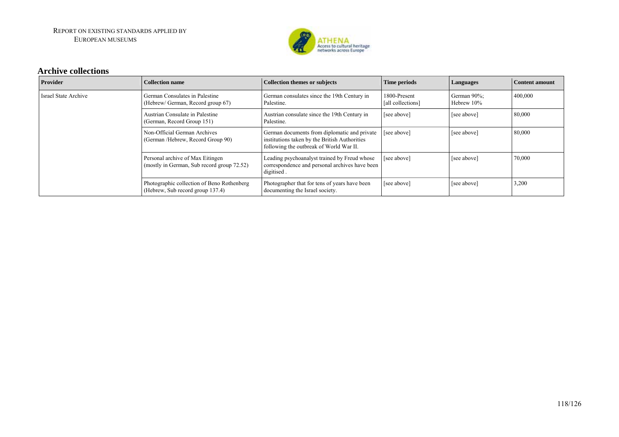

#### **Archive collections**

| Provider             | <b>Collection name</b>                                                         | <b>Collection themes or subjects</b>                                                                                                     | <b>Time periods</b>               | Languages                 | <b>Content amount</b> |
|----------------------|--------------------------------------------------------------------------------|------------------------------------------------------------------------------------------------------------------------------------------|-----------------------------------|---------------------------|-----------------------|
| Israel State Archive | German Consulates in Palestine<br>(Hebrew/German, Record group 67)             | German consulates since the 19th Century in<br>Palestine.                                                                                | 1800-Present<br>[all collections] | German 90%;<br>Hebrew 10% | 400,000               |
|                      | Austrian Consulate in Palestine<br>(German, Record Group 151)                  | Austrian consulate since the 19th Century in<br>Palestine.                                                                               | [see above]                       | [see above]               | 80,000                |
|                      | Non-Official German Archives<br>(German /Hebrew, Record Group 90)              | German documents from diplomatic and private<br>institutions taken by the British Authorities<br>following the outbreak of World War II. | [see above]                       | [see above]               | 80,000                |
|                      | Personal archive of Max Eitingen<br>(mostly in German, Sub record group 72.52) | Leading psychoanalyst trained by Freud whose<br>correspondence and personal archives have been<br>digitised.                             | [see above]                       | [see above]               | 70,000                |
|                      | Photographic collection of Beno Rothenberg<br>(Hebrew, Sub record group 137.4) | Photographer that for tens of years have been<br>documenting the Israel society.                                                         | [see above]                       | [see above]               | 3,200                 |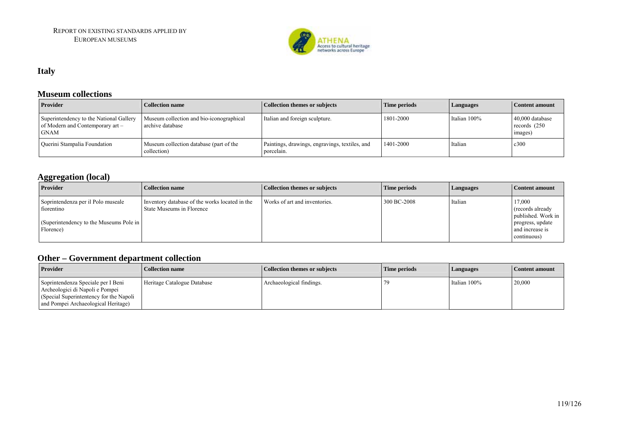

### **Italy**

#### **Museum collections**

| <b>Provider</b>                                                                            | Collection name                                              | Collection themes or subjects                                | Time periods | <i>Languages</i> | Content amount                                |
|--------------------------------------------------------------------------------------------|--------------------------------------------------------------|--------------------------------------------------------------|--------------|------------------|-----------------------------------------------|
| Superintendency to the National Gallery<br>of Modern and Contemporary art –<br><b>GNAM</b> | Museum collection and bio-iconographical<br>archive database | Italian and foreign sculpture.                               | 1801-2000    | Italian 100%     | 40,000 database<br>records $(250)$<br>images) |
| Querini Stampalia Foundation                                                               | Museum collection database (part of the<br>collection)       | Paintings, drawings, engravings, textiles, and<br>porcelain. | 1401-2000    | Italian          | c300                                          |

### **Aggregation (local)**

| 88 8<br>Provider                                                                                         | Collection name                                                             | Collection themes or subjects | Time periods | <b>Languages</b> | Content amount                                                                                          |
|----------------------------------------------------------------------------------------------------------|-----------------------------------------------------------------------------|-------------------------------|--------------|------------------|---------------------------------------------------------------------------------------------------------|
| Soprintendenza per il Polo museale<br>fiorentino<br>(Superintendency to the Museums Pole in<br>Florence) | Inventory database of the works located in the<br>State Museums in Florence | Works of art and inventories. | 300 BC-2008  | Italian          | 17,000<br>(records already)<br>published. Work in<br>progress, update<br>and increase is<br>continuous) |

## **Other – Government department collection**

| vuvi                                                                                                                                                    | Ovvermucht ucbai micht concenti |                               |              |              |                |  |  |
|---------------------------------------------------------------------------------------------------------------------------------------------------------|---------------------------------|-------------------------------|--------------|--------------|----------------|--|--|
| <b>Provider</b>                                                                                                                                         | <b>Collection name</b>          | Collection themes or subjects | Time periods | Languages    | Content amount |  |  |
| Soprintendenza Speciale per I Beni<br>Archeologici di Napoli e Pompei<br>(Special Superintentency for the Napoli<br>and Pompei Archaeological Heritage) | Heritage Catalogue Database     | Archaeological findings.      |              | Italian 100% | 20,000         |  |  |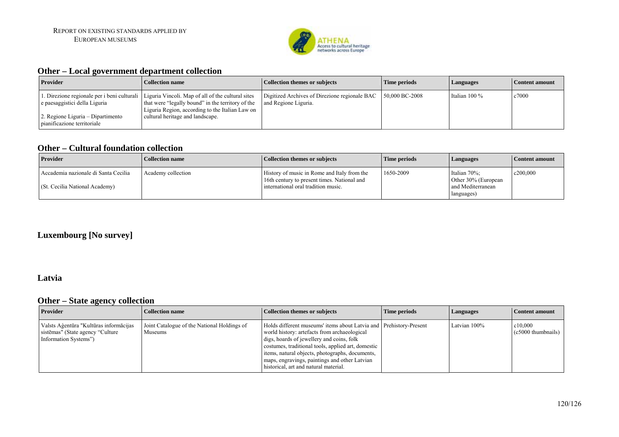

### **Other – Local government department collection**

| <b>Provider</b>                                                    | Collection name                                                                                                                                                                                                                             | <b>Collection themes or subjects</b>                                  | Time periods      | Languages       | Content amount |
|--------------------------------------------------------------------|---------------------------------------------------------------------------------------------------------------------------------------------------------------------------------------------------------------------------------------------|-----------------------------------------------------------------------|-------------------|-----------------|----------------|
| e paesaggistici della Liguria<br>2. Regione Liguria – Dipartimento | L. Direzione regionale per i beni culturali   Liguria Vincoli. Map of all of the cultural sites<br>that were "legally bound" in the territory of the<br>Liguria Region, according to the Italian Law on<br>cultural heritage and landscape. | Digitized Archives of Direzione regionale BAC<br>and Regione Liguria. | $150,000$ BC-2008 | Italian $100\%$ | c7000          |
| pianificazione territoriale                                        |                                                                                                                                                                                                                                             |                                                                       |                   |                 |                |

#### **Other – Cultural foundation collection**

| <b>Provider</b>                                                        | Collection name    | <b>Collection themes or subjects</b>                                                                                              | Time periods | Languages                                                              | Content amount |
|------------------------------------------------------------------------|--------------------|-----------------------------------------------------------------------------------------------------------------------------------|--------------|------------------------------------------------------------------------|----------------|
| Accademia nazionale di Santa Cecilia<br>(St. Cecilia National Academy) | Academy collection | History of music in Rome and Italy from the<br>16th century to present times. National and<br>international oral tradition music. | 1650-2009    | Italian 70%;<br>Other 30% (European<br>and Mediterranean<br>languages) | c200,000       |

### **Luxembourg [No survey]**

#### **Latvia**

### **Other – State agency collection**

| <b>Provider</b>                                                                                       | <b>Collection name</b>                                 | <b>Collection themes or subjects</b>                                                                                                                                                                                                                                                                                                                               | Time periods | Languages    | Content amount                   |
|-------------------------------------------------------------------------------------------------------|--------------------------------------------------------|--------------------------------------------------------------------------------------------------------------------------------------------------------------------------------------------------------------------------------------------------------------------------------------------------------------------------------------------------------------------|--------------|--------------|----------------------------------|
| Valsts Aģentūra "Kultūras informācijas"<br>sistēmas" (State agency "Culture"<br>Information Systems") | Joint Catalogue of the National Holdings of<br>Museums | Holds different museums' items about Latvia and Prehistory-Present<br>world history: artefacts from archaeological<br>digs, hoards of jewellery and coins, folk<br>costumes, traditional tools, applied art, domestic<br>items, natural objects, photographs, documents,<br>maps, engravings, paintings and other Latvian<br>historical, art and natural material. |              | Latvian 100% | c10.000<br>$(c5000)$ thumbnails) |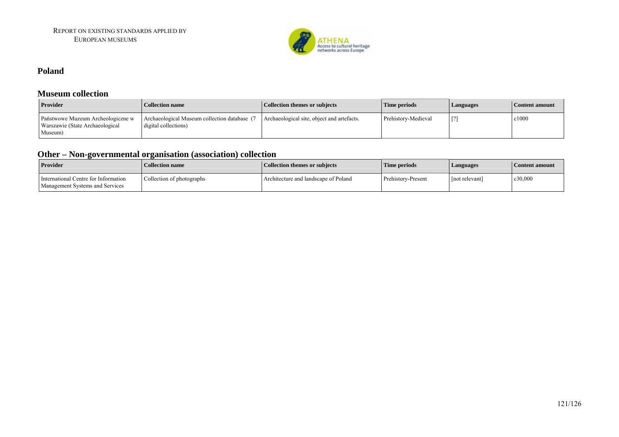

#### **Poland**

#### **Museum collection**

| <b>Provider</b>                                                                 | <b>Collection name</b>                                            | <b>Collection themes or subjects</b>       | Time periods        | Languages | Content amount |
|---------------------------------------------------------------------------------|-------------------------------------------------------------------|--------------------------------------------|---------------------|-----------|----------------|
| Państwowe Muzeum Archeologiczne w<br>Warszawie (State Archaeological<br>Museum) | Archaeological Museum collection database<br>digital collections) | Archaeological site, object and artefacts. | Prehistory-Medieval |           | c1000          |

### **Other – Non-governmental organisation (association) collection**

| <b>Provider</b>                                                         | <b>Collection name</b>    | <b>Collection themes or subjects</b> | Time periods       | <b>Languages</b> | Content amount |
|-------------------------------------------------------------------------|---------------------------|--------------------------------------|--------------------|------------------|----------------|
| International Centre for Information<br>Management Systems and Services | Collection of photographs | Architecture and landscape of Poland | Prehistory-Present | not relevant     | c30,000        |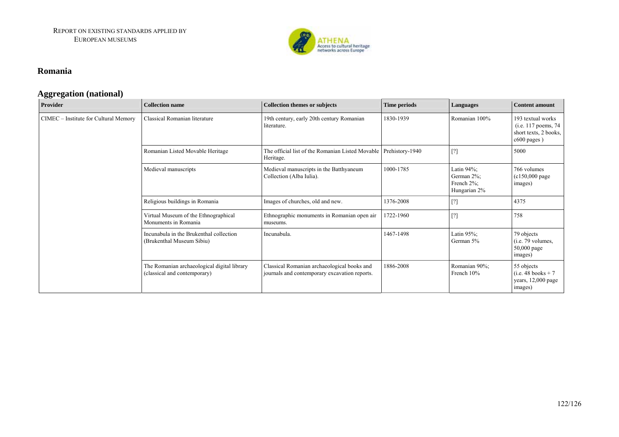

#### **Romania**

### **Aggregation (national)**

| Provider                              | <b>Collection name</b>                                                      | <b>Collection themes or subjects</b>                                                         | Time periods    | Languages                                                  | <b>Content amount</b>                                                             |
|---------------------------------------|-----------------------------------------------------------------------------|----------------------------------------------------------------------------------------------|-----------------|------------------------------------------------------------|-----------------------------------------------------------------------------------|
| CIMEC - Institute for Cultural Memory | Classical Romanian literature                                               | 19th century, early 20th century Romanian<br>literature.                                     | 1830-1939       | Romanian 100%                                              | 193 textual works<br>(i.e. 117 poems, 74)<br>short texts, 2 books,<br>c600 pages) |
|                                       | Romanian Listed Movable Heritage                                            | The official list of the Romanian Listed Movable  <br>Heritage.                              | Prehistory-1940 | $[?]$                                                      | 5000                                                                              |
|                                       | Medieval manuscripts                                                        | Medieval manuscripts in the Batthyaneum<br>Collection (Alba Iulia).                          | 1000-1785       | Latin $94\%$ ;<br>German 2%;<br>French 2%;<br>Hungarian 2% | 766 volumes<br>$(c150,000 \text{ page})$<br>images)                               |
|                                       | Religious buildings in Romania                                              | Images of churches, old and new.                                                             | 1376-2008       | $[?]$                                                      | 4375                                                                              |
|                                       | Virtual Museum of the Ethnographical<br>Monuments in Romania                | Ethnographic monuments in Romanian open air<br>museums.                                      | 1722-1960       | $[?]$                                                      | 758                                                                               |
|                                       | Incunabula in the Brukenthal collection<br>(Brukenthal Museum Sibiu)        | Incunabula.                                                                                  | 1467-1498       | Latin $95\%$ ;<br>German 5%                                | 79 objects<br>$(i.e. 79$ volumes,<br>50,000 page<br>images)                       |
|                                       | The Romanian archaeological digital library<br>(classical and contemporary) | Classical Romanian archaeological books and<br>journals and contemporary excavation reports. | 1886-2008       | Romanian 90%;<br>French 10%                                | 55 objects<br>$(i.e. 48 books + 7)$<br>years, 12,000 page<br>images)              |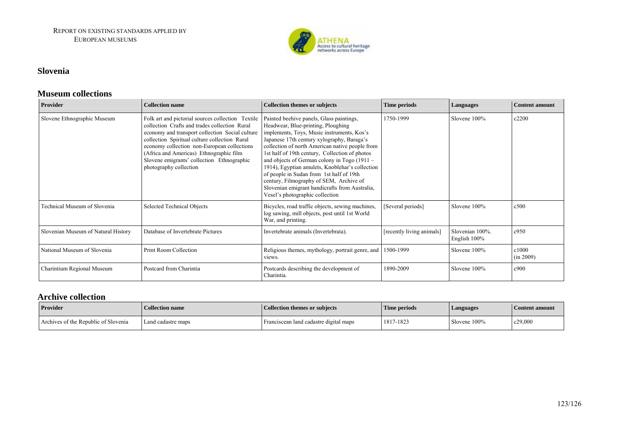

#### **Slovenia**

#### **Museum collections**

| Provider                            | <b>Collection name</b>                                                                                                                                                                                                                                                                                                                                                   | <b>Collection themes or subjects</b>                                                                                                                                                                                                                                                                                                                                                                                                                                                                                                                           | <b>Time periods</b>       | Languages                          | Content amount     |
|-------------------------------------|--------------------------------------------------------------------------------------------------------------------------------------------------------------------------------------------------------------------------------------------------------------------------------------------------------------------------------------------------------------------------|----------------------------------------------------------------------------------------------------------------------------------------------------------------------------------------------------------------------------------------------------------------------------------------------------------------------------------------------------------------------------------------------------------------------------------------------------------------------------------------------------------------------------------------------------------------|---------------------------|------------------------------------|--------------------|
| Slovene Ethnographic Museum         | Folk art and pictorial sources collection Textile<br>collection Crafts and trades collection Rural<br>economy and transport collection Social culture<br>collection Spiritual culture collection Rural<br>economy collection non-European collections<br>(Africa and Americas) Ethnographic film<br>Slovene emigrants' collection Ethnographic<br>photography collection | Painted beehive panels, Glass paintings,<br>Headwear, Blue-printing, Ploughing<br>implements, Toys, Music instruments, Kos's<br>Japanese 17th century xylography, Baraga's<br>collection of north American native people from<br>1st half of 19th century, Collection of photos<br>and objects of German colony in Togo (1911 -<br>1914), Egyptian amulets, Knoblehar's collection<br>of people in Sudan from 1st half of 19th<br>century, Filmography of SEM, Archive of<br>Slovenian emigrant handicrafts from Australia,<br>Vesel's photographic collection | 1750-1999                 | Slovene 100%                       | c2200              |
| Technical Museum of Slovenia        | Selected Technical Objects                                                                                                                                                                                                                                                                                                                                               | Bicycles, road traffic objects, sewing machines,<br>log sawing, mill objects, post until 1st World<br>War, and printing.                                                                                                                                                                                                                                                                                                                                                                                                                                       | [Several periods]         | Slovene 100%                       | c500               |
| Slovenian Museum of Natural History | Database of Invertebrate Pictures                                                                                                                                                                                                                                                                                                                                        | Invertebrate animals (Invertebrata).                                                                                                                                                                                                                                                                                                                                                                                                                                                                                                                           | [recently living animals] | Slovenian 100%.<br>English $100\%$ | c950               |
| National Museum of Slovenia         | Print Room Collection                                                                                                                                                                                                                                                                                                                                                    | Religious themes, mythology, portrait genre, and<br>views.                                                                                                                                                                                                                                                                                                                                                                                                                                                                                                     | 1500-1999                 | Slovene 100%                       | c1000<br>(in 2009) |
| Charintium Regional Museum          | Postcard from Charintia                                                                                                                                                                                                                                                                                                                                                  | Postcards describing the development of<br>Charintia.                                                                                                                                                                                                                                                                                                                                                                                                                                                                                                          | 1890-2009                 | Slovene 100%                       | c900               |

#### **Archive collection**

| <b>Provider</b>                      | Collection name    | <b>Collection themes or subjects</b>   | Time periods | <b>Languages</b> | Content amount |
|--------------------------------------|--------------------|----------------------------------------|--------------|------------------|----------------|
| Archives of the Republic of Slovenia | Land cadastre maps | Franciscean land cadastre digital maps | 1817-1823    | Slovene 100%     | c29,000        |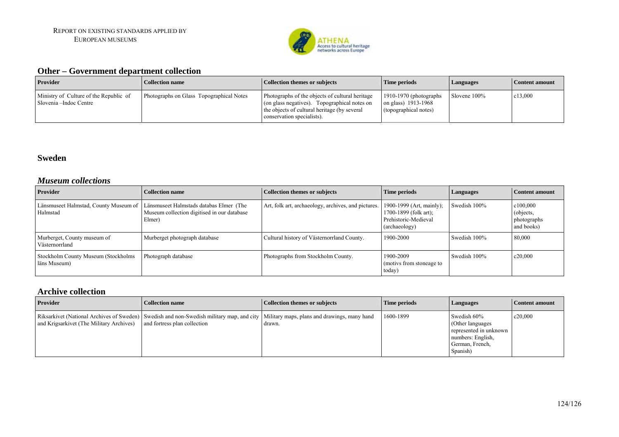

### **Other – Government department collection**

| <b>Provider</b>                                                  | <b>Collection name</b>                   | Collection themes or subjects                                                                                                                                                 | Time periods                                                             | <i>Languages</i> | Content amount |
|------------------------------------------------------------------|------------------------------------------|-------------------------------------------------------------------------------------------------------------------------------------------------------------------------------|--------------------------------------------------------------------------|------------------|----------------|
| Ministry of Culture of the Republic of<br>Slovenia –Indoc Centre | Photographs on Glass Topographical Notes | Photographs of the objects of cultural heritage<br>(on glass negatives). Topographical notes on<br>the objects of cultural heritage (by several<br>conservation specialists). | $1910-1970$ (photographs<br>on glass) 1913-1968<br>(topographical notes) | Slovene 100%     | c13,000        |

#### **Sweden**

#### *Museum collections*

| <b>Provider</b>                                     | <b>Collection name</b>                                                                           | <b>Collection themes or subjects</b>                | Time periods                                                                               | Languages    | Content amount                                     |
|-----------------------------------------------------|--------------------------------------------------------------------------------------------------|-----------------------------------------------------|--------------------------------------------------------------------------------------------|--------------|----------------------------------------------------|
| Länsmuseet Halmstad, County Museum of<br>Halmstad   | Länsmuseet Halmstads databas Elmer (The<br>Museum collection digitised in our database<br>Elmer) | Art, folk art, archaeology, archives, and pictures. | 1900-1999 (Art, mainly);<br>1700-1899 (folk art);<br>Prehistoric-Medieval<br>(archaeology) | Swedish 100% | c100,000<br>(objects,<br>photographs<br>and books) |
| Murberget, County museum of<br>Västernorrland       | Murberget photograph database                                                                    | Cultural history of Västernorrland County.          | 1900-2000                                                                                  | Swedish 100% | 80,000                                             |
| Stockholm County Museum (Stockholms<br>läns Museum) | Photograph database                                                                              | Photographs from Stockholm County.                  | 1900-2009<br>(motivs from stoneage to<br>today)                                            | Swedish 100% | c20,000                                            |

### **Archive collection**

| <b>Provider</b>                          | <b>Collection name</b>                                                                                                                                                  | Collection themes or subjects | Time periods | Languages                                                                                                      | Content amount |
|------------------------------------------|-------------------------------------------------------------------------------------------------------------------------------------------------------------------------|-------------------------------|--------------|----------------------------------------------------------------------------------------------------------------|----------------|
| and Krigsarkivet (The Military Archives) | Riksarkivet (National Archives of Sweden) Swedish and non-Swedish military map, and city   Military maps, plans and drawings, many hand<br>and fortress plan collection | drawn.                        | 1600-1899    | Swedish 60%<br>(Other languages)<br>represented in unknown<br>numbers: English,<br>German, French,<br>Spanish) | c20,000        |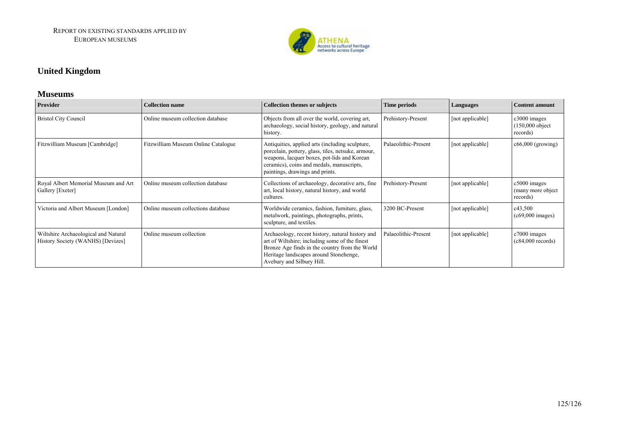

### **United Kingdom**

#### **Museums**

| Provider                                                                  | <b>Collection name</b>              | <b>Collection themes or subjects</b>                                                                                                                                                                                                 | Time periods         | Languages        | <b>Content amount</b>                            |
|---------------------------------------------------------------------------|-------------------------------------|--------------------------------------------------------------------------------------------------------------------------------------------------------------------------------------------------------------------------------------|----------------------|------------------|--------------------------------------------------|
| <b>Bristol City Council</b>                                               | Online museum collection database   | Objects from all over the world, covering art,<br>archaeology, social history, geology, and natural<br>history.                                                                                                                      | Prehistory-Present   | [not applicable] | c3000 images<br>$(150,000$ object<br>records)    |
| Fitzwilliam Museum [Cambridge]                                            | Fitzwilliam Museum Online Catalogue | Antiquities, applied arts (including sculpture,<br>porcelain, pottery, glass, tiles, netsuke, armour,<br>weapons, lacquer boxes, pot-lids and Korean<br>ceramics), coins and medals, manuscripts,<br>paintings, drawings and prints. | Palaeolithic-Present | [not applicable] | $c66,000$ (growing)                              |
| Royal Albert Memorial Museum and Art<br>Gallery [Exeter]                  | Online museum collection database   | Collections of archaeology, decorative arts, fine<br>art, local history, natural history, and world<br>cultures.                                                                                                                     | Prehistory-Present   | [not applicable] | $c5000$ images<br>(many more object)<br>records) |
| Victoria and Albert Museum [London]                                       | Online museum collections database  | Worldwide ceramics, fashion, furniture, glass,<br>metalwork, paintings, photographs, prints,<br>sculpture, and textiles.                                                                                                             | 3200 BC-Present      | [not applicable] | c43,500<br>$(c69,000 \text{ images})$            |
| Wiltshire Archaeological and Natural<br>History Society (WANHS) [Devizes] | Online museum collection            | Archaeology, recent history, natural history and<br>art of Wiltshire; including some of the finest<br>Bronze Age finds in the country from the World<br>Heritage landscapes around Stonehenge,<br>Avebury and Silbury Hill.          | Palaeolithic-Present | [not applicable] | c7000 images<br>$(c84,000$ records)              |